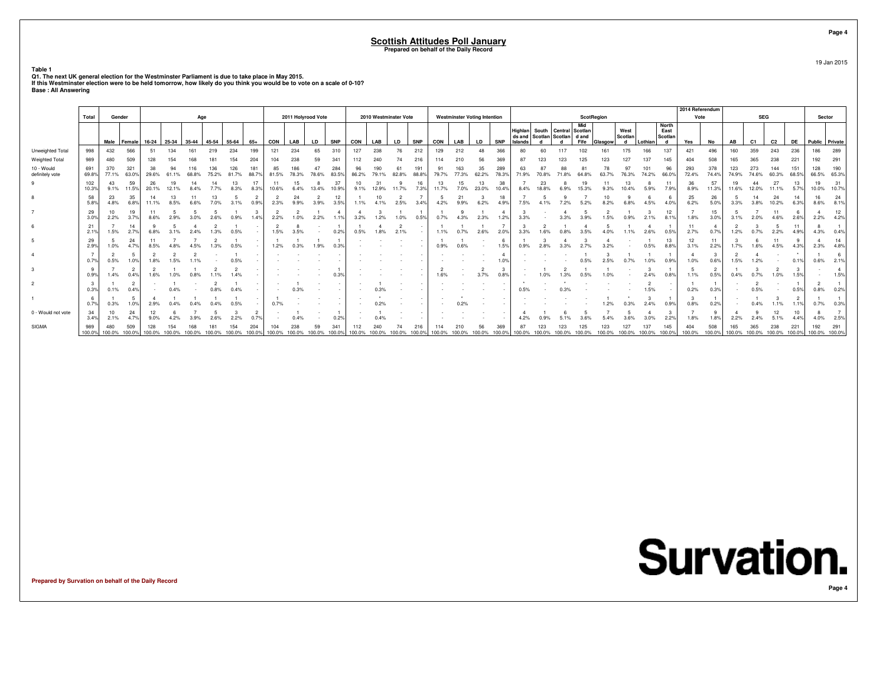**Table 1**

Q1. The next UK general election for the Westminster Parliament is due to take place in May 2015.<br>If this Westminster election were to be held tomorrow, how likely do you think you would be to vote on a scale of 0-10?<br>Base

|                               |               |               |                        |               |        |        |        |        |               |             |                    |           |              |            |            |                       |              |        |                                     |       |             |         |                                                                      |        |                   |         |                      |         |                               | 2014 Referendum |               |               |                |             |               |                      |              |
|-------------------------------|---------------|---------------|------------------------|---------------|--------|--------|--------|--------|---------------|-------------|--------------------|-----------|--------------|------------|------------|-----------------------|--------------|--------|-------------------------------------|-------|-------------|---------|----------------------------------------------------------------------|--------|-------------------|---------|----------------------|---------|-------------------------------|-----------------|---------------|---------------|----------------|-------------|---------------|----------------------|--------------|
|                               | Total         | Gender        |                        |               |        | Age    |        |        |               |             | 2011 Holyrood Vote |           |              |            |            | 2010 Westminster Vote |              |        | <b>Westminster Voting Intention</b> |       |             |         |                                                                      |        | <b>ScotRegion</b> |         |                      |         |                               | Vote            |               |               | <b>SEG</b>     |             |               | Sector               |              |
|                               |               |               | Male Female            | $16-24$       | 25-34  | 35-44  | 45-54  | 55-64  | $65+$         | CON         | LAB                | <b>LD</b> | <b>SNP</b>   | CON        | LAB        | <b>LD</b>             | <b>SNP</b>   | CON    | LAB                                 | LD    | <b>SNP</b>  | Islands | Highlan South Central Scotlan<br>ds and Scotlan Scotlan   d and<br>d |        | Mid<br>Fife       | Glasgow | West<br>Scotlan<br>d | Lothian | North<br>East<br>Scotlan<br>d | Yes             | No            | AB            | C <sub>1</sub> | C2          | <b>DE</b>     | Public   Private     |              |
| Unweighted Total              | 998           | 432           | 566                    | 51            | 134    | 161    | 219    | 234    | 199           | 121         | 234                | 65        | 310          | 127        | 238        | 76                    | 212          | 129    | 212                                 | 48    | 366         | 80      | 60                                                                   |        |                   | 161     | 175                  | 166     | 137                           | 421             | 496           | 160           | 359            | 243         | 236           | 186                  | 289          |
| Weighted Total                | 989           | 480           | 509                    |               |        |        |        |        | 204           |             |                    |           | 341          |            |            |                       |              |        |                                     |       |             |         |                                                                      |        |                   |         |                      |         |                               | 404             | 508           |               |                |             | 221           | 192                  | 291          |
| 10 - Would<br>definitely vote | 691<br>69.8%  | 370<br>77.1%  | 321<br>63.0%           | 29.6%         |        |        |        |        | 181<br>88.7%  | 85<br>81.5% |                    |           | 284<br>83.5% | 86.2%      |            | 82.8%                 | 191<br>88.8% | 79.7%  |                                     | 35    | 289         |         |                                                                      |        |                   |         |                      | 74.2%   | 96<br>66.0%                   | 293<br>72.4%    | 378<br>74.4%  | 123<br>74.9%  | 273            | 144         | 151<br>68.5%  | 128<br>66.5%         | 190<br>65.3% |
| 9                             | 102<br>10.3%  | 43<br>9.1%    | 59<br>11.5%            | 26<br>20.1%   |        |        |        | 8.3%   | 17<br>8.3%    | 10.6%       | 15                 | 13.4%     | 37<br>10.9%  | 10<br>9.1% | 12.9%      | 11.7%                 | 16<br>7.3%   | 13     |                                     | 23.0% | 38<br>10.4% |         | 23                                                                   |        |                   |         |                      | 5.9%    | 7.9%                          | 36<br>8.9%      | 57<br>11.3%   | 11.6%         |                | 27<br>11.1% | 13<br>5.7%    | 19<br>10.0%          | 31<br>10.7%  |
| 8                             | 58<br>5.8%    | 23<br>4.8%    | 35<br>6.8%             | 11.1%         | 8.5%   | 6.6%   | 7.0%   | 3.1%   | 0.9%          | 2.3%        | 24<br>9 9%         | 3.9%      | 12<br>3.5%   | 1.1%       | 10<br>4.1% | 2.5%                  | 3.4%         | 4.2%   | 9.9%                                | 6.2%  |             | 7.5%    |                                                                      |        |                   |         |                      | 4.5%    |                               | 25<br>6.2%      | 26<br>5.0%    | 3.3%          | 14<br>3.8%     | 24<br>10.2% | 14<br>6.3%    | 16<br>8.6%           | 24<br>8.1%   |
|                               | 29<br>3.0%    | 2.2%          | 3.79                   |               |        |        |        |        |               |             |                    |           |              |            |            |                       |              |        |                                     |       |             |         |                                                                      |        |                   |         |                      |         | 12                            | 1.8%            | 15<br>3.0%    |               |                |             |               | 2.2%                 | 12<br>4.2%   |
| 6                             | 21<br>2.1%    | 1.5%          | 14<br>2.7%             | 6.8%          |        |        |        | 0.5%   |               | 1.5%        | 3.5%               |           | 0.2%         |            |            | 2.1%                  |              | 1.1%   |                                     |       |             |         |                                                                      |        |                   |         |                      |         |                               | 2.7%            |               |               |                | 2.2%        | 11<br>4.9%    | 4.3%                 | 0.4%         |
| 5 <sup>5</sup>                | 29<br>2.9%    | 1.0%          | 24                     | 8.5%          |        |        |        | 0.5%   |               | 1.2%        |                    | 1.9%      |              |            |            |                       |              |        |                                     |       | 1.5%        | 0.9%    |                                                                      |        |                   |         |                      | 0.5%    | 13<br>8.8%                    | 12<br>3.1%      | 2.2%          | 1.7%          |                | 4.5%        | 4.3%          | 2.3%                 | 14<br>4.8%   |
|                               | 0.7%          | 0.5%          | .09                    |               |        |        |        |        |               |             |                    |           |              |            |            |                       |              |        |                                     |       |             |         |                                                                      |        |                   |         |                      |         |                               | 1.0%            |               |               |                |             |               |                      |              |
| 3                             | - 9<br>0.9%   | 1.4%          | 0.4%                   | 1.6%          |        |        |        |        |               |             |                    |           |              |            |            |                       |              |        |                                     |       |             |         |                                                                      |        |                   |         |                      | 2.4%    | 0.8%                          | 1.1%            | 2<br>0.5%     |               |                |             |               |                      |              |
| $\overline{2}$                | - 3<br>0.3%   | 0.1%          | $\overline{2}$<br>0.4% |               |        |        |        |        |               |             |                    |           |              |            |            |                       |              |        |                                     |       |             | 0.5%    |                                                                      |        |                   |         |                      | 1.5%    |                               | 0.2%            | 0.3%          |               | 0.5%           |             | 0.5%          | 0.8%                 | 0.2%         |
|                               | - 6<br>0.7%   | 0.3%          |                        |               |        |        |        |        |               | 0.7%        |                    |           |              |            |            |                       |              |        |                                     |       |             |         |                                                                      |        |                   |         |                      |         |                               | 0.8%            | 0.2%          |               |                |             |               |                      | 0.39         |
| 0 - Would not vote            | 34<br>3.4%    | 10<br>2.1%    | 24                     | 9.0%          |        |        | 2.6%   | 2.2%   | 0.7%          |             | 0.4%               |           | 0.2%         |            |            |                       |              |        |                                     |       |             |         |                                                                      |        |                   |         |                      |         | 2.2%                          | 1.8%            | 1.8%          |               |                |             | 10            | 4.0%                 | 2.5%         |
| SIGMA                         | 989<br>100.0% | 480<br>100.0% | 509<br>100.0%          | 128<br>100.0% | 100.0% | 100.0% | 100.0% | 100.0% | 204<br>100.0% | 100.0%      | 100.0%             | 100.0%    |              | 100.0%     |            |                       | 100.0%       | 100.0% |                                     |       |             |         |                                                                      | 100.0% |                   |         |                      | 100.0%  | 145<br>100.0%                 | 404<br>100.0%   | 508<br>100.0% | 165<br>100.0% | 100.0% 100.0%  | 238         | 221<br>100.0% | 192<br>100.0% 100.0% | 291          |

**Survation.** 

**Prepared by Survation on behalf of the Daily Record**

**Page 4**

19 Jan 2015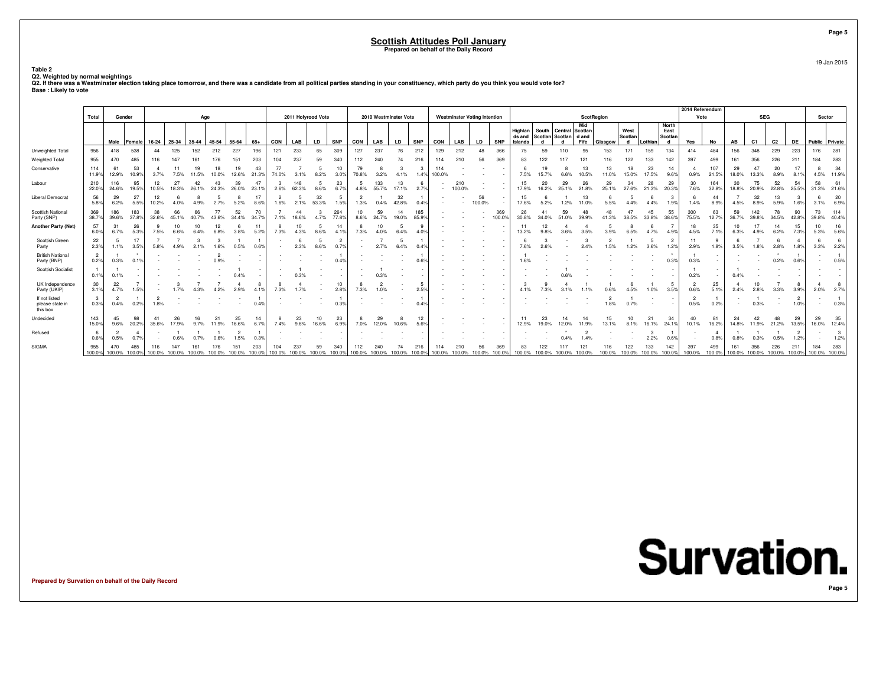19 Jan 2015

**Page 5**

**Table 2**

Q2. Weighted by normal weightings<br>Q2. If there was a Westminster election taking place tomorrow, and there was a candidate from all political parties standing in your constituency, which party do you think you would vote f

|                                              |                        |                        |                        |                                                         |             |             |            |             |             |            |                             |             |                          |                                    |              |                       |              |               |                      |                                     |               |                              |             |                                                           |             |             |                                    |             |                               | 2014 Referendum        |                        |               |                |                             |                        |                      |              |
|----------------------------------------------|------------------------|------------------------|------------------------|---------------------------------------------------------|-------------|-------------|------------|-------------|-------------|------------|-----------------------------|-------------|--------------------------|------------------------------------|--------------|-----------------------|--------------|---------------|----------------------|-------------------------------------|---------------|------------------------------|-------------|-----------------------------------------------------------|-------------|-------------|------------------------------------|-------------|-------------------------------|------------------------|------------------------|---------------|----------------|-----------------------------|------------------------|----------------------|--------------|
|                                              | Total                  | Gender                 |                        |                                                         |             | Age         |            |             |             |            | 2011 Holyrood Vote          |             |                          |                                    |              | 2010 Westminster Vote |              |               |                      | <b>Westminster Voting Intention</b> |               |                              |             |                                                           | ScotRegion  |             |                                    |             |                               | Vote                   |                        |               | <b>SEG</b>     |                             |                        | Sector               |              |
|                                              |                        | Male                   | Female                 | 16-24                                                   | 25-34       | 35-44       | 45-54      | 55-64       | $65+$       | CON        | LAB                         | <b>LD</b>   | <b>SNP</b>               | CON                                | LAB          | LD                    | <b>SNP</b>   | CON           | LAB                  | LD                                  | <b>SNP</b>    | Highlan<br>ds and<br>Islands |             | South Central Scotlan<br>Scotlan Scotlan dand<br><b>d</b> | Mid<br>Fife | Glasgow     | West<br>Scotlan<br>d               | Lothian     | North<br>East<br>Scotlan<br>d | Yes                    | No                     | AB            | C <sub>1</sub> | C2                          | DE                     | Public Private       |              |
| Unweighted Total                             | 956                    | 418                    | 538                    | 44                                                      | 125         | 152         | 212        | 227         | 196         | 121        | 233                         | 65          | 309                      | 127                                | 237          | 76                    | 212          | 129           | 212                  | 48                                  | 366           | 75                           | 59          | 110                                                       | 95          | 153         | 171                                | 159         | 134                           | 414                    | 484                    | 156           | 348            | 229                         | 223                    | 176                  | 281          |
| Weighted Total                               | 955                    | 470                    | 485                    |                                                         |             |             |            | 151         | 203         | 104        | 237                         | 59          | 340                      | 112                                | 240          | 74                    | 216          |               |                      | 56                                  | 369           | 83                           | 122         |                                                           |             |             | 122                                |             | 142                           | 397                    | 499                    | 161           | 356            | 226                         | 211                    | 184                  | 283          |
| Conservative                                 | 114<br>11.9%           | 61<br>12.9%            | 53<br>10.9%            | 3.7%                                                    | 7.5%        | 19<br>11.5% | 10.0%      | 19<br>12.6% | 43<br>21.3% | 74.0%      | 3.1%                        | 8.2%        | 10<br>$3.0$ <sup>9</sup> | 79<br>70.8%                        | 3.2%         | 4.1%                  | з<br>1.4%    | 114<br>100.0% |                      |                                     |               | 7.5%                         | 15.7%       | 6.6%                                                      | 13<br>10.5% | 13<br>11.0% | 18<br>15.0%                        | 23<br>17.5% | 14<br>9.6%                    | 0.9%                   | 107<br>21.5%           | 29<br>18.0%   | 47<br>13.3%    | 20<br>8.9%                  | 8.1%                   | 4.5%                 | 34<br>11.9%  |
| Labour                                       | 210<br>22.0%           | 116<br>24.6%           | 95<br>19.5%            | 12<br>10.5%                                             | 27<br>18.3% | 26.         | 24.3%      | 39<br>26.0% | 47<br>23.1% | 2.6%       | 148<br>62.3%                | 8.6%        | 23<br>6.7%               | 4.8%                               | 133<br>55.7% | 13<br>17.1%           | 6<br>2.7%    |               | 210<br>100.0%        |                                     |               | 15<br>17.9%                  | 16.2%       | 29<br>25.1%                                               | 21.8%       | 29<br>25.1% | 34<br>27.6%                        | 28<br>21.3% | 29<br>20.3%                   | 30<br>7.6%             | 164<br>32.8%           | 30<br>18.8%   | 75<br>20.9%    | 52<br>22.8%                 | 54<br>25.5%            | 58<br>31.3%          | 61<br>21.6%  |
| <b>Liberal Democrat</b>                      | 56<br>5.8%             | 29<br>6.2%             | 27<br>5.5%             | 10.2%                                                   | 4.0%        |             | 2.7%       | 5.2%        | 17<br>8.6%  | 1.6%       | 2.1%                        | 32<br>53.3% | 1.5%                     | 1.3%                               | 0.4%         | 32<br>42.8%           | 0.4%         |               |                      | 56<br>100.0%                        |               | 15<br>17.6%                  | 5.2%        | 1.2%                                                      | 11.0%       | 5.5%        | 4.4%                               | 4.4%        | 1.9%                          | 1.4%                   | 44<br>8.9%             | 4.5%          | 32<br>8.9%     | 13<br>5.9%                  | 1.6%                   | 6<br>3.1%            | 20<br>6.9%   |
| Scottish National<br>Party (SNP)             | 369<br>38.7%           | 186<br>39.6%           | 183<br>37.8%           | 38<br>32.6%                                             | 45.1%       | 66<br>40.7% | 43.6%      | 52<br>34.4% | 70<br>34.7% | 7.1%       | 44<br>18.6%                 | 4.7%        | 264<br>77.8%             | 10<br>8.6%                         | 59<br>24.7%  | 14<br>19.0%           | 185<br>85.9% |               |                      |                                     | 369<br>100.09 | 26<br>30.8%                  | 34.0%       | 59<br>51.0%                                               | 39.9%       | 48<br>41.3% | 38.5%                              | 45<br>33.8% | 55<br>38.6%                   | 300<br>75.5%           | 63<br>12.7%            | 59<br>36.7%   | 142<br>39.8%   | 78<br>34.5%                 | 90<br>42.8%            | 73<br>39.8%          | 114<br>40.4% |
| <b>Another Party (Net)</b>                   | 57<br>6.0%             | 31<br>6.7%             | 26<br>5.3%             | 7.5%                                                    | 6.6%        | 10<br>6.4%  | 12<br>6.8% | 3.8%        | 11<br>5.2%  | -8<br>7.3% | 10<br>4.3%                  | 8.6%        | 14<br>4.19               | 7.3%                               | 10<br>4.0%   | 6.4%                  | 9<br>4.0%    |               |                      |                                     |               | 11<br>13.2%                  | 12          |                                                           | 3.5%        | 5<br>3.9%   | 6.5%                               | 4.7%        | 4.9%                          | 18<br>4.5%             | 35<br>7.1%             | 10<br>6.3%    | 17<br>4.9%     | 14<br>6.2%                  | 15<br>7.3%             | 10<br>5.3%           | 16<br>5.6%   |
| Scottish Green<br>Party                      | 22<br>2.3%             | 5<br>1.1%              | 17<br>3.5%             | 5.8%                                                    |             |             |            | 0.5%        |             |            | 2.3%                        |             | $\overline{2}$<br>0.7%   |                                    | 2.7%         | 6.4%                  | 0.4%         |               |                      |                                     |               | 7.6%                         |             |                                                           |             | 1.5%        | 1.2%                               | 5<br>3.6%   | 1.2%                          | 11<br>2.9%             | 9<br>1.8%              | 3.5%          |                | 6<br>2.8%                   | 1.8%                   | -6<br>3.3%           | -6<br>2.2%   |
| <b>British National</b><br>Party (BNP)       | $\overline{2}$<br>0.2% | 0.3%                   | 0.1%                   |                                                         |             |             |            |             |             |            |                             |             | 0.4%                     |                                    |              |                       | 0.6%         |               |                      |                                     |               | 1.6%                         |             |                                                           |             |             |                                    |             |                               | 0.3%                   | $\sim$                 |               |                | $\cdot$<br>0.2%             | 0.6%                   |                      | 0.5%         |
| <b>Scottish Socialist</b>                    | 0.1%                   | 0.1%                   |                        |                                                         |             |             |            |             |             |            |                             |             |                          |                                    | 0.3%         |                       |              |               |                      |                                     |               |                              |             |                                                           |             |             |                                    |             |                               | 0.2%                   |                        | 0.4%          |                |                             |                        |                      |              |
| UK Independence<br>Party (UKIP)              | 30<br>3.1%             | 22<br>4.7%             | 1.5%                   |                                                         | 1.7%        |             |            | 2.9%        | -8<br>4.1%  | 8<br>7.3%  | 1.7%                        |             | 10<br>2.8%               | 7.3%                               | 1.0%         |                       | 5<br>2.5%    |               |                      |                                     |               | 4.1%                         |             |                                                           |             |             |                                    | 1.0%        | 3.5%                          | 0.6%                   | 25<br>5.1%             | 2.4%          | 10<br>2.8%     | 3.3%                        | 3.9%                   | 2.0%                 | 2.7%         |
| If not listed<br>please state in<br>this box | 3<br>0.3%              | $\overline{2}$<br>0.4% | 0.2%                   | 1.8%                                                    |             |             |            |             |             |            |                             |             | 0.39                     |                                    |              |                       | 0.4%         |               |                      |                                     |               |                              |             |                                                           |             | 1.8%        | 0.7%                               |             |                               | $\overline{2}$<br>0.5% | 0.2%                   |               | 0.3%           |                             | $\overline{2}$<br>1.0% |                      | 0.3%         |
| Undecided                                    | 143<br>15.0%           | 45<br>9.6%             | 98<br>20.2%            | 35.6%                                                   | 17.9%       | 9.7%        | 21         | 25<br>16.6% | 14<br>6.7%  | 7.4%       | 23<br>9.6%                  | 10<br>16.6% | 23<br>6.9%               | 7.0%                               | 29<br>12.0%  | 10.6%                 | 12<br>5.6%   |               |                      |                                     |               | 11<br>12.9%                  | 23<br>19.0% | 14<br>12.0%                                               | 14<br>11.9% | 15<br>13.1% | 10<br>8.1%                         | 21<br>16.1% | 34<br>24.19                   | 40<br>10.1%            | 81<br>16.2%            | 24<br>14.8%   | 42<br>11.9%    | 48<br>21.2%                 | 29<br>13.5%            | 29<br>16.0%          | 35<br>12.4%  |
| Refused                                      | 0.6%                   | $\overline{2}$<br>0.5% | $\overline{4}$<br>0.7% |                                                         | 0.6%        |             |            | 1.5%        |             |            |                             |             |                          |                                    |              |                       |              |               |                      |                                     |               |                              |             |                                                           | 149         |             |                                    | 2.2%        | 0.6%                          |                        | $\overline{4}$<br>0.8% | 0.8%          |                | 0.5%                        | 1.2%                   |                      | 1.2%         |
| <b>SIGMA</b>                                 | 955<br>100.0%          | 470                    | 485                    | 100.0% 100.0% 100.0% 100.0% 100.0% 100.0% 100.0% 100.0% |             |             |            | 151         | 203         | 104        | 237<br>100.0% 100.0% 100.0% |             | 340<br>100.0%            | 112<br>100.0% 100.0% 100.0% 100.0% | 240          |                       | 216          |               | 210<br>100.0% 100.0% | 56<br>100.0%                        | 369<br>100.0% | 83                           | 122         | 100.0% 100.0% 100.0% 100.0%                               |             |             | 122<br>100.0% 100.0% 100.0% 100.0% | 133         | 142                           | 397<br>100.0%          | 499<br>100.0%          | 161<br>100.0% | 356            | 226<br>100.0% 100.0% 100.0% | 211                    | 184<br>100.0% 100.0% | 283          |

**Prepared by Survation on behalf of the Daily Record**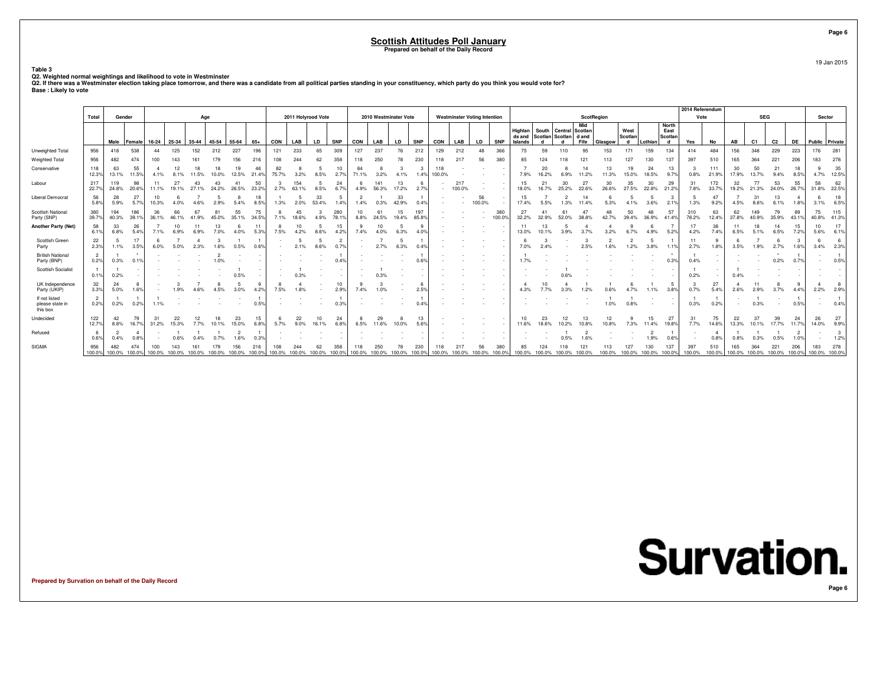19 Jan 2015

**Page 6**

**Table 3**

Q2. Weighted normal weightings and likelihood to vote in Westminster<br>Q2. If there was a Westminster election taking place tomorrow, and there was a candidate from all political parties standing in your constituency, which

|                                              |                        |                        |                        |                                                         |             |           |       |             |             |             |                      |             |                        |             |              |                                   |              |               |               |                                     |               |                              |             |                                                           |             |             |                             |             |                               | 2014 Referendum |                        |               |                |                             |             |                      |              |
|----------------------------------------------|------------------------|------------------------|------------------------|---------------------------------------------------------|-------------|-----------|-------|-------------|-------------|-------------|----------------------|-------------|------------------------|-------------|--------------|-----------------------------------|--------------|---------------|---------------|-------------------------------------|---------------|------------------------------|-------------|-----------------------------------------------------------|-------------|-------------|-----------------------------|-------------|-------------------------------|-----------------|------------------------|---------------|----------------|-----------------------------|-------------|----------------------|--------------|
|                                              | Total                  | Gender                 |                        |                                                         |             | Age       |       |             |             |             | 2011 Holyrood Vote   |             |                        |             |              | 2010 Westminster Vote             |              |               |               | <b>Westminster Voting Intention</b> |               |                              |             |                                                           | ScotRegion  |             |                             |             |                               | Vote            |                        |               | <b>SEG</b>     |                             |             | Sector               |              |
|                                              |                        | Male                   | Female                 | 16-24                                                   | 25-34       | 35-44     | 45-54 | 55-64       | $65+$       | CON         | LAB                  | LD          | <b>SNP</b>             | CON         | LAB          | LD                                | <b>SNP</b>   | CON           | LAB           | LD                                  | <b>SNP</b>    | Highlan<br>ds and<br>Islands |             | South Central Scotlan<br>Scotlan Scotlan dand<br><b>d</b> | Mid<br>Fife | Glasgow     | West<br>Scotlan<br>d        | Lothian     | North<br>East<br>Scotlan<br>d | Yes             | No                     | AB            | C <sub>1</sub> | C2                          | DE          | Public Private       |              |
| Unweighted Total                             | 956                    | 418                    | 538                    | 44                                                      | 125         | 152       | 212   | 227         | 196         | 121         | 233                  | 65          | 309                    | 127         | 237          | 76                                | 212          | 129           | 212           | 48                                  | 366           | 75                           | 59          | 110                                                       | 95          | 153         | 171                         | 159         | 134                           | 414             | 484                    | 156           | 348            | 229                         | 223         | 176                  | 281          |
| Weighted Total                               | 956                    | 482                    | 474                    |                                                         |             |           |       | 156         | 216         | 108         |                      |             | 358                    | 118         | 250          | 78                                | 230          |               |               | 56                                  | 380           | 85                           |             |                                                           |             |             |                             |             | 137                           | 397             | 510                    | 165           | 364            | 221                         | 206         | 183                  | 278          |
| Conservative                                 | 118<br>12.3%           | 63<br>13.1%            | 55<br>11.5%            | 4.1%                                                    | 8.1%        | 11.5%     | 10.0% | 19<br>12.5% | 46<br>21.4% | 82<br>75.7% | 3.2%                 | 8.5%        | 10<br>2.7%             | 84<br>71.1% | 3.2%         | 4.1%                              | з<br>1.4%    | 118<br>100.0% |               |                                     |               | 7.9%                         | 20<br>16.2% | 6.9%                                                      | 11.2%       | 13<br>11.3% | 19<br>15.0%                 | 24<br>18.5% | 13<br>9.7%                    | 0.8%            | 111<br>21.9%           | 30<br>17.9%   | 50<br>13.7%    | 21<br>9.4%                  | 18<br>8.5%  | 4.7%                 | 35<br>12.5%  |
| Labour                                       | 217<br>22.7%           | 119<br>24.8%           | 98<br>20.6%            | 11.1%                                                   | 27<br>19.1% | 43<br>27. | 24.2% | 41<br>26.5% | 50<br>23.2% | 2.7%        | 154<br>63.1%         | 8.5%        | 24<br>6.7%             | 4.9%        | 141<br>56.3% | 13<br>17.2%                       | -6<br>2.7%   |               | 217<br>100.0% |                                     |               | 15<br>18.0%                  | 16.7%       | 30<br>25.2%                                               | 22.6%       | 30<br>26.6% | 35<br>27.5%                 | 30<br>22.8% | 29<br>21.2%                   | 31<br>7.8%      | 172<br>33.7%           | 32<br>19.2%   | 77<br>21.3%    | 53<br>24.0%                 | 55<br>26.7% | 58<br>31.8%          | 62<br>22.5%  |
| <b>Liberal Democrat</b>                      | 56<br>5.8%             | 28<br>5.9%             | 27<br>5.7%             | 10.3%                                                   | 4.0%        |           | 2.9%  | 5.4%        | 18<br>8.5%  | 1.3%        | 2.0%                 | 33<br>53.4% | 1.4%                   | 1.4%        | 0.3%         | 33<br>42.9%                       | 0.4%         |               |               | 56<br>100.0%                        |               | 15<br>17.4%                  | 5.5%        | 1.3%                                                      | 11.4%       | 5.3%        | 4.1%                        | 3.6%        | 2.1%                          | 1.3%            | 47<br>9.2%             | 4.5%          | 31<br>8.6%     | 13<br>6.1%                  | 1.8%        | 6<br>3.1%            | 18<br>6.5%   |
| Scottish National<br>Party (SNP)             | 380<br>39.7%           | 194<br>40.3%           | 186<br>39.19           | 36<br>36.1%                                             | 46.1%       | 41.9%     | 45.0% | 55<br>35.1% | 75<br>34.5% | 7.1%        | 45<br>18.6%          | 4.9%        | 280<br>78.19           | 10<br>8.8%  | 61<br>24.5%  | 15<br>19.4%                       | 197<br>85.8% |               |               |                                     | 380<br>100.09 | 27<br>32.2%                  | 32.9%       | 52.0%                                                     | 38.89       | 48<br>42.7% | 50<br>39.4%                 | 36.9%       | 57<br>41.4%                   | 310<br>78.2%    | 63<br>12.4%            | 62<br>37.8%   | 149<br>40.9%   | 79<br>35.9%                 | 89<br>43.19 | 75<br>40.8%          | 115<br>41.3% |
| <b>Another Party (Net)</b>                   | 58<br>6.1%             | 33<br>6.8%             | 26<br>5.4%             | 7.1%                                                    | 10<br>6.9%  |           |       | 4.0%        | 11<br>5.3%  | -8<br>7.5%  | 10<br>4.2%           | 8.6%        | 15<br>4.2%             | 7.4%        | 10<br>4.0%   | 6.3%                              | 9<br>4.0%    |               |               |                                     |               | 11<br>13.0%                  | 13<br>10.1% | 3.9%                                                      |             | 3.2%        |                             | 4.9%        | 5.2%                          | 17<br>4.2%      | 38<br>7.4%             | 11<br>6.5%    | 18             | 14<br>6.5%                  | 15<br>7.2%  | 10<br>5.6%           | 17<br>6.1%   |
| Scottish Green<br>Party                      | 22<br>2.3%             | 5<br>1.1%              | 17<br>3.5%             | 6.0%                                                    |             |           |       | 0.5%        |             |             | 2.1%                 |             | $\overline{2}$<br>0.7% |             | 2.7%         | 6.3%                              | 0.4%         |               |               |                                     |               | 7.0%                         |             |                                                           | 2.5%        | 1.6%        | 1.2%                        | 3.8%        | 1.1%                          | 11<br>2.7%      | 9<br>1.8%              | 3.5%          | 1.9%           | 6                           | 1.6%        | -6<br>3.4%           | -6<br>2.3%   |
| <b>British National</b><br>Party (BNP)       | $\overline{2}$<br>0.2% | 0.3%                   | 0.1%                   |                                                         |             |           |       |             |             |             |                      |             | 0.4%                   |             |              |                                   | 0.6%         |               |               |                                     |               |                              |             |                                                           |             |             |                             |             | 0.3%                          | 0.4%            | $\sim$                 |               |                | $\cdot$<br>0.2%             | 0.7%        |                      | 0.5%         |
| <b>Scottish Socialist</b>                    | 0.1%                   | 0.2%                   |                        |                                                         |             |           |       | 0.5%        |             |             | 0.3%                 |             |                        |             | 0.3%         |                                   |              |               |               |                                     |               |                              |             |                                                           |             |             |                             |             |                               | 0.2%            |                        | 0.4%          |                |                             |             |                      |              |
| UK Independence<br>Party (UKIP)              | 32<br>3.3%             | 24<br>5.0%             | 8<br>1.6%              |                                                         | 1.9%        |           | 4.5%  | 3.0%        | 4.2%        | 8<br>7.5%   | 1.8%                 |             | 10<br>2.9%             | 7.4%        | 1.0%         |                                   | 6<br>2.5%    |               |               |                                     |               | 4.3%                         |             |                                                           | 1.2%        |             |                             | 1.1%        | 3.8%                          | 0.7%            | 27<br>5.4%             | 2.6%          | 2.9%           | 3.7%                        | 4.4%        | 2.2%                 | 2.9%         |
| If not listed<br>please state in<br>this box | $\overline{2}$<br>0.2% | 0.2%                   | 0.2%                   | 1.1%                                                    |             |           |       |             | 0.5%        |             |                      |             | 0.39                   |             |              |                                   | 0.4%         |               |               |                                     |               |                              |             |                                                           |             | 1.0%        | 0.8%                        |             |                               | 0.3%            | 0.2%                   |               | 0.3%           |                             | 0.5%        |                      | 0.4%         |
| Undecided                                    | 122<br>12.7%           | 42<br>8.8%             | 79<br>16.7%            | 31.2%                                                   | 15.3%       | 7.7%      | 10.1% | 23<br>15.0% | 15          | 5.7%        | 22<br>9.0%           | 10<br>16.1% | 24<br>6.8%             | 6.5%        | 29<br>11.6%  | 10.0%                             | 13<br>5.6%   |               |               |                                     |               | 11.6%                        | 23<br>18.6% | 12<br>10.2%                                               | 13<br>10.8% | 12<br>10.8% | 7.3%                        | 15<br>11.4% | 27<br>19.8%                   | 31<br>7.7%      | 75<br>14.6%            | 22<br>13.3%   | 37<br>10.1%    | 39<br>17.7%                 | 24<br>11.7% | 26<br>14.0%          | 27<br>9.9%   |
| Refused                                      | 0.6%                   | $\overline{2}$<br>0.4% | $\overline{4}$<br>0.8% |                                                         | 0.6%        |           |       | 1.6%        |             |             |                      |             |                        |             |              |                                   |              |               |               |                                     |               |                              |             | 0.5%                                                      | 1.69        |             |                             | 1.9%        | 0.6%                          |                 | $\overline{4}$<br>0.8% | 0.8%          |                | 0.5%                        | 1.0%        |                      | 1.2%         |
| <b>SIGMA</b>                                 | 956<br>100.0%          | 482                    | 474                    | 100.0% 100.0% 100.0% 100.0% 100.0% 100.0% 100.0% 100.0% |             |           |       |             | 216         | 108         | 100.0% 100.0% 100.0% |             | 358<br>100.0%          | 118         | 250          | 78<br>100.0% 100.0% 100.0% 100.0% | 230          |               | 100.0% 100.0% | 56<br>100.0%                        | 380<br>100.0% | 85                           |             | 100.0% 100.0% 100.0% 100.0%                               |             |             | 100.0% 100.0% 100.0% 100.0% |             | 137                           | 397<br>100.0%   | 510<br>100.0%          | 165<br>100.0% | 364            | 221<br>100.0% 100.0% 100.0% | 206         | 183<br>100.0% 100.0% | 278          |

**Prepared by Survation on behalf of the Daily Record**

**Page 6**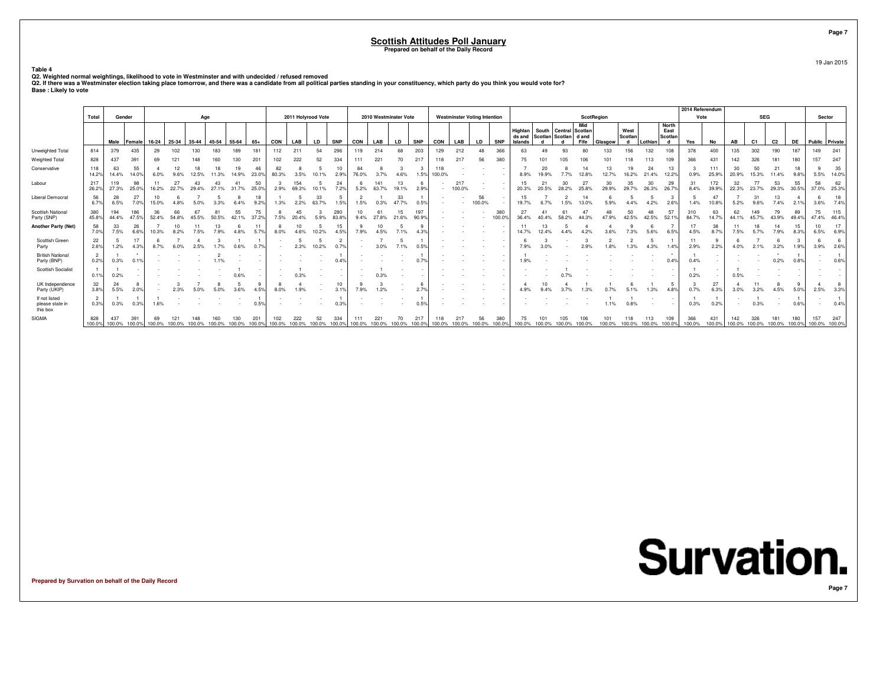19 Jan 2015

**Table 4**

Q2. Weighted normal weightings, likelihood to vote in Westminster and with undecided / refused removed<br>Q2. If there was a Westminster election taking place tomorrow, and there was a candidate from all political parties sta

|                                              |                        |               |                    |             |                   |              |        |             |               |               |                    |              |               |               |                       |              |               |               |                                     |              |               |                              |               |                                              |                        |             |                      |             |                                      | 2014 Referendum |               |               |                |               |               |                      |              |
|----------------------------------------------|------------------------|---------------|--------------------|-------------|-------------------|--------------|--------|-------------|---------------|---------------|--------------------|--------------|---------------|---------------|-----------------------|--------------|---------------|---------------|-------------------------------------|--------------|---------------|------------------------------|---------------|----------------------------------------------|------------------------|-------------|----------------------|-------------|--------------------------------------|-----------------|---------------|---------------|----------------|---------------|---------------|----------------------|--------------|
|                                              | Total                  | Gender        |                    |             |                   | Age          |        |             |               |               | 2011 Holyrood Vote |              |               |               | 2010 Westminster Vote |              |               |               | <b>Westminster Voting Intention</b> |              |               |                              |               |                                              | <b>ScotRegion</b>      |             |                      |             |                                      | Vote            |               |               | <b>SEG</b>     |               |               | Sector               |              |
|                                              |                        |               | Male Female        |             | 16-24 25-34 35-44 |              | 45-54  | 55-64       | $65+$         | CON           | LAB                | <b>LD</b>    | <b>SNP</b>    | CON           | LAB                   | LD           | <b>SNP</b>    | CON           | LAB                                 | <b>LD</b>    | <b>SNP</b>    | Highlan<br>ds and<br>Islands |               | South Central<br>Scotlan Scotlan dand<br>್ರಗ | Mid<br>Scotlan<br>Fife | Glasgow     | West<br>Scotlan<br>d | Lothian     | <b>North</b><br>East<br>Scotlan<br>d | Yes             | No            | AB            | C <sub>1</sub> | C2            | <b>DE</b>     | Public Private       |              |
| Unweighted Total                             | 814                    | 379           | 435                | 29          | 102               | 130          | 183    | 189         | 181           | 112           | 211                | 54           | 296           | 119           | 214                   | 68           | 203           | 129           | 212                                 | 48           | 366           | 63                           |               | 93                                           |                        | 133         | 156                  | 132         | 108                                  | 378             | 400           | 135           | 302            | 190           | 187           | 149                  | 241          |
| Weighted Total                               | 828                    | 437           | 391                |             |                   |              |        |             | 201           | 102           | 222                |              | 334           | 111           | 221                   | 70           | 217           |               | 217                                 | 56           | 380           |                              |               |                                              |                        |             |                      |             | 109                                  | 366             | 431           | 142           | 326            |               | 180           | 157                  | 247          |
| Conservative                                 | 118<br>14.2%           | 63<br>14.4%   | 55<br>14.0%        | 6.0%        | 9.6%              | 12.5%        | 11.3%  | 19<br>14.9% | 46<br>23.0%   | 82<br>80.3%   | 3.5%               | 10.1%        | 10<br>2.9%    | 84<br>76.0%   | 3.7%                  | 4.6%         | 1.5%          | 118<br>100.0% |                                     |              |               | 8.9%                         | 19.9%         |                                              |                        | 13<br>12.7% | 19<br>16.2%          | 21.4%       | 13<br>12.2%                          | 0.9%            | 111<br>25.9%  | 30<br>20.9%   | 50<br>15.3%    | 21<br>11.4%   | 9.8%          | 5.5%                 | 35<br>14.0%  |
| Labour                                       | 217<br>26.2%           | 119<br>27.3%  | 98<br>25.0%        | 16.2%       | 27<br>22.7%       | 29.4%        |        | 31.7%       | 50<br>25.0%   | 2.9%          | 154<br>69.3%       |              | 24<br>7.2%    | 5.2%          | 141<br>63.7%          | 13<br>19.1%  | 2.9%          |               | 217<br>100.0%                       |              |               | 15<br>20.3%                  |               | 30                                           | 25.89                  | 30          | 35<br>29.7%          | 30<br>26.3% | 29<br>26.7%                          | 8.4%            | 172<br>39.9%  | 32<br>22.3%   | 77<br>23.7%    | 53<br>29.3%   | 55<br>30.5%   | 58<br>37.0%          | 62<br>25.3%  |
| <b>Liberal Democrat</b>                      | 56<br>6.7%             | 28<br>6.5%    | 27<br>7.0%         | 10<br>15.0% | 4.8%              | 5.0%         | 3.3%   | 6.4%        | 18<br>9.29    | 1.3%          | 2.2%               | 33<br>63.7%  | 1.5%          | 1.5%          | 0.3%                  | 33<br>47.7%  | 0.5%          |               |                                     | 56<br>100.0% |               | 15<br>19.7%                  |               | 1.5%                                         | 13.0%                  | 5.9%        |                      | 4.2%        | 2.6%                                 | 1.4%            | 47<br>10.8%   | 5.2%          | 31<br>9.6%     | 13<br>7.4%    | 2.1%          | 3.6%                 | 18<br>7.4%   |
| <b>Scottish National</b><br>Party (SNP)      | 380<br>45.8%           | 194<br>44.4%  | 186<br>47.5%       | 36<br>52.4% | 66<br>54.8%       | 45.5%        | 50.5%  | 55<br>42.1% | 75<br>37.2%   | 7.5%          | 45<br>20.4%        | 5.9%         | 280<br>83.8%  | 10<br>9.4%    | 27.8%                 | 15<br>21.6%  | 197<br>90.9%  |               |                                     |              | 380<br>100.0% | 27<br>36.4%                  |               | 58.2%                                        | 44.3%                  | 48<br>47 9% | 50<br>42.5%          | 42.5%       | 57<br>52.1%                          | 84.7%           | 63<br>14.7%   | 62<br>44.1%   | 149<br>45.7%   | 79<br>43.9%   | 89<br>49.4%   | 75<br>47.4%          | 115<br>46.4% |
| <b>Another Party (Net)</b>                   | 58<br>7.0%             | 33<br>7.5%    | 26<br>6.6%         | 10.3%       | 10<br>8.2%        | 7.5%         | 7.9%   | 4.8%        | 11<br>5.7%    | 8<br>8.0%     | 10<br>4.6%         | 10.2%        | 15<br>4.5%    | 7.9%          | 10<br>4.5%            | 7.1%         | 9             |               |                                     |              |               | 14.7%                        |               |                                              |                        |             | 7.3%                 | 5.6%        | 6.5%                                 | 4.5%            | 38<br>8.7%    | 11<br>7.5%    | 18<br>5.7%     | 14<br>7.9%    | 8.3%          | 10<br>6.5%           | 17<br>6.9%   |
| Scottish Green<br>Party                      | 22<br>2.6%             | 5<br>1.2%     | 17<br>4.3%         | 8.7%        |                   |              |        |             |               |               | 2.3%               | 10.2%        | 0.79          |               | 3.0%                  | 7.1%         | 0.5%          |               |                                     |              |               | 7.9%                         |               |                                              |                        | 1.8%        | 1.3%                 | 4.3%        | 1.4%                                 | 2.9%            | 2.2%          | 4.0%          | 2.1%           | 3.2%          | 1.9%          | 3.9%                 | 2.6%         |
| <b>British National</b><br>Party (BNP)       | $\overline{2}$<br>0.2% | 0.3%          | 0.1%               |             |                   |              |        |             |               |               |                    |              |               |               |                       |              | 0.7%          |               |                                     |              |               |                              |               |                                              |                        |             |                      |             | 0.4%                                 | 0.4%            |               |               |                | 0.2%          | 0.8%          |                      | 0.6%         |
| <b>Scottish Socialist</b>                    | 0.1%                   | 0.2%          |                    |             |                   |              |        |             |               |               | 0.3%               |              |               |               | 0.3%                  |              |               |               |                                     |              |               |                              |               |                                              |                        |             |                      |             |                                      | 0.2%            |               | 0.5%          |                |               |               |                      |              |
| UK Independence<br>Party (UKIP)              | 32<br>3.8%             | 24<br>5.5%    | $2.0$ <sup>9</sup> |             | 2.3%              |              |        |             |               | 8.0%          | 1.9%               |              | 10<br>3.1%    | 7.9%          | 1.2%                  |              | 2.79          |               |                                     |              |               |                              |               |                                              |                        |             |                      |             | 4.8%                                 | 0.7%            | 27<br>6.3%    | 3.0%          | 3.2%           | 4.5%          | 5.0%          | 2.5%                 | 3.3%         |
| If not listed<br>please state in<br>this box | $\overline{2}$<br>0.3% | 0.3%          | 0.3%               | 1.6%        |                   |              |        |             | 0.5%          |               |                    |              |               |               |                       |              | 0.5%          |               |                                     |              |               |                              |               |                                              |                        | 1.1%        | 0.8%                 |             | $\sim$                               | 0.3%            | 0.2%          |               | 0.3%           |               | 0.6%          |                      | 0.4%         |
| SIGMA                                        | 828<br>100.0%          | 437<br>100.0% | 391<br>100.0%      | 100.0%      | 121<br>100.0%     | 48<br>100.0% | 100.0% | 100.0%      | 201<br>100.0% | 102<br>100.0% | 222<br>100.0%      | 52<br>100.0% | 334<br>100.0% | 111<br>100.0% | 221<br>100.0%         | 70<br>100.0% | 217<br>100.0% | 100.0%        | 100.0%                              | 56<br>100.0% | 380<br>100.0% | 75<br>100.0%                 | 101<br>100.0% | 105<br>100.0%                                | 106<br>100.0%          | 100.0%      | 100.0%               | 100.0%      | 109<br>100.0%                        | 366<br>100.0%   | 431<br>100.0% | 142<br>100.0% | 326<br>100.0%  | 181<br>100.0% | 180<br>100.0% | 157<br>100.0% 100.0% | 247          |

**Prepared by Survation on behalf of the Daily Record**

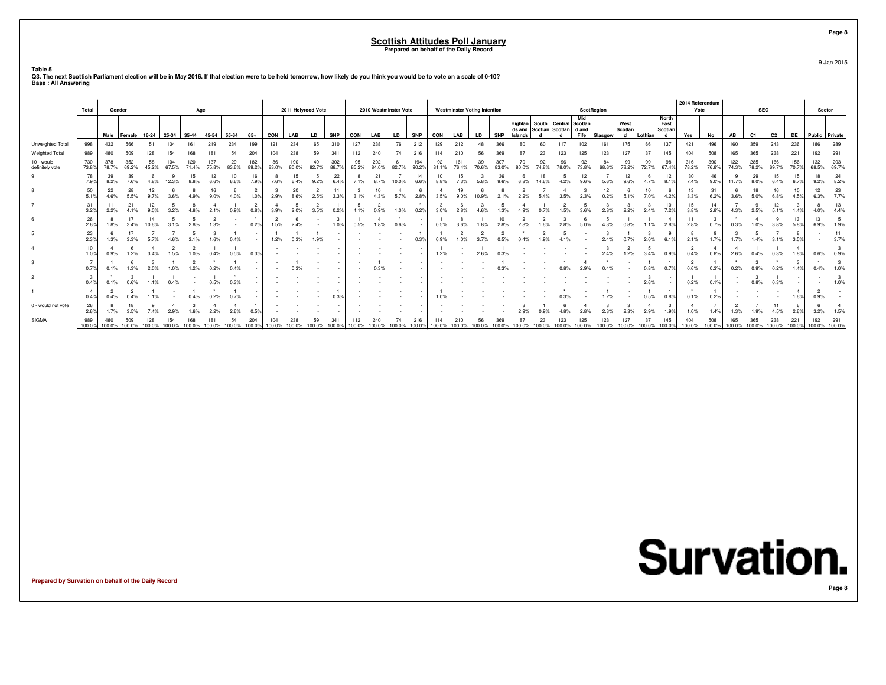#### **Scottish Attitudes Poll January**

**Prepared on behalf of the Daily Record**

**Table 5**

2014 Referendu **Total Gender**r <u>|</u> Age **2011 Holyrood Vote 2010 Westminster Vote Westminster Voting Intention ScotRegion Vote SEG**SEG Sector **Mid North HighlanSouth Central Scotlan West East ds and Scotlan Scotlan d and Scotlan Scotlan Male Female 16-24 25-34 35-44 45-54 55-64 65+**65+ **CON**<br>199 121 **LAB LD SNP CON LAB LD SNP CON LAB LD SNP Islands <sup>d</sup> <sup>d</sup> Fife Glasgow <sup>d</sup> Lothian <sup>d</sup> Yes No AB C1 C2 DE Public Private** Unweighted Total 9988 | 432 566 | 51 134 161 219 234 199 | 121 234 65 310 | 127 238 76 212 | 129 212 48 366 | 80 60 117 102 161 175 166 137 | 421 496 | 160 359 243 236 | 186 289 Weighted Total 9899 | 480 509 | 128 154 168 181 154 204 | 104 238 59 341 | 112 240 74 216 | 114 210 56 369 | 87 123 123 123 127 137 145 | 404 508 | 165 365 238 221 | 192 291 10 - would <sup>730</sup> <sup>378</sup> <sup>352</sup> <sup>58</sup> <sup>104</sup> <sup>120</sup> <sup>137</sup> <sup>129</sup> <sup>182</sup> <sup>86</sup> <sup>190</sup> <sup>49</sup> <sup>302</sup> <sup>95</sup> <sup>202</sup> <sup>61</sup> <sup>194</sup> <sup>92</sup> <sup>161</sup> <sup>39</sup> <sup>307</sup> <sup>70</sup> <sup>92</sup> <sup>96</sup> <sup>92</sup> <sup>84</sup> <sup>99</sup> <sup>99</sup> <sup>98</sup> <sup>316</sup> <sup>390</sup> <sup>122</sup> <sup>285</sup> <sup>166</sup> <sup>156</sup> <sup>132</sup> <sup>203</sup> definitely vote 73.8% 78.7% 69.2% 45.2% 67.5% 71.4% 75.8% 83.6% 89.2% 83.0% 80.0% 82.7% 88.7% 85.2% 84.0% 82.7% 90.2% 81.1% 76.4% 70.6% 83.0% 80.0% 74.8% 78.0% 73.8% 68.6% 78.2% 72.7% 67.4% 78.2% 76.8% 74.3% 78.2% 69.7% 70.7% 68.5% 69.7% 9 <sup>78</sup> <sup>39</sup> <sup>39</sup> <sup>6</sup> <sup>19</sup> <sup>15</sup> <sup>12</sup> <sup>10</sup> <sup>16</sup> <sup>8</sup> <sup>15</sup> <sup>5</sup> <sup>22</sup> <sup>8</sup> <sup>21</sup> <sup>7</sup> <sup>14</sup> <sup>10</sup> <sup>15</sup> <sup>3</sup> <sup>36</sup> <sup>6</sup> <sup>18</sup> <sup>5</sup> <sup>12</sup> <sup>7</sup> <sup>12</sup> <sup>6</sup> <sup>12</sup> <sup>30</sup> <sup>46</sup> <sup>19</sup> <sup>29</sup> <sup>15</sup> <sup>15</sup> <sup>18</sup> <sup>24</sup> 7.9% 8.2% 7.6% 4.8% 12.3% 8.8% 6.6% 6.6% 7.9% 7.6% 6.4% 9.2% 6.4% 7.1% 8.7% 10.0% 6.6% 8.8% 7.3% 5.8% 9.6% 6.8% 14.6% 4.2% 9.6% 5.6% 9.6% 4.7% 8.1% 7.4% 9.0% 11.7% 8.0% 6.4% 6.7% 9.2% 8.2% 8 <sup>50</sup> <sup>22</sup> <sup>28</sup> <sup>12</sup> <sup>6</sup> <sup>8</sup> <sup>16</sup> <sup>6</sup> <sup>2</sup> <sup>3</sup> <sup>20</sup> <sup>2</sup> <sup>11</sup> <sup>3</sup> <sup>10</sup> <sup>4</sup> <sup>6</sup> <sup>4</sup> <sup>19</sup> <sup>6</sup> <sup>8</sup> <sup>2</sup> <sup>7</sup> <sup>4</sup> <sup>3</sup> <sup>12</sup> <sup>6</sup> <sup>10</sup> <sup>6</sup> <sup>13</sup> <sup>31</sup> <sup>6</sup> <sup>18</sup> <sup>16</sup> <sup>10</sup> <sup>12</sup> <sup>23</sup> 5.1% 4.6% 5.5% 9.7% 3.6% 4.9% 9.0% 4.0% 1.0% 2.9% 8.6% 2.5% 3.3% 3.1% 4.3% 5.7% 2.8% 3.5% 9.0% 10.9% 2.1% 2.2% 5.4% 3.5% 2.3% 10.2% 5.1% 7.0% 4.2% 3.3% 6.2% 3.6% 5.0% 6.8% 4.5% 6.3% 7.7% 77 | 31 | 11 21 | 12 5 8 4 1 2 | 4 5 2 1 | 5 2 1 1 3 6 3 5 4 1 2 5 3 3 3 10 | 15 14 7 9 12 3 8 3.2% 2.2% 4.1% 9.0% 3.2% 4.8% 2.1% 0.9% 0.8% 3.9% 2.0% 3.5% 0.2% 4.1% 0.9% 1.0% 0.2% 3.0% 2.8% 4.6% 1.3% 4.9% 0.7% 1.5% 3.6% 2.8% 2.2% 2.4% 7.2% 3.8% 2.8% 4.3% 2.5% 5.1% 1.4% 4.0% 4.4% 6 <sup>26</sup> <sup>8</sup> <sup>17</sup> <sup>14</sup> <sup>5</sup> <sup>5</sup> <sup>2</sup> - \* <sup>2</sup> <sup>6</sup> - <sup>3</sup> <sup>1</sup> <sup>4</sup> \* - <sup>1</sup> <sup>8</sup> <sup>1</sup> <sup>10</sup> <sup>2</sup> <sup>2</sup> <sup>3</sup> <sup>6</sup> <sup>5</sup> <sup>1</sup> <sup>1</sup> <sup>4</sup> <sup>11</sup> <sup>3</sup> \* <sup>4</sup> <sup>9</sup> <sup>13</sup> <sup>13</sup> <sup>5</sup>  $\frac{26}{2.6%}$  1.8% 3.4% 10.6% 3.1% 2.8% 1.3% - 0.2% 1.5% 2.4% - 1.0% 0.5% 1.8% 0.6% - 0.5% 3.6% 1.8% 2.8% 2.8% 1.6% 2.8% 5.0% 4.3% 0.8% 1.1% 2.8% 2.8% 0.7% 0.3% 1.0% 3.8% 5.8% 6.9% 1.9% 5 <sup>23</sup> <sup>6</sup> <sup>17</sup> <sup>7</sup> <sup>7</sup> <sup>5</sup> <sup>3</sup> <sup>1</sup> - <sup>1</sup> <sup>1</sup> <sup>1</sup> - - - - <sup>1</sup> <sup>1</sup> <sup>2</sup> <sup>2</sup> <sup>2</sup> \* <sup>2</sup> <sup>5</sup> - <sup>3</sup> <sup>1</sup> <sup>3</sup> <sup>9</sup> <sup>8</sup> <sup>9</sup> <sup>3</sup> <sup>5</sup> <sup>7</sup> <sup>8</sup> - <sup>11</sup> 2.3% 1.3% 3.3% 5.7% 4.6% 3.1% 1.6% 0.4% - 1.2% 0.3% 1.9% - - - - 0.3% 0.9% 1.0% 3.7% 0.5% 0.4% 1.9% 4.1% - 2.4% 0.7% 2.0% 6.1% 2.1% 1.7% 1.7% 1.4% 3.1% 3.5% - 3.7% 4 <sup>10</sup> <sup>4</sup> <sup>6</sup> <sup>4</sup> <sup>2</sup> <sup>2</sup> <sup>1</sup> <sup>1</sup> <sup>1</sup> - - - - - - - - <sup>1</sup> - <sup>1</sup> <sup>1</sup> - - - - <sup>3</sup> <sup>2</sup> <sup>5</sup> <sup>1</sup> <sup>2</sup> <sup>4</sup> <sup>4</sup> <sup>1</sup> <sup>1</sup> <sup>4</sup> <sup>1</sup> <sup>3</sup> 1.0%%| 0.9% 1.2%| 3.4% 1.5% 1.0% 0.4% 0.5% 0.9%| - - - - - - - - - | 1.2% - 2.6% 0.3%| - - - - - - 2.4% 1.2% 0.9%| 0.4% 0.8%| 2.6% 0.4% 0.3%| 1.8%| 0.6% 0.9% 3 $3$  1  $7$   $1$   $1$   $1$   $1$   $1$   $2$   $1$   $1$   $2$   $1$   $1$   $2$   $1$   $1$   $2$   $1$   $1$   $2$   $1$   $1$   $1$   $2$   $1$   $1$   $1$   $2$   $1$   $1$   $1$   $2$   $1$   $1$   $1$   $2$   $1$   $1$   $1$   $2$   $1$   $1$   $1$   $2$   $1$   $1$   $1$   $2$   $1$   $1$   $1$   $2$   $1$   $1$   $1$ 0.7%%| 0.1% 1.3%| 2.0% 1.0% 1.2% 0.2% 0.4% - | - 0.3% - - | - - - - - 0.3%| - - 0.8% 2.9% 0.4% - 0.8% 0.7%| 0.6% 0.3%| 0.2% 0.9% 0.2% 1.4%| 0.4% 1.0% 2 <sup>3</sup> \* <sup>3</sup> <sup>1</sup> <sup>1</sup> - <sup>1</sup> \* - - - - - - - - - - - - - - - - - - - <sup>3</sup> - <sup>1</sup> <sup>1</sup> - <sup>3</sup> <sup>1</sup> - - <sup>3</sup> 0.4% 0.1% 0.6% 1.1% 0.4% - 0.5% 0.3% - - - - - - - - - - - - - - - - - - - 2.6% - 0.2% 0.1% - 0.8% 0.3% - - 1.0% <sup>4</sup> <sup>2</sup> <sup>2</sup> <sup>1</sup> - <sup>1</sup> \* <sup>1</sup> - - - - <sup>1</sup> - - - - <sup>1</sup> - - - - - \* - <sup>1</sup> - <sup>1</sup> <sup>1</sup> \* <sup>1</sup> - - - <sup>4</sup> <sup>2</sup> - 0.4%%| 0.4% 0.4%| 1.1% - 0.4% 0.2% 0.7% -| - - - - 0.3%| - - - - - | 1.0% - - - | - - - 0.3% - 1.2% - 0.5% 0.8%| 0.1% 0.2%| - - - - 1.6%| 0.9% -0 - would not vote <sup>26</sup> <sup>8</sup> <sup>18</sup> <sup>9</sup> <sup>4</sup> <sup>3</sup> <sup>4</sup> <sup>4</sup> <sup>1</sup> - - - - - - - - - - - - <sup>3</sup> <sup>1</sup> <sup>6</sup> <sup>4</sup> <sup>3</sup> <sup>3</sup> <sup>4</sup> <sup>3</sup> <sup>4</sup> <sup>7</sup> <sup>2</sup> <sup>7</sup> <sup>11</sup> <sup>6</sup> <sup>6</sup> <sup>4</sup>  $^{26}_{2.6\%}$ %| 1.7% 3.5%| 7.4% 2.9% 1.6% 2.2% 2.6% 0.5%| · · · · · | · · · · · | · · · · | 2.9% 0.9% 4.8% 2.8% 2.3% 2.9% 2.9% 1.9% 1.9% 1.9% 1.9% 1.9% 4.5% 2.6%| 3.2% 1.5% SIGMA <sup>989</sup> <sup>480</sup> <sup>509</sup> <sup>128</sup> <sup>154</sup> <sup>168</sup> <sup>181</sup> <sup>154</sup> <sup>204</sup> <sup>104</sup> <sup>238</sup> <sup>59</sup> <sup>341</sup> <sup>112</sup> <sup>240</sup> <sup>74</sup> <sup>216</sup> <sup>114</sup> <sup>210</sup> <sup>56</sup> <sup>369</sup> <sup>87</sup> <sup>123</sup> <sup>123</sup> <sup>125</sup> <sup>123</sup> <sup>127</sup> <sup>137</sup> <sup>145</sup> <sup>404</sup> <sup>508</sup> <sup>165</sup> <sup>365</sup> <sup>238</sup> <sup>221</sup> <sup>192</sup> <sup>291</sup>  $1000$  $1000\% - 1000\% - 1000\% - 1000\% - 1000\% - 1000\% - 1000\% - 1000\% - 1000\% - 1000\% - 1000\% - 1000\% - 1000\% - 1000\% - 1000\% - 1000\% - 1000\% - 1000\% - 1000\% - 1000\% - 1000\% - 1000\% - 1000\% - 1000\% - 1000\% - 1000\% - 1000\% - 1000$ 

 **Q3. The next Scottish Parliament election will be in May 2016. If that election were to be held tomorrow, how likely do you think you would be to vote on a scale of 0-10?Base : All Answering**

**Prepared by Survation on behalf of the Daily Record**

**Survation.** 

**Page 8**

**Page 8**

19 Jan 2015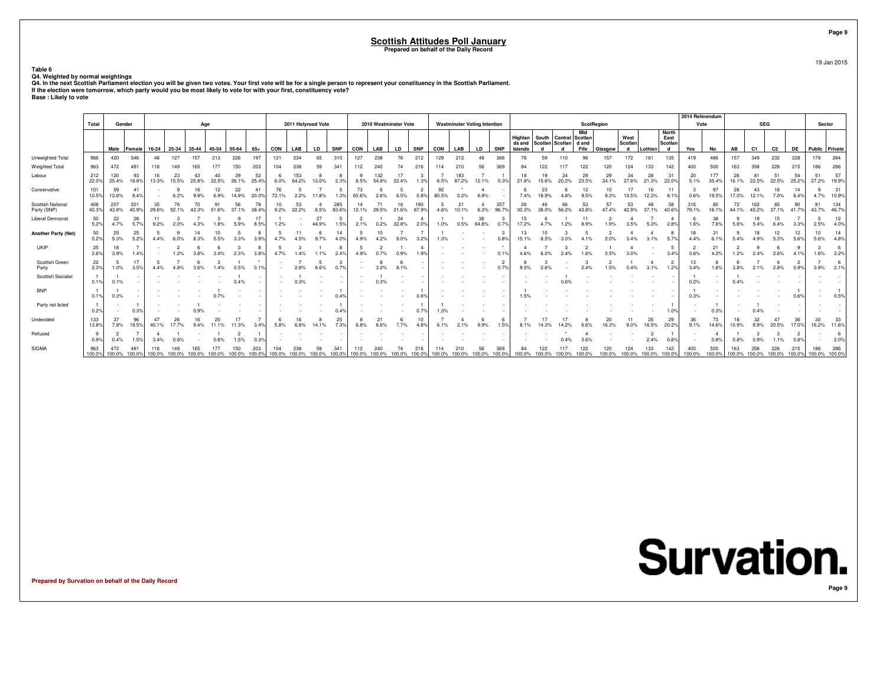**Table 6**

Q4. Weighted by normal weightings<br>Q4. In the next Scottish Parliament election you will be given two votes. Your first vote will be for a single person to represent your constituency in the Scottish Parliament.<br>If the elec

| <b>Base: Likely to vote</b> |  |
|-----------------------------|--|
|-----------------------------|--|

|                                  |              |                             |              |             |             |                      |             |             |                       |        |                    |             |              |             |              |                       |                        |             |                                     |             |              |                   |        |                                                   |             |             |                 |             |                                 | 2014 Referendum |               |             |                |                |                        |                      |              |
|----------------------------------|--------------|-----------------------------|--------------|-------------|-------------|----------------------|-------------|-------------|-----------------------|--------|--------------------|-------------|--------------|-------------|--------------|-----------------------|------------------------|-------------|-------------------------------------|-------------|--------------|-------------------|--------|---------------------------------------------------|-------------|-------------|-----------------|-------------|---------------------------------|-----------------|---------------|-------------|----------------|----------------|------------------------|----------------------|--------------|
|                                  | Total        | Gender                      |              |             |             | Age                  |             |             |                       |        | 2011 Holyrood Vote |             |              |             |              | 2010 Westminster Vote |                        |             | <b>Westminster Voting Intention</b> |             |              |                   |        |                                                   | ScotRegion  |             |                 |             |                                 | Vote            |               |             | <b>SEG</b>     |                |                        | Sector               |              |
|                                  |              |                             |              |             |             |                      | 45-54       |             |                       |        | LAB                |             |              |             |              |                       | <b>SNP</b>             |             |                                     |             | <b>SNP</b>   | Highlan<br>ds and |        | South   Central   Scotlan<br>Scotlan Scotlan dand | Mid         |             | West<br>Scotlan | Lothian     | <b>North</b><br>East<br>Scotlan |                 |               |             |                |                |                        |                      |              |
|                                  |              | Male                        | Female       | 16-24       | 25-34       | 35-44                |             | 55-64       | $65+$                 | CON    |                    | LD          | <b>SNP</b>   | CON         | LAB          | LD                    |                        | CON         | LAB                                 | LD          |              | Islands           |        |                                                   | Fife        | Glasgow     | d               |             | d                               | Yes             | No            | AB          | C <sub>1</sub> | C <sub>2</sub> | DE                     | Public Private       |              |
| Unweighted Total                 | 966          | 420                         | 546          |             | 127         | 157                  | 213         | 226         | 197                   | 121    | 234                | 65          | 310          | 127         | 238          | 76                    | 212                    | 129         | 212                                 | 48          | 366          | 76                | 59     |                                                   |             | 157         | 172             | 161         | 135                             | 419             | 486           | 157         | 349            | 232            | 228                    | 178                  | 284          |
| Weighted Total                   | 963          | 472                         | 491          |             |             |                      |             | 150         | 203                   |        | 238                |             | 341          |             | 240          | 74                    | 216                    |             |                                     |             | 369          |                   |        |                                                   |             |             |                 |             |                                 |                 | 500           |             | 358            |                | 215                    | 186                  | 286          |
| Labour                           | 212<br>22.0% | 120<br>25.4%                | 93<br>18.8%  | 16<br>13.3% | 23<br>15.5% | 25.8%                | 40<br>22.5% | 39<br>26.1% | 52<br>25.4%           | 6.0%   | 153<br>64.2%       | 13.0%       | 2.3%         | 8.5%        | 132<br>54.8% | 17<br>22.4%           | 1.3%                   | 6.5%        | 183<br>87.2%                        | 12.1%       | 0.3%         | 21.8%             |        | 24<br>20.2%                                       | 29<br>23.5% | 29<br>24.1% | 34<br>27.6%     | 28<br>21.3% | 31<br>22.0%                     | 20<br>5.1%      | 177<br>35.4%  | 26<br>16.1% | 81<br>22.5%    | 22.5%          | 54<br>25.2%            | 51<br>27.2%          | 57<br>19.9%  |
| Conservative                     | 101<br>10.5% | 59<br>12.6%                 | -41<br>8.4%  |             |             |                      |             | 22<br>14.9% | $\mathbf{4}$<br>20.0% | 73.1%  | 2.2%               | 11.8%       | 5<br>1.3%    | 73<br>65.6% | 2.6%         | 6.5%                  | $\overline{2}$<br>0.8% | 92<br>80.5% | 0.2%                                | 6.9%        |              | 7.4%              | 18.9%  | 4.8%                                              | 9.5%        | 8.3%        | 13.5%           | 12.3%       | 8.1%                            | 0.6%            | 97<br>19.5%   | 17.0%       | 12.1%          | 7.0%           | 14<br>6.4%             | 4.7%                 | 31<br>10.9%  |
| Scottish National<br>Party (SNP) | 408<br>42.3% | 207<br>43.8%                | 201<br>40.9% | 35<br>29.6% | 52.1%       |                      |             | 56<br>37.1% | 78<br>38.4%           | 9.2%   | 53<br>22.2%        | 6.5%        | 285<br>83.6% | 12.1%       | 29.5%        | 16<br>21.6%           | 190<br>87.9%           | 4.6%        | 21                                  | 6.3%        | 357<br>96.7% | 30.3%             |        | 56.2%                                             | 43.8%       | 57<br>47.4% | 53<br>42.9%     | 37.1%       | 58<br>40.6%                     | 316<br>79.1%    | 80<br>16.1%   | 44.1%       | 162<br>45.2%   | 85<br>37.1%    | 90<br>41.7%            | 81<br>43.7%          | 134<br>46.7% |
| Liberal Democrat                 | 50<br>5.2%   | 22<br>4.7%                  | 28<br>5.7%   | 9.2%        |             |                      |             |             | 17<br>8.5%            | 1.2%   |                    | 27<br>44.9% | -5<br>1.5%   | 2.1%        |              | 24<br>32.8%           | 2.0%                   | 1.0%        | 0.5%                                | 36<br>64.8% |              |                   |        |                                                   |             |             |                 | 5.3%        | 2.8%                            | 1.6%            | 38<br>7.6%    |             |                | 15             | 3.3%                   | -5<br>2.5%           | 12<br>4.0%   |
| Another Party (Net)              | 50<br>5.2%   | 25<br>5.3%                  | 25<br>5.2%   | 4.4%        |             |                      |             |             | 3.9%                  |        |                    |             | 14           |             |              |                       | 3.2%                   |             |                                     |             |              |                   |        |                                                   |             |             |                 |             |                                 |                 | 31            |             |                | 12             | 12<br>5.6%             | 10<br>5.6%           | 14<br>4.8%   |
| UKIP                             | 25<br>2.6%   | 18<br>3.9%                  | 1.4%         |             |             |                      |             | 2.3%        | -8<br>$3.8^{\circ}$   |        | .4%                |             | 8<br>2.4%    |             |              | 0.9%                  | 1.9%                   |             |                                     |             |              |                   |        |                                                   |             |             |                 |             | 3.4%                            | 0.6%            | 21<br>4.2%    | 1.2%        | 2.4%           | 2.6%           |                        | 1.6%                 | 6<br>2.2%    |
| Scottish Green<br>Party          | 22<br>2.3%   | -5<br>1.0%                  | 3.5%         | 4.4%        |             |                      |             |             |                       |        | 2.8%               | 8.6%        | 3<br>0.7%    |             |              |                       |                        |             |                                     |             |              |                   |        |                                                   |             |             |                 | 3.1%        | 1.2%                            | 13<br>3.4%      | 1.6%          |             |                |                | $\overline{2}$<br>0.9% | 3.9%                 | 6<br>2.1%    |
| <b>Scottish Socialist</b>        | 0.1%         | 0.1%                        |              |             |             |                      |             |             |                       |        |                    |             |              |             |              |                       |                        |             |                                     |             |              |                   |        |                                                   |             |             |                 |             |                                 | 0.2%            |               |             |                |                |                        |                      |              |
| <b>BNP</b>                       | 0.1%         | 0.3%                        |              |             |             |                      |             |             |                       |        |                    |             | 0.4%         |             |              |                       | 0.6%                   |             |                                     |             |              | 1.5%              |        |                                                   |             |             |                 |             |                                 | 0.3%            |               |             |                |                | 0.6%                   |                      | 0.5%         |
| Party not listed                 | 0.2%         |                             | 0.3%         |             |             |                      |             |             |                       |        |                    |             |              |             |              |                       |                        |             |                                     |             |              |                   |        |                                                   |             |             |                 |             |                                 |                 | 0.3%          |             |                |                |                        |                      |              |
| Undecided                        | 133<br>13.8% | 37<br>7.8%                  | 96<br>19.5%  | 40.1%       |             |                      |             |             |                       |        |                    |             | 25           |             |              | 7.7%                  | 4.8%                   |             |                                     | 9.9%        | 1.5%         |                   |        |                                                   |             |             |                 | 18.5%       | 29<br>20.2%                     | 9.1%            | 73<br>14.6%   | 10.9%       | 8.9%           | 20.5%          | 36<br>17.0%            | 30<br>16.2%          | 33<br>11.6%  |
| Refused                          | 0.9%         | 0.4%                        | 1.5%         | 3.4%        |             |                      |             | 1.5%        | 0.3%                  |        |                    |             |              |             |              |                       |                        |             |                                     |             |              |                   |        |                                                   |             |             |                 | 2.4%        | 0.6%                            |                 | 0.8%          |             |                |                | 0.8%                   |                      | 6<br>2.0%    |
| SIGMA                            | 963          | 472<br>100.0% 100.0% 100.0% |              |             |             | 100.0% 100.0% 100.0% | 100.0%      |             | 100.0% 100.0%         | 100.0% | 100.0%             | 100.0%      | 100.0%       | 100.0%      | 100.0%       | 100.0%                | 100.0%                 | 100.0%      | 100.0%                              | 100.0%      | 100.0%       | 100.0%            | 100.0% | 100.0%                                            | 100.0%      | 100.0%      | 100.0%          |             | 100.0% 100.0%                   | 100.0%          | 500<br>100.0% | 100.0%      | 358<br>100.0%  | 228<br>100.0%  | 215<br>100.0%          | 186<br>100.0% 100.0% | 286          |

**Prepared by Survation on behalf of the Daily Record**



19 Jan 2015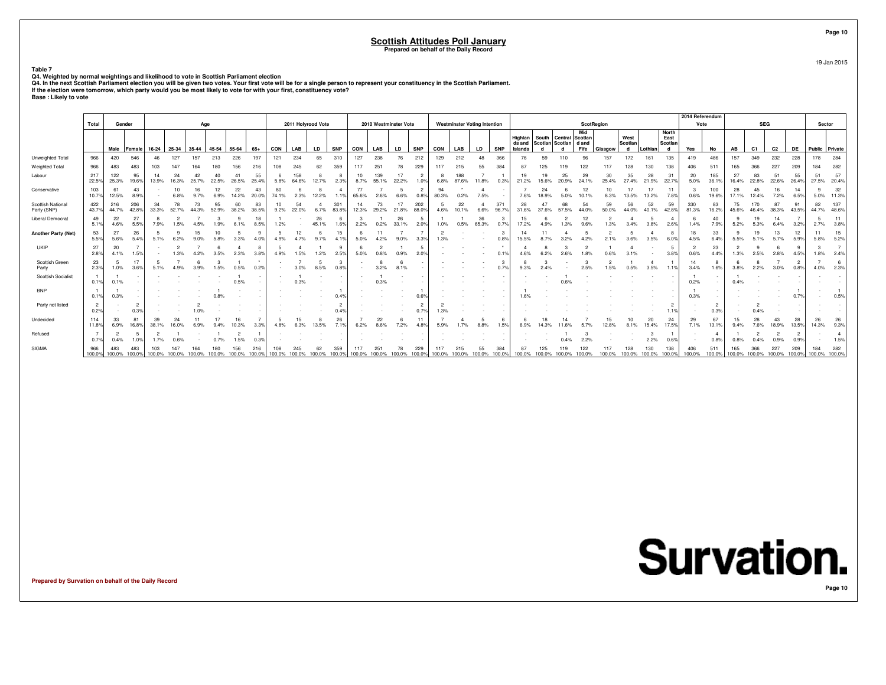**Table 7**

Q4. Weighted by normal weightings and likelihood to vote in Scottish Parliament election<br>Q4. In the next Scottish Parliament election you will be given two votes. Your first vote will be for a single person to represent yo

|                                  |                        |              |                      |       |               |        |             |             |               |               |              |                    |               |               |                       |               |                |        |                                     |              |               |                    |        |                                                           |             |             |                      |             |                                      | 2014 Referendum        |                        |               |                             |                |                        |                      |                        |
|----------------------------------|------------------------|--------------|----------------------|-------|---------------|--------|-------------|-------------|---------------|---------------|--------------|--------------------|---------------|---------------|-----------------------|---------------|----------------|--------|-------------------------------------|--------------|---------------|--------------------|--------|-----------------------------------------------------------|-------------|-------------|----------------------|-------------|--------------------------------------|------------------------|------------------------|---------------|-----------------------------|----------------|------------------------|----------------------|------------------------|
|                                  | Total                  | Gender       |                      |       |               |        | Age         |             |               |               |              | 2011 Holyrood Vote |               |               | 2010 Westminster Vote |               |                |        | <b>Westminster Voting Intention</b> |              |               |                    |        |                                                           | ScotRegion  |             |                      |             |                                      | Vote                   |                        |               | <b>SEG</b>                  |                |                        | Sector               |                        |
|                                  |                        | Male         | Female               | 16-24 | 25-34         | 35-44  | 45-54       | 55-64       | $65+$         | CON           | LAB          | <b>LD</b>          | <b>SNP</b>    | <b>CON</b>    | LAB                   | <b>LD</b>     | <b>SNP</b>     | CON    | LAB                                 | <b>LD</b>    | <b>SNP</b>    | Highlan<br>Islands |        | South   Central   Scotlan<br>ds and Scotlan Scotlan d and | Mid<br>Fife | Glasgow     | West<br>Scotlan      | Lothian     | <b>North</b><br>East<br>Scotlan<br>d | Yes                    | No                     | AB            | C <sub>1</sub>              | C <sub>2</sub> | <b>DE</b>              | Public Private       |                        |
| Unweighted Total                 | 966                    | 420          | 546                  |       | 127           | 157    | 213         | 226         | 197           | 121           | 234          | 65                 | 310           | 127           | 238                   | 76            | 212            | 129    | 212                                 | 48           | 366           |                    | 59     | 110                                                       |             | 157         | 172                  | 161         | 135                                  | 419                    | 486                    | 157           | 349                         | 232            | 228                    | 178                  | 284                    |
| Weighted Total                   | 966                    | 483          | 483                  |       |               |        |             | 156         |               | 108           |              |                    | 359           | 117           | 251                   | 78            | 229            |        | 215                                 | 55           | 384           |                    |        |                                                           |             |             |                      | 130         | 138                                  | 406                    | 511                    | 165           |                             | 227            | 209                    | 184                  | 282                    |
| Labour                           | 217<br>22.5%           | 122<br>25.3% | 95<br>19.6%          | 13.9% | 24<br>16.3%   | 25.7%  | 22.5%       | 41<br>26.5% | 55<br>25.4%   | 5.8%          | 158<br>64.6% | 12.7%              | 2.3%          | 10<br>8.7%    | 139<br>55.1%          | 17<br>22.2%   | 1.0%           | 6.8%   | 188<br>87.6%                        | 11.8%        | 0.3%          | 21.2%              | 15.6%  | 25<br>20.9%                                               | 29          | 30          | 35<br>27.4%          | 28<br>21.9% | 31<br>22.7%                          | 20<br>5.0%             | 185<br>36.1%           | 27<br>16.4%   | 83<br>22.8%                 | 51<br>22.6%    | 55<br>26.4%            | 51<br>27.5%          | 57<br>20.4%            |
| Conservative                     | 103<br>10.7%           | 61<br>12.5%  | 43<br>8.9%           |       | 10<br>6.8%    | 9.7%   | 6.9%        | 22<br>14.2% | 43<br>20.0%   | 74.1%         | 2.3%         | 12.2%              |               | 77<br>65.6%   | 2.6%                  | 6.6%          | 2<br>0.8%      | 80.3%  | 0.2%                                | 7.5%         |               | 7.6%               | 18.9%  | 5.0%                                                      | 12<br>10.1% | 8.3%        | 17<br>13.5%          | 17<br>13.2% | 11<br>7.8%                           | 0.6%                   | 100<br>19.6%           | 28<br>17.1%   | 12.4%                       | 7.2%           | 14<br>6.5%             | 5.0%                 | 32<br>11.3%            |
| Scottish National<br>Party (SNP) | 422<br>43.7%           | 216<br>44.7% | 206<br>42.8%         | 33.3% | 52.7%         |        | 95<br>52.9% | 60<br>38.2% | 83<br>38.5%   | 9.2%          | 54<br>22.0%  | 6.7%               | 301<br>83.8%  | 14<br>12.3%   | 73<br>29.2%           | 21.8%         | 202<br>88.0%   | 4.6%   | 22<br>10.1%                         | 6.6%         | 371<br>96.7%  | 28<br>31.6%        |        | 57.5%                                                     | 44.0%       | 59<br>50.0% | 56<br>44.0%          | 52<br>40.1% | 59<br>42.8%                          | 330<br>81.3%           | 83<br>16.2%            | 75<br>45.6%   | 170<br>46.4%                | 87<br>38.3%    | 91<br>43.5%            | 82<br>44.7%          | 137<br>48.6%           |
| <b>Liberal Democrat</b>          | 49<br>5.1%             | 22<br>4.6%   | 27<br>5.5%           | 7.9%  |               |        |             |             | 8.5%          | 1.2%          |              | 28<br>45.1%        | 1.6%          | 2.2%          | 0.2%                  | 26<br>33.1%   | -5<br>2.0%     | 1.0%   | 0.5%                                | 36<br>65.3%  | 0.7%          | 15<br>17.2%        |        |                                                           |             |             |                      |             | -4<br>2.6%                           | 1.4%                   | 40<br>7.9%             | 5.2%          | 19<br>5.3%                  | 14             | 3.2%                   | 2.7%                 | 11<br>3.8%             |
| <b>Another Party (Net)</b>       | 53<br>5.5%             | 27<br>5.6%   | 26<br>5.4%           |       |               |        |             |             |               |               | 12           |                    | 15            | 5.0%          | 4.2%                  | 9.0%          | 3.3%           |        |                                     |              | 0.8%          | 14<br>15.5%        |        |                                                           |             |             |                      | 3.5%        | 8<br>6.0%                            | 18<br>4.5%             | 33<br>6.4%             | 5.5%          |                             |                | 12<br>5.9%             | 5.8%                 | 15<br>5.2%             |
| UKIP                             | 27<br>2.8%             | 20<br>4.1%   | 1.5%                 |       |               |        | 3.5%        | 2.3%        | 3.8%          | 4.9%          | 1.5%         | 1.2%               | 2.5%          | 5.0%          | 0.8%                  | 0.9%          | 5<br>2.0%      |        |                                     |              | 0.1%          |                    |        |                                                           |             |             |                      |             | -5<br>3.8%                           | $\overline{2}$<br>0.6% | 23<br>4.4%             | 1.3%          | 2.5%                        | 2.8%           | 4.5%                   | 1.8%                 | 2.4%                   |
| Scottish Green<br>Party          | 23<br>2.3%             | -5<br>1.0%   | 17<br>3.6%           | 5.1%  |               |        | .5%         | 0.5%        |               |               |              | 8.5%               | -3<br>0.8%    |               | 3.2%                  | 8.1%          |                |        |                                     |              | 0.7%          | 9.3%               |        |                                                           |             | .5%         |                      | 3.5%        | 1.1%                                 | 14<br>3.4%             | 8<br>1.6%              | 3.8%          | 2.2%                        | 3.0%           | $\overline{2}$<br>0.8% | 4.0%                 | 6<br>2.3%              |
| <b>Scottish Socialist</b>        | 0.1%                   | 0.1%         |                      |       |               |        |             | 0.5%        |               |               |              |                    |               |               |                       |               |                |        |                                     |              |               |                    |        |                                                           |             |             |                      |             |                                      | 0.2%                   | $\sim$                 | 0.4%          |                             |                |                        |                      |                        |
| <b>BNP</b>                       | 0.1%                   | 0.3%         |                      |       |               |        |             |             |               |               |              |                    | 0.4%          |               |                       |               | 0.6%           |        |                                     |              |               |                    |        |                                                           |             |             |                      |             |                                      | 0.3%                   |                        |               |                             |                | 0.79                   |                      | 0.5%                   |
| Party not listed                 | $\overline{2}$<br>0.2% |              | 0.3%                 |       |               |        |             |             |               |               |              |                    |               |               |                       |               | $\overline{2}$ |        |                                     |              |               |                    |        |                                                           |             |             |                      |             | 1.1%                                 |                        | $\overline{2}$<br>0.3% |               |                             |                |                        |                      |                        |
| Undecided                        | 114<br>11.8%           | 33<br>6.9%   | 16.8%                | 38.1% |               |        |             |             |               | 4.8%          |              | 13.5%              | 26            | 6.2%          | 22<br>8.6%            | 7.2%          | 4.8%           | 5.9%   | 1.7%                                | 8.8%         | 1.5%          |                    |        |                                                           |             |             |                      | 20<br>15.4% | 24<br>17.5%                          | 29<br>7.1%             | 67<br>13.1%            | 9.4%          | 7.6%                        | 18.9%          | 28<br>13.5%            | 26<br>14.3%          | 26<br>9.3%             |
| Refused                          | 0.7%                   | 0.4%         | 1.0%                 | 1.7%  |               |        | 0.7%        | 1.5%        | 0.3%          |               |              |                    |               |               |                       |               |                |        |                                     |              |               |                    |        | 0.4%                                                      | 2.2%        |             |                      | 2.2%        | 0.6%                                 |                        | 4<br>0.8%              | 0.8%          | 0.4%                        | 0.9%           | 0.9%                   |                      | $\overline{4}$<br>1.5% |
| SIGMA                            | 966<br>100.0%          | 483          | 483<br>100.0% 100.0% |       | 100.0% 100.0% | 100.0% | 100.0%      |             | 100.0% 100.0% | 100.0% 100.0% |              | 100.0%             | 359<br>100.0% | 117<br>100.0% | 100.0%                | 100.0% 100.0% | 229            | 100.0% | 215<br>100.0%                       | 55<br>100.0% | 384<br>100.0% | 100.0%             | 100.0% | 100.0%                                                    | 100.0%      | 100.0%      | 100.0% 100.0% 100.0% |             | 138                                  | 100.0%                 | 511<br>100.0%          | 165<br>100.0% | 366<br>100.0% 100.0% 100.0% | 227            | 209                    | 184<br>100.0% 100.0% | 282                    |

**Prepared by Survation on behalf of the Daily Record**

**Page 10**

19 Jan 2015

**Page 10**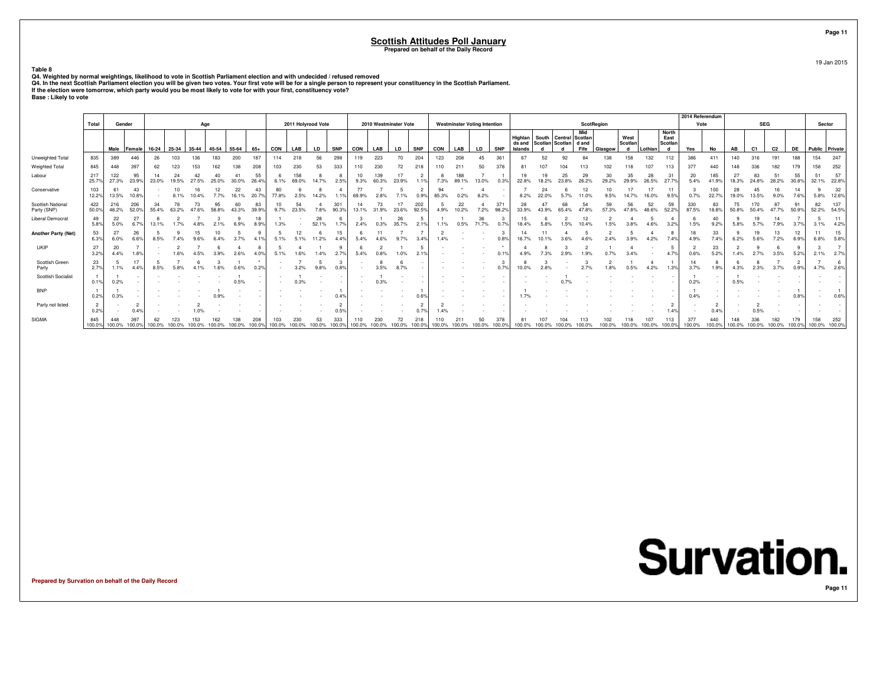**Table 8**

Q4. Weighted by normal weightings, likelihood to vote in Scottish Parliament election and with undecided / refused removed<br>Q4. In the next Scottish Parliament election you will be given two votes. Your first vote will be f

|                                  | Total                  | Gender               |               |             |               | Age   |       |                      |             |               | 2011 Holyrood Vote |             |               |               |               | 2010 Westminster Vote |                        |             | <b>Westminster Voting Intention</b> |              |               |                   |       |                                                    | ScotRegion  |             |                 |               |                 | 2014 Referendum<br>Vote |               |               | <b>SEG</b>     |                      |             | Sector               |              |
|----------------------------------|------------------------|----------------------|---------------|-------------|---------------|-------|-------|----------------------|-------------|---------------|--------------------|-------------|---------------|---------------|---------------|-----------------------|------------------------|-------------|-------------------------------------|--------------|---------------|-------------------|-------|----------------------------------------------------|-------------|-------------|-----------------|---------------|-----------------|-------------------------|---------------|---------------|----------------|----------------------|-------------|----------------------|--------------|
|                                  |                        |                      |               |             |               |       |       |                      |             |               |                    |             |               |               |               |                       |                        |             |                                     |              |               |                   |       |                                                    | Mid         |             |                 |               | <b>North</b>    |                         |               |               |                |                      |             |                      |              |
|                                  |                        |                      |               |             |               |       |       |                      |             |               |                    |             |               |               |               |                       |                        |             |                                     |              |               | Highlan<br>ds and |       | South   Central   Scotlan<br>Scotlan Scotlan d and |             |             | West<br>Scotlan |               | East<br>Scotlan |                         |               |               |                |                      |             |                      |              |
|                                  |                        | Male                 | <b>Female</b> | $16-24$     | 25-34         | 35-44 | 45-54 | 55-64                | 65+         | CON           | LAB                | LD          | <b>SNP</b>    | CON           | LAB           | LD                    | <b>SNP</b>             | CON         | LAB                                 | LD           | <b>SNP</b>    | Islands           |       |                                                    | Fife        | Glasgow     | d               | Lothian       | d               | Yes                     | No            | AB            | C <sub>1</sub> | C <sub>2</sub>       | <b>DE</b>   | Public Private       |              |
| Unweighted Total                 | 835                    | 389                  | 446           | 26          | 103           | 36    | 183   | 200                  | 187         | 114           | 218                | 56          | 298           | 119           | 223           | 70                    | 204                    | 123         | 208                                 | 45           | 361           | 67                | 52    | 92                                                 |             | 138         | 158             | 132           | 112             | 386                     | 411           | 140           | 316            | 191                  | 188         | 154                  | 247          |
| Weighted Total                   | 845                    | 448                  | 397           |             | 123           |       |       | 138                  | 208         | 103           | 230                |             | 333           | 110           | 230           | 72                    | 218                    |             | 211                                 | 50           | 378           | 81                | 107   |                                                    |             | 102         |                 | 107           | 113             | 377                     | 440           | 148           | 336            | 182                  |             | 158                  | 252          |
| Labour                           | 217<br>25.7%           | 122<br>27.3%         | 95<br>23.99   | 23.0%       | 19.5%         | 27.5% | 25.0% | 30.0%                | 55<br>26.4% | 6.1%          | 158<br>69.0%       | 14.7%       | 2.5%          | 10<br>9.3%    | 139<br>60.3%  | 23.9%                 | 19                     | 7.3%        | 89.1%                               | 13.0%        | 0.3%          | 19<br>22.8%       | 18.2% | 25<br>23.8%                                        | 29<br>26.2% | 30<br>29.2% | 35<br>29.9%     | 26.5%         | 31<br>27.7%     | 20<br>5.4%              | 185<br>41.9%  | 27<br>18.3%   | 83<br>24.8%    | 51<br>28.2%          | 55<br>30.8% | 51<br>32.1%          | 57<br>22.8%  |
| Conservative                     | 103<br>12.2%           | 61<br>13.5%          | 43<br>10.8%   |             | 10<br>8.1%    |       |       | 22<br>16.1%          | 43<br>20.7% | 80<br>77.8%   | 2.5%               | 14.2%       | 1.19          | 77<br>69.9%   |               | 7.1%                  | $\overline{2}$<br>0.9% | 94<br>85.3% | 0.2%                                | 8.2%         |               | 8.2%              |       |                                                    | 12          | 10<br>9.5%  | 14.7%           | 16.0%         | 11<br>9.5%      | 0.7%                    | 100<br>22.7%  | 28<br>19.0%   | 45<br>13.5%    | 16<br>9.0%           | 14<br>7.6%  | -9<br>5.8%           | 32<br>12.6%  |
| Scottish National<br>Party (SNP) | 422<br>50.0%           | 216<br>48.2%         | 206<br>52.09  | 34<br>55.4% | 78<br>63.2%   |       | 58.8% | 60                   | 83<br>39.9% | 10<br>9.7%    | 54<br>23.5%        |             | 301<br>90.3%  | 14<br>13.1%   | 73<br>31.9%   | 23.6%                 | 202<br>92.5%           | 4.9%        | 22<br>10.2%                         | 7.2%         | 371<br>98.2%  | 28<br>33.9%       |       | 68                                                 | 54          | 59<br>57.3% | 56<br>47.8%     | 52<br>48.6%   | 59<br>52.2%     | 330<br>87.5%            | 83<br>18.8%   | 75<br>50.8%   | 70             | 87<br>47.7%          | 91<br>50.9% | 82<br>52.2%          | 137<br>54.5% |
| <b>Liberal Democrat</b>          | 49<br>5.8%             | 22<br>5.0%           | 27<br>6.7%    | 13.1%       | 1.7%          |       | 2.1%  | 6.9%                 | 18<br>8.9%  |               |                    | 28<br>52.1% | 1.7%          | 2.4%          | 0.3%          | 26<br>35.7%           | -5<br>2.1%             | 1.1%        | 0.5%                                | 36<br>71.7%  | 0.7%          | 15<br>18.4%       |       | 1.5%                                               | 12<br>10.4% | 1.5%        | 3.8%            | 4.6%          | 3.2%            | 1.5%                    | 40<br>9.2%    | 5.8%          | 19<br>5.7%     | 14<br>7.9%           | 3.7%        | 3.1%                 | 11<br>4.2%   |
| <b>Another Party (Net)</b>       | 53<br>6.3%             | 27<br>6.0%           | 26<br>6.6%    | 8.5%        |               |       |       |                      |             |               |                    | 11.2%       | 15<br>4.49    | 5.4%          |               |                       | 3.49                   |             |                                     |              |               | 16.7%             |       |                                                    |             |             | 3.9%            | 4.2%          | 7.4%            | 4.9%                    | 33<br>7.4%    | 6.2%          | 19<br>5.6%     | 7.2%                 | 6.9%        | 6.8%                 | 15<br>5.8%   |
| UKIP                             | 27<br>3.2%             | 20<br>4.4%           | 1.8%          |             |               |       |       |                      |             | 5.1%          | 1.6%               | .4%         | 2.7%          | 5.4%          |               | 1.0%                  |                        |             |                                     |              | 0.1%          |                   |       |                                                    |             |             |                 |               | 4.7%            | 0.6%                    | 23<br>5.2%    | 1.4%          | 2.7%           | 3.5%                 | 5.2%        | 2.1%                 | 2.7%         |
| Scottish Green<br>Party          | 23<br>2.7%             | 1.1%                 | 17<br>4.4%    | 8.5%        |               |       |       |                      |             |               | 3.2%               | 9.8%        | 0.8%          |               | 3.5%          | 8.7%                  |                        |             |                                     |              |               | 10.0%             |       |                                                    |             |             |                 | 4.2%          | 1.3%            | 3.7%                    | 8<br>1.9%     | 4.3%          |                |                      | 0.9%        | 4.7%                 | 2.6%         |
| <b>Scottish Socialist</b>        | 0.1%                   | 0.2%                 |               |             |               |       |       | 0.5%                 |             |               | 0.3%               |             |               |               | 0.3%          |                       |                        |             |                                     |              |               |                   |       |                                                    |             |             |                 |               |                 | 0.2%                    | $\sim$        | 0.5%          |                |                      |             |                      |              |
| <b>BNP</b>                       | 0.2%                   | 0.3%                 |               |             |               |       |       |                      |             |               |                    |             | 0.49          |               |               |                       | 0.6%                   |             |                                     |              |               |                   |       |                                                    |             |             |                 |               |                 | 0.4%                    |               |               |                |                      | 0.8%        |                      | 0.6%         |
| Party not listed                 | $\overline{2}$<br>0.2% |                      | 0.4%          |             |               |       |       |                      |             |               |                    |             | 0.5%          |               |               |                       | ີ                      |             |                                     |              |               |                   |       |                                                    |             |             |                 |               | 1.4%            |                         | 2<br>0.49     |               | 0.5%           |                      |             |                      |              |
| SIGMA                            | 845<br>100.0%          | 448<br>100.0% 100.0% | 397           | 100.0%      | 123<br>100.0% |       |       | 100.0% 100.0% 100.0% | 100.0%      | 103<br>100.0% | 230<br>100.0%      | 100.0%      | 333<br>100.0% | 110<br>100.0% | 230<br>100.0% | 72<br>100.0%          | 100.0%                 | 100.0%      | 100.0%                              | 50<br>100.0% | 378<br>100.0% | 100.0%            |       | 100.0%                                             | 100.0%      | 100.0%      | 100.0%          | 100.0% 100.0% |                 | 377<br>100.0%           | 440<br>100.0% | 148<br>100.0% | 336<br>100.0%  | 182<br>100.0% 100.0% |             | 158<br>100.0% 100.0% | 252          |

**Prepared by Survation on behalf of the Daily Record**

**Page 11**19 Jan 2015

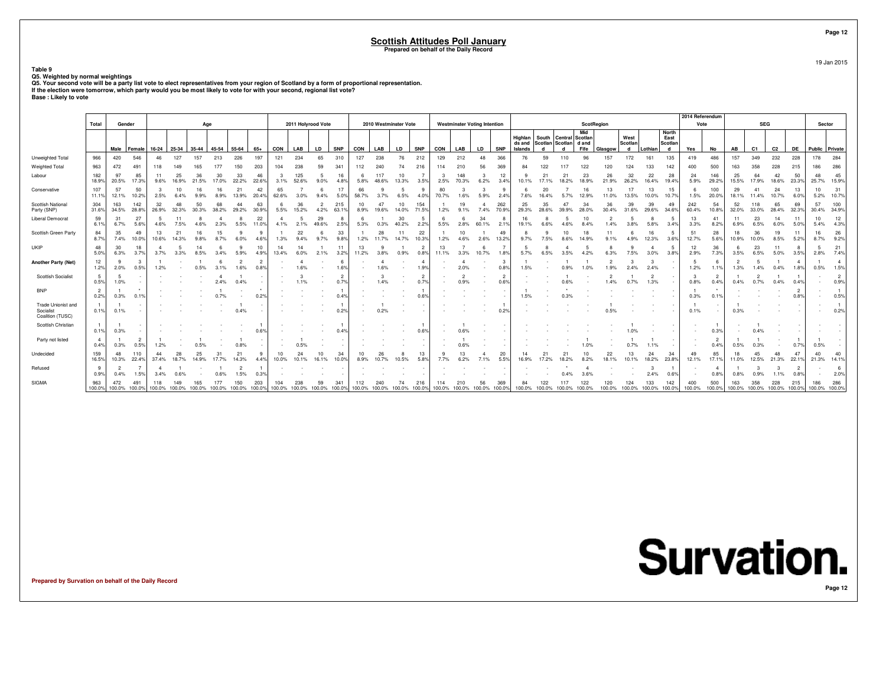**Table 9**

Q5. Weighted by normal weightings<br>Q5. Your second vote will be a party list vote to elect representatives from your region of Scotland by a form of proportional representation.<br>Q5. Your second vote will be a party list vot

|                                                     | Total                  | Gender                 |                             |             |             |             | Age                                       |                         |             |             | 2011 Holyrood Vote                 |             |                        |                          | 2010 Westminster Vote              |             |                        |                                    | <b>Westminster Voting Intention</b> |             |                        |                   |               |                             | <b>ScotRegion</b> |             |                                    |             |                      | 2014 Referendum<br>Vote |                        |                        | <b>SEG</b>   |                                    |                        | Sector               |                        |
|-----------------------------------------------------|------------------------|------------------------|-----------------------------|-------------|-------------|-------------|-------------------------------------------|-------------------------|-------------|-------------|------------------------------------|-------------|------------------------|--------------------------|------------------------------------|-------------|------------------------|------------------------------------|-------------------------------------|-------------|------------------------|-------------------|---------------|-----------------------------|-------------------|-------------|------------------------------------|-------------|----------------------|-------------------------|------------------------|------------------------|--------------|------------------------------------|------------------------|----------------------|------------------------|
|                                                     |                        |                        |                             |             |             |             |                                           |                         |             |             |                                    |             |                        |                          |                                    |             |                        |                                    |                                     |             |                        | Highlan           | South Central |                             | Mid<br>Scotlan    |             | West                               |             | <b>North</b><br>East |                         |                        |                        |              |                                    |                        |                      |                        |
|                                                     |                        | Male                   | Female                      | 16-24       | 25-34       | 35-44       | 45-54                                     | 55-64                   | $65+$       | CON         | LAB                                | LD          | <b>SNP</b>             | CON                      | LAB                                | LD          | <b>SNP</b>             | CON                                | LAB                                 | <b>LD</b>   | <b>SNP</b>             | ds and<br>Islands | d             | Scotlan Scotlan d and<br>d  | Fife              | Glasgow     | Scotlan<br>d                       | Lothian     | Scotlan<br>d         | Yes                     | No                     | AB                     | C1           | C2                                 | <b>DE</b>              | Public Private       |                        |
| Unweighted Total                                    | 966                    | 420                    | 546                         | 46          | 127         | 157         | 213                                       | 226                     | 197         | 121         | 234                                | 65          | 310                    | 127                      | 238                                | 76          | 212                    | 129                                | 212                                 | 48          | 366                    | 76                | 59            | 110                         | 96                | 157         | 172                                | 161         | 135                  | 419                     | 486                    | 157                    | 349          | 232                                | 228                    | 178                  | 284                    |
| Weighted Total                                      | 963                    | 472                    | 491                         | 118         |             |             |                                           | 150                     | 203         | 104         | 238                                |             | 341                    | 112                      | 240                                | 74          | 216                    | 114                                | 210                                 | 56          | 369                    |                   | 122           |                             | 122               | 120         | 124                                | 133         | 142                  | 400                     | 500                    | 163                    | 358          | 228                                | 215                    | 186                  | 286                    |
| Labour                                              | 182<br>18.9%           | 97<br>20.5%            | 85<br>17.3%                 | 11<br>9.6%  | 25<br>16.9% | 36<br>21.5% | 30<br>17.0%                               | 33<br>22.2%             | 46<br>22.6% | -3<br>3.1%  | 125<br>52.6%                       | 9.0%        | 16<br>4.8%             | 5.8%                     | 117<br>48.6%                       | 10<br>13.3% | 3.5%                   | 3<br>2.5%                          | 148<br>70.3%                        | 3<br>6.2%   | 12<br>3.4%             | 10.1%             |               | 21                          | 23                | 26<br>21.9% | 32<br>26.2%                        | 22<br>16.4% | 28<br>19.4%          | 24<br>5.9%              | 146<br>29.2%           | 25<br>15.5%            | 64<br>17.9%  | 42<br>18.6%                        | 50<br>23.3%            | 48<br>25.7% 15.9%    | 45                     |
| Conservative                                        | 107<br>11.19           | 57<br>12.1%            | 50<br>10.2%                 | 2.5%        | 10<br>6.4%  | 9.9%        | 16<br>8.9%                                | 13.9%                   | 42<br>20.4% | 65<br>62.6% | 3.0%                               | 9.4%        | 17<br>$5.0^{\circ}$    | 66<br>58.7%              |                                    | 6.5%        | 4.0°                   | 80<br>70.7%                        | 1.6%                                | 5.9%        | 9<br>2.4%              | 7.6%              | 20<br>16.4%   | 5.7%                        | 16<br>12.9%       | 13<br>11.0% | 17<br>13.5%                        | 13<br>10.0% | 15<br>$10.7^{\circ}$ | 1.5%                    | 100<br>20.0%           | 29<br>18.1%            | 41<br>11.4%  | 24<br>10.7%                        | 13<br>6.0%             | 10<br>5.2%           | 31<br>10.7%            |
| <b>Scottish National</b><br>Party (SNP)             | 304<br>31.6%           | 163<br>34.5%           | 142<br>28.8%                | 32<br>26.9% | 48<br>32.3% | 50<br>30.3% | 68<br>38.2%                               | $\Delta\Delta$<br>29.2% | 63<br>30.9% | 6<br>5.5%   | 36<br>15.2%                        | 4.2%        | 215<br>63.1%           | 10 <sup>10</sup><br>8.9% | 47<br>19.6%                        | 10<br>14.0% | 154<br>71.5%           | 1.2%                               | 19<br>9.1%                          | 7.4%        | 262<br>70.9%           | 25<br>29.3%       | 35<br>28.6%   | 47<br>39.9%                 | 34<br>28.0%       | 36<br>30.4% | 39<br>31.6%                        | 39<br>29.6% | 49<br>34.6%          | 242<br>60.4%            | 54<br>10.8%            | 52<br>32.0%            | 118<br>33.0% | 65<br>28.4%                        | 69<br>32.3%            | 57<br>30.4%          | 100<br>34.9%           |
| <b>Liberal Democrat</b>                             | 59<br>6.1%             | 31<br>6.7%             | 27<br>5.6%                  | -5<br>4.6%  | 11<br>7.5%  |             | 2.3%                                      | 5.5%                    | 22<br>11.0% | 4<br>4.1%   | -5<br>2.1%                         | 29<br>49.6% | -8<br>2.5%             | 5.3%                     | 0.3%                               | 30<br>40.2% | -5<br>2.2%             | 6<br>5.5%                          | -6<br>2.8%                          | 34<br>60.1% | 8<br>$2.1^{\circ}$     | 16<br>19.1%       |               |                             | 10                | 1.4%        | 3.8%                               | 5.8%        | 3.4%                 | 13<br>3.3%              | 41<br>8.2%             | 11<br>6.9%             | 23<br>6.5%   | 14<br>6.0%                         | 11<br>5.0%             | 10<br>5.4%           | 12<br>4.3%             |
| Scottish Green Party                                | 84<br>8.7%             | 35<br>7.4%             | 49<br>10.0%                 | 13<br>10.6% | 21<br>14.3% | 16          | 15<br>8.7%                                |                         |             | 1.3%        | 22<br>9.4%                         | 9.7%        | 33<br>9.8%             | 1.2%                     | 28                                 | 14.7%       | 22<br>10.3%            | 1.2%                               | 10<br>4.6%                          | 2.6%        | 49<br>13.29            | 9.7%              |               |                             | 18                | 11          | 4.9%                               | 12.3%       | 3.6%                 | 51<br>12.7%             | 28<br>5.6%             | 18<br>10.9%            | 36<br>10.0%  | 19<br>8.5%                         | 11<br>5.2%             | 16<br>8.7%           | 26<br>9.2%             |
| <b>UKIP</b>                                         | 48<br>5.0%             | 30<br>6.3%             | 18<br>3.7%                  | 3.7%        |             |             | 6<br>3.4%                                 |                         | 10          | 14<br>13.4% | 14<br>6.0%                         | 2.1%        | 11<br>3.2%             | 13<br>11.2%              |                                    | 0.9%        | $\overline{2}$<br>0.8% | 13<br>11.1%                        | 3.3%                                | 6<br>10.7%  | 1.8%                   | 5<br>5.7%         |               |                             |                   |             | 7.5%                               | -4<br>3.0%  | -5.<br>3.8%          | 12<br>2.9%              | 36<br>7.3%             | -6<br>3.5%             | 23<br>6.5%   | 11<br>5.0%                         | 8<br>3.5%              | 5<br>2.8%            | 21<br>7.4%             |
| <b>Another Party (Net)</b>                          | 12<br>1.2%             | - 9<br>2.0%            | 3<br>0.5%                   | 1.2%        |             | 0.5%        |                                           | $\overline{2}$<br>.6%   |             |             |                                    |             | 6<br>1.6%              |                          |                                    |             | -4<br>1.9°             |                                    | L,<br>2.0%                          |             | 3<br>0.8%              | 1.5%              |               |                             |                   |             | 2.4%                               | 3<br>2.4%   |                      | 1.2%                    | 6<br>1.1%              | $\overline{2}$<br>1.3% | 1.4%         | 0.4%                               | $\overline{4}$<br>1.8% | 0.5%                 | $\overline{4}$<br>1.5% |
| <b>Scottish Socialist</b>                           | 5<br>0.5%              | 5<br>1.0%              |                             |             |             |             |                                           | 0.4%                    |             |             |                                    |             | $\overline{2}$<br>0.7% |                          | 1.4%                               |             | $\overline{2}$<br>0.79 |                                    | $\overline{2}$<br>0.9%              |             | $\overline{2}$<br>0.6% |                   |               |                             |                   | 1.4%        | 0.7%                               | 1.3%        |                      | 0.8%                    | 0.4%                   | 0.4%                   | 0.7%         | 0.4%                               | 0.4%                   |                      | $\overline{2}$<br>0.9% |
| <b>BNP</b>                                          | $\overline{2}$<br>0.2% | 0.3%                   | 0.1%                        |             |             |             |                                           |                         | 0.29        |             |                                    |             | 0.4%                   |                          |                                    |             | $0.6^{\circ}$          |                                    |                                     |             |                        | 1.5%              |               |                             |                   |             |                                    |             |                      | 0.3%                    | 0.1%                   |                        |              |                                    | $\overline{2}$<br>0.8% | $\sim$               | 0.5%                   |
| Trade Unionist and<br>Socialist<br>Coalition (TUSC) | $\overline{1}$<br>0.1% | 0.1%                   |                             |             |             |             |                                           | 0.4%                    |             |             |                                    |             | 0.2%                   |                          | 0.2%                               |             |                        |                                    |                                     |             | 0.29                   |                   |               |                             |                   |             |                                    |             |                      | 0.1%                    |                        | 0.3%                   |              |                                    |                        |                      | 0.2%                   |
| Scottish Christian                                  | $\overline{1}$<br>0.1% | 0.3%                   |                             |             |             |             |                                           |                         |             |             |                                    |             | 0.4%                   |                          |                                    |             | 0.6%                   |                                    | 0.6%                                |             |                        |                   |               |                             |                   |             |                                    |             |                      |                         | 0.3%                   |                        |              |                                    |                        |                      |                        |
| Party not listed                                    | $\overline{4}$<br>0.4% | 0.3%                   | $\overline{2}$<br>0.5%      | 1.2%        |             |             |                                           | 0.8%                    |             |             |                                    |             |                        |                          |                                    |             |                        |                                    | 0.6%                                |             |                        |                   |               |                             |                   |             |                                    |             |                      |                         | $\overline{2}$<br>0.4% | 0.5%                   |              |                                    | 0.7%                   | 0.5%                 |                        |
| Undecided                                           | 159<br>16.5%           | 48<br>10.3%            | 110<br>22.4%                | 44<br>37.4% | 28<br>18.7% | 25          | 31                                        | 21<br>14.3%             | 4.4%        | 10<br>10.0% | 24                                 | 16.1%       | 34<br>10.0%            | 10<br>8.9%               | 26<br>10.7%                        | 10.5%       | 13<br>5.8%             | 7.7%                               | 13<br>6.2%                          |             | 20<br>5.5%             | 16.9%             |               | 21                          | 10<br>8.2%        | 22<br>18.1% | 13<br>10.1%                        | 18.2%       | 34<br>23.8%          | 49<br>12.1%             | 85<br>17.1%            | 18<br>11.0%            | 45           | 21.3%                              | 47<br>22.1%            | 40<br>21.3%          | 40<br>14.1%            |
| Refused                                             | 9<br>0.9%              | $\overline{2}$<br>0.4% | -7<br>1.5%                  | 3.4%        |             |             | 0.6%                                      | $\overline{2}$<br>.5%   |             |             |                                    |             |                        |                          |                                    |             |                        |                                    |                                     |             |                        |                   |               |                             |                   |             |                                    | 3<br>2.4%   | 0.6%                 |                         | 0.8%                   | 0.8%                   | 0.9%         |                                    | 2                      |                      | 6<br>2.0%              |
| <b>SIGMA</b>                                        | 963                    | 472                    | 491<br>100.0% 100.0% 100.0% | 118         |             | 165         | 100.0% 100.0% 100.0% 100.0% 100.0% 100.0% | 150                     | 203         | 104         | 238<br>100.0% 100.0% 100.0% 100.0% | 59          | 341                    | 112                      | 240<br>100.0% 100.0% 100.0% 100.0% | 74          | 216                    | 114<br>100.0% 100.0% 100.0% 100.0% | 210                                 | 56          | 369                    | 84                | 122           | 100.0% 100.0% 100.0% 100.0% | 122               | 120         | 124<br>100.0% 100.0% 100.0% 100.0% | 133         | 142                  | 400<br>100.0%           | 500<br>100.0%          | 163                    | 358          | 228<br>100.0% 100.0% 100.0% 100.0% | 215                    | 186<br>100.0% 100.0% | 286                    |

**Prepared by Survation on behalf of the Daily Record**

19 Jan 2015

**Page 12**

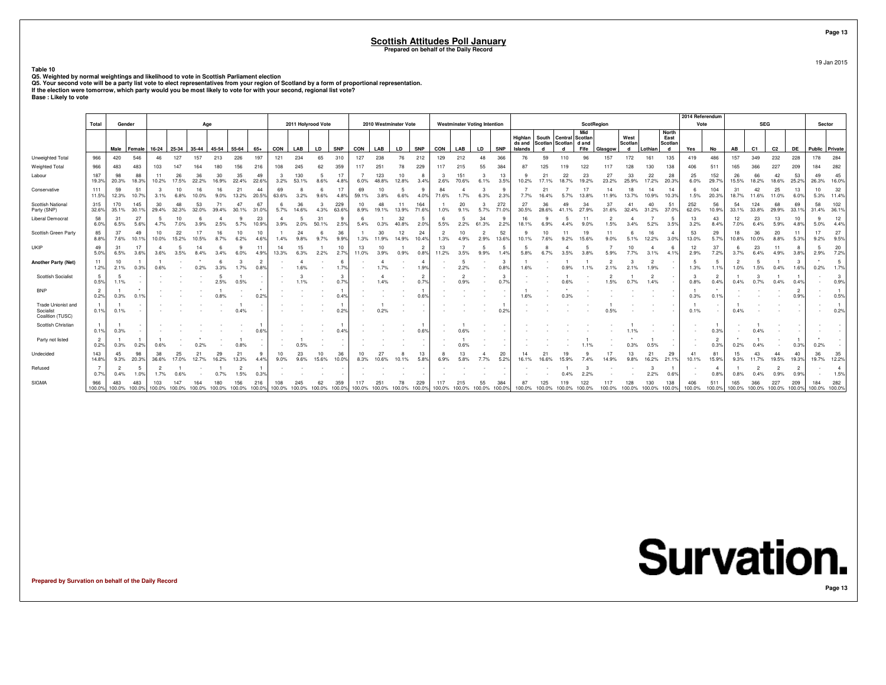**Table 10**

Q5. Weighted by normal weightings and likelihood to vote in Scottish Parliament election<br>Q5. Your second vote will be a party list vote to elect representatives from your region of Scotland by a form of proportional repres

|                                                     |                        |                        |                             |                  |             |             |                                           |             |             |                        |              |                                   |               |             |                                             |             |                        |                        |                                     |                        |                       |                   |               |                             |                          |             |                                    |             |              | 2014 Referendum |               |             |              |                                    |                        |                      |                        |
|-----------------------------------------------------|------------------------|------------------------|-----------------------------|------------------|-------------|-------------|-------------------------------------------|-------------|-------------|------------------------|--------------|-----------------------------------|---------------|-------------|---------------------------------------------|-------------|------------------------|------------------------|-------------------------------------|------------------------|-----------------------|-------------------|---------------|-----------------------------|--------------------------|-------------|------------------------------------|-------------|--------------|-----------------|---------------|-------------|--------------|------------------------------------|------------------------|----------------------|------------------------|
|                                                     | Total                  |                        | Gender                      |                  |             |             | Age                                       |             |             |                        |              | 2011 Holyrood Vote                |               |             | 2010 Westminster Vote                       |             |                        |                        | <b>Westminster Voting Intention</b> |                        |                       |                   |               |                             | <b>ScotRegion</b><br>Mid |             |                                    |             | <b>North</b> | Vote            |               |             | <b>SEG</b>   |                                    |                        | Sector               |                        |
|                                                     |                        |                        |                             |                  |             |             |                                           |             |             |                        |              |                                   |               |             |                                             |             |                        |                        |                                     |                        |                       | Highlan           | South Central |                             | Scotlan                  |             | West                               |             | East         |                 |               |             |              |                                    |                        |                      |                        |
|                                                     |                        | Male                   | Female                      | 16-24            | 25-34       | 35-44       | 45-54                                     | 55-64       | $65+$       | CON                    | LAB          | LD                                | <b>SNP</b>    | CON         | LAB                                         | LD          | <b>SNP</b>             | CON                    | LAB                                 | <b>LD</b>              | <b>SNP</b>            | ds and<br>Islands | d             | Scotlan Scotlan d and<br>d  | Fife                     | Glasgow     | Scotlan<br>d                       | Lothian     | Scotlan<br>d | Yes             | No            | AB          | C1           | C <sub>2</sub>                     | DE                     | Public Private       |                        |
| Unweighted Total                                    | 966                    | 420                    | 546                         | 46               | 127         | 157         | 213                                       | 226         | 197         | 121                    | 234          | 65                                | 310           | 127         | 238                                         | 76          | 212                    | 129                    | 212                                 | 48                     | 366                   |                   | 59            | 110                         | 96                       | 157         | 172                                | 161         | 135          | 419             | 486           | 157         | 349          | 232                                | 228                    | 178                  | 284                    |
| Weighted Total                                      | 966                    | 483                    | 483                         | 103              |             |             |                                           | 156         | 216         | 108                    |              |                                   | 359           | 117         | 251                                         | 78          | 229                    | 117                    | 215                                 | 55                     | 384                   |                   |               |                             | 122                      |             | 128                                | 130         | 138          | 406             | 511           | 165         | 366          | 227                                | 209                    | 184                  | 282                    |
| Labour                                              | 187<br>19.3%           | 98<br>20.3%            | 88<br>18.3%                 | 10.2%            | 26<br>17.5% | 36<br>22.2% | 30<br>16.9%                               | 35<br>22.4% | 49<br>22.6% | 3<br>3.2%              | 130<br>53.1% | 8.6%                              | 17<br>4.8%    | 6.0%        | 123<br>48.8%                                | 10<br>12.8% | 8<br>3.4%              | -3<br>2.6%             | 151<br>70.6%                        | 6.1%                   | 13<br>3.5%            | 10.2%             | $\mathcal{P}$ | 22<br>18.7%                 | 23<br>19.2%              | 27<br>23.2% | 33<br>25.9%                        | 22<br>17.2% | 28<br>20.3%  | 25<br>6.0%      | 152<br>29.7%  | 26<br>15.5% | 66<br>18.2%  | 42<br>18.6%                        | 53<br>25.2%            | 49<br>26.3%          | 45<br>16.0%            |
| Conservative                                        | 111<br>11.5%           | 59<br>12.3%            | 51<br>10.7%                 | 3.1%             | 10          | 16<br>10.0% | 9.0%                                      | 21<br>13.2% | 44<br>20.5% | 69<br>63.6%            | 3.2%         | 9.6%                              | 17<br>4.8°    | 69<br>59.1% | 3.8%                                        | 6.6%        | 4.0°                   | 84<br>71.6%            | 1.7%                                | 6.3%                   | 9<br>2.3%             | 7.7%              | $\mathcal{P}$ | 5.7%                        | 13.8%                    | 14<br>11.9% | 13.7%                              | 14<br>10.9% | 14<br>10.3%  | 1.5%            | 104<br>20.3%  | 31<br>18.7% | 42<br>11.6%  | 25<br>11.0%                        | 13<br>6.0%             | 10<br>5.3%           | 32<br>11.49            |
| <b>Scottish National</b><br>Party (SNP)             | 315<br>32.6%           | 170<br>35.1%           | 145<br>30.1%                | 30<br>29.4%      | 48<br>32.3% | 53<br>32.0% | 71<br>39.4%                               | 47<br>30.1% | 67<br>31.0% | 6<br>5.7%              | 36<br>14.6%  | 4.3%                              | 229<br>63.6%  | 10<br>8.9%  | 48<br>19.1%                                 | 11<br>13.9% | 164<br>71.69           | 1.0%                   | 20<br>9.1%                          | 5.7%                   | 272<br>71.0%          | 27<br>30.5%       | 36<br>28.6%   | 49                          | 34<br>27.9%              | 37          | 41<br>32.4%                        | 40<br>31.2% | 51<br>37.0%  | 252<br>62.0%    | 56<br>10.9%   | 54<br>33.1% | 124<br>33.8% | 68<br>29.9%                        | 69<br>33.1%            | 58<br>31.4% 36.1%    | 102                    |
| <b>Liberal Democrat</b>                             | 58<br>6.0%             | 31<br>6.5%             | 27<br>5.6%                  | 4.7%             | 10<br>7.0%  | 3.9%        | 2.5%                                      | 5.7%        | 23<br>10.9% | $\overline{4}$<br>3.9% | -5<br>2.0%   | 31<br>50.1%                       | q<br>2.5%     | 5.4%        |                                             | 32<br>40.8% | -5<br>2.0%             | 6<br>5.5%              | 2.2%                                | 34<br>61.3%            | 9<br>2.2%             | 16<br>18.1%       |               |                             |                          | 1.5%        | 3.4%                               | 5.2%        | 3.5%         | 13<br>3.2%      | 43<br>8.4%    | 12<br>7.0%  | 23<br>6.4%   | 13<br>5.9%                         | 10<br>4.8%             | ٩<br>5.0%            | 12<br>4.4%             |
| Scottish Green Party                                | 85<br>8.8%             | 37<br>7.6%             | 49<br>10.1%                 | 10<br>10.0%      | 22<br>15.2% | 10.5%       | 8.7%                                      | 10<br>6.2%  | 10<br>4.6%  | 1.4%                   | 24           | 9.7%                              | 36<br>9.9%    | 1.3%        | 30<br>11.9%                                 | 12<br>14.9% | 24<br>10.4%            | $\overline{2}$<br>1.3% | 10<br>4.9%                          | $\overline{2}$<br>2.9% | 52<br>13.6%           | 9<br>10.1%        |               | 11                          | 19<br>15.6%              | 11          |                                    | 16<br>12.2% | 3.0%         | 53<br>13.0%     | 29<br>5.7%    | 18<br>10.8% | 36<br>10.0%  | 20<br>8.8%                         | 11<br>5.3%             | 17<br>9.2%           | 27<br>9.5%             |
| UKIP                                                | 49<br>5.0%             | 31<br>6.5%             | 17<br>3.6%                  | $\Delta$<br>3.6% | 3.5%        | 14<br>8.4%  |                                           | 6.0%        | 11<br>4.9%  | 14<br>13.3%            | 15<br>6.3%   | 2.2%                              | 10<br>2.7%    | 13<br>11.0% | 3.9%                                        | 0.9%        | $\overline{2}$<br>0.8% | 13<br>11.2%            | 3.5%                                | 9.9%                   | 5<br>1.4%             | 5.8%              |               |                             |                          |             | 10 <sup>1</sup>                    | -4<br>3.1%  | 4.1%         | 12<br>2.9%      | 37<br>7.2%    | -6<br>3.7%  | 23<br>6.4%   | 11<br>4.9%                         | 8<br>3.8%              | -5<br>2.9%           | 20<br>7.2%             |
| <b>Another Party (Net)</b>                          | 11<br>1.2%             | 10<br>2.1%             | 0.3%                        | 0.6%             |             | 0.2%        |                                           | 3           |             | $\sim$                 | Δ<br>.6%     |                                   | 6<br>1.7%     |             | 1.7%                                        |             | $\overline{A}$<br>1.9% |                        | 5<br>2.2%                           |                        | 3<br>$0.8^{\circ}$    | 1.6%              |               |                             |                          |             |                                    | 2<br>1.9%   |              | 1.3%            | 1.1%          | 1.0%        | 1.5%         | 0.4%                               | 3<br>1.6%              | 0.2%                 | -5<br>1.7%             |
| <b>Scottish Socialist</b>                           | 5<br>0.5%              | -5<br>1.1%             |                             |                  |             |             | 2.5%                                      | 0.5%        |             |                        |              |                                   | 0.7%          |             | 1.4%                                        |             | $\overline{2}$<br>0.7% |                        | $\overline{2}$<br>0.9%              |                        | $\mathcal{B}$<br>0.7% |                   |               |                             |                          | 1.5%        | 0.7%                               | 1.4%        |              | 0.8%            | 0.4%          | 0.4%        | 0.7%         | 0.4%                               | 0.4%                   |                      | -3<br>0.9%             |
| <b>BNP</b>                                          | $\overline{2}$<br>0.2% | 0.3%                   | 0.1%                        |                  |             |             | 0.8%                                      |             | 0.29        |                        |              |                                   | 0.4%          |             |                                             |             | 0.6%                   |                        |                                     |                        |                       | 1.6%              |               |                             |                          |             |                                    |             |              | 0.3%            | 0.1%          |             |              |                                    | $\overline{2}$<br>0.9% | $\sim$               | 0.5%                   |
| Trade Unionist and<br>Socialist<br>Coalition (TUSC) | $\overline{1}$<br>0.1% | 0.1%                   |                             |                  |             |             |                                           | 0.4%        |             |                        |              |                                   | $0.2^{\circ}$ |             | 0.2%                                        |             |                        |                        |                                     |                        | $0.2^{\circ}$         |                   |               |                             |                          |             |                                    |             |              | 0.1%            |               | 0.4%        |              |                                    |                        |                      | 0.2%                   |
| Scottish Christian                                  | $\overline{1}$<br>0.1% | 0.3%                   |                             |                  |             |             |                                           |             |             |                        |              |                                   | 0.49          |             |                                             |             | 0.6%                   |                        | 0.6%                                |                        |                       |                   |               |                             |                          |             |                                    |             |              |                 | 0.3%          |             |              |                                    |                        |                      |                        |
| Party not listed                                    | $\overline{2}$<br>0.2% | 0.3%                   | 0.2%                        | 0.6%             |             |             |                                           | 0.8%        |             |                        |              |                                   |               |             |                                             |             |                        |                        | 0.6%                                |                        |                       |                   |               |                             |                          |             | 0.3%                               | 0.5%        |              |                 | 0.3%          | 0.2%        |              |                                    | 0.3%                   | 0.2%                 |                        |
| Undecided                                           | 143<br>14.8%           | 45<br>9.3%             | 98<br>20.3%                 | 38<br>36.6%      | 25<br>17.0% | 12.7%       | 29                                        | 21<br>13.3% | 4.4%        | 10<br>9.0%             | 23<br>9.6%   | 15.6%                             | 36<br>10.0%   | 10<br>8.3%  | 10.6%                                       |             | 13<br>5.8%             | 6.9%                   | 13<br>5.8%                          |                        | 20<br>5.2%            | 16.1%             |               |                             |                          |             | 13<br>9.8%                         | 21<br>16.2% | 29<br>21.1%  | 41<br>10.1%     | 81<br>15.9%   | 15<br>9.3%  | 43           | 19.5%                              | 40<br>19.3%            | 36<br>19.7%          | 35<br>12.2%            |
| Refused                                             | $\overline{7}$<br>0.7% | $\overline{2}$<br>0.4% | -5<br>1.0%                  | 1.7%             |             |             |                                           | .5%         |             |                        |              |                                   |               |             |                                             |             |                        |                        |                                     |                        |                       |                   |               |                             |                          |             |                                    | 3<br>2.2%   | 0.6%         |                 | 0.8%          | 0.8%        |              | n 9%                               | $\overline{2}$<br>0.9% |                      | $\overline{4}$<br>1.5% |
| SIGMA                                               | 966                    | 483                    | 483<br>100.0% 100.0% 100.0% | 103              | 147         | 164         | 100.0% 100.0% 100.0% 100.0% 100.0% 100.0% | 156         | 216         | 108                    |              | 62<br>100.0% 100.0% 100.0% 100.0% | 359           | 117         | $25^{\circ}$<br>100.0% 100.0% 100.0% 100.0% | 78          | 229                    | 117                    | 215<br>100.0% 100.0% 100.0% 100.0%  | 55                     | 384                   | 87                | 125           | 100.0% 100.0% 100.0% 100.0% | 122                      |             | 128<br>100.0% 100.0% 100.0% 100.0% | 130         | 138          | 406<br>100.0%   | 511<br>100.0% | 165         | 366          | 227<br>100.0% 100.0% 100.0% 100.0% | 209                    | 184<br>100.0% 100.0% | 282                    |

**Prepared by Survation on behalf of the Daily Record**

**Page 13**

19 Jan 2015

**Page 13**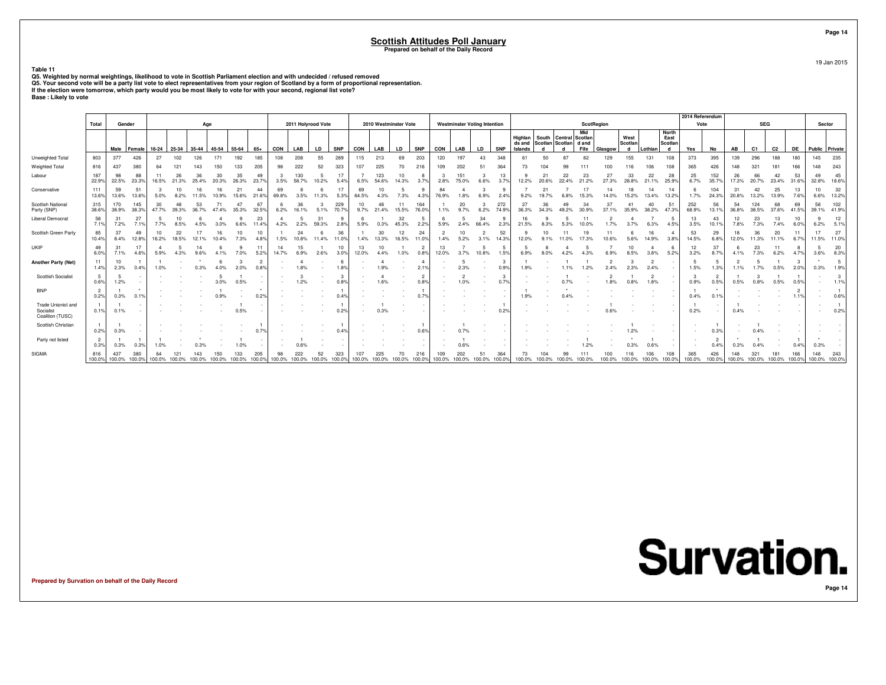#### **Scottish Attitudes Poll January**

**Prepared on behalf of the Daily Record**

#### **Table 11**

Q5. Weighted by normal weightings, likelihood to vote in Scottish Parliament election and with undecided / refused removed<br>Q5. Your second vote will be a party list vote to elect representatives from your region of Scotlan

|                                                     | Total                  | Gender       |                      |                     |             | Age          |                    |                         |                |             | 2011 Holyrood Vote   |              |                   |               | 2010 Westminster Vote |             |                        |               | <b>Westminster Voting Intention</b> |                 |                      |                   |             |                                                | <b>ScotRegion</b> |                |                 |                |                 | 2014 Referendum<br>Vote |               |               | <b>SEG</b>                |               |               | Sector                   |             |
|-----------------------------------------------------|------------------------|--------------|----------------------|---------------------|-------------|--------------|--------------------|-------------------------|----------------|-------------|----------------------|--------------|-------------------|---------------|-----------------------|-------------|------------------------|---------------|-------------------------------------|-----------------|----------------------|-------------------|-------------|------------------------------------------------|-------------------|----------------|-----------------|----------------|-----------------|-------------------------|---------------|---------------|---------------------------|---------------|---------------|--------------------------|-------------|
|                                                     |                        |              |                      |                     |             |              |                    |                         |                |             |                      |              |                   |               |                       |             |                        |               |                                     |                 |                      |                   |             |                                                | Mid               |                |                 |                | <b>North</b>    |                         |               |               |                           |               |               |                          |             |
|                                                     |                        |              |                      |                     |             |              |                    |                         |                |             |                      |              |                   |               |                       |             |                        |               |                                     |                 |                      | Highlan<br>ds and |             | South Central Scotlan<br>Scotlan Scotlan d and |                   |                | West<br>Scotlan |                | East<br>Scotlan |                         |               |               |                           |               |               |                          |             |
| Unweighted Total                                    | 803                    | 377          | Male Female<br>426   | $16-24$ 25-34<br>27 | 102         | 35-44<br>126 | 45-54 55-64<br>171 | 192                     | 65+<br>185     | CON<br>108  | LAB<br>208           | LD<br>55     | <b>SNP</b><br>289 | CON<br>115    | LAB<br>213            | LD<br>69    | <b>SNP</b><br>203      | CON<br>120    | LAB<br>197                          | <b>LD</b><br>43 | <b>SNP</b><br>348    | Islands<br>61     | d<br>50     | d<br>87                                        | Fife<br>82        | Glasgow<br>129 | d<br>155        | Lothian<br>131 | d<br>108        | Yes<br>373              | No<br>395     | AB<br>139     | C <sub>1</sub><br>296     | C2<br>188     | DE<br>180     | Public Private<br>145    | 235         |
| Weighted Total                                      | 816                    | 437          | 380                  | 64                  |             |              | 150                | 133                     | 205            | 98          | 222                  | 52           | 323               | 107           | 225                   | 70          | 216                    | 109           | 202                                 |                 | 364                  | 73                | 104         | 99                                             |                   | 00             |                 | 106            | 108             | 365                     | 426           | 148           | $32^{\circ}$              | 181           | 166           | 148                      | 243         |
| Labour                                              | 187<br>22.9%           | 98<br>22.5%  | 88<br>23.3%          | 11<br>16.5%         | 26<br>21.3% | 25.4%        | 30<br>20.3%        | 35<br>26.3%             | 49<br>23.7%    | 3.5%        | 130<br>58.7%         | 10.2%        | 17<br>5.4%        | 6.5%          | 123<br>54.6%          | 10<br>14.3% | 8<br>3.7%              | 2.8%          | 151<br>75.0%                        | 6.6%            | 13<br>3.7%           | 12.2%             | 21<br>20.6% | 22<br>22.4%                                    | 23<br>21.2%       | 27<br>27.3%    | 33<br>28.8%     | 22<br>21.1%    | 28<br>25.9%     | 25<br>6.7%              | 152<br>35.7%  | 26<br>17.3%   | 66<br>20.7%               | 42<br>23.4%   | 53<br>31.6%   | 49<br>32.8%              | 45<br>18.6% |
| Conservative                                        | 111<br>13.6%           | 59<br>13.6%  | 51<br>13.6%          | 5.0%                | 8.2%        | 11.5%        | 10.9%              | $2^{\circ}$<br>15.6%    | 44<br>21.6%    | 69<br>69.8% | 3.5%                 | 11.3%        | 17<br>5.3%        | 69<br>64.5%   | 10<br>4.3%            | 7.3%        | 9<br>4.3%              | 84<br>76.9%   | 1.8%                                | 6.9%            | 2.4%                 | 9.2%              | 19.7%       | 6.8%                                           | 15.3%             | 14.0%          | 18<br>15.2%     | 13.4%          | 14<br>13.2%     | 1.7%                    | 104<br>24.3%  | 31<br>20.8%   | 42<br>13.2%               | 25<br>13.9%   | 13<br>7.6%    | 10 <sup>10</sup><br>6.6% | 32<br>13.2% |
| <b>Scottish National</b><br>Party (SNP)             | 315<br>38.6%           | 170<br>38.9% | 145<br>38.3%         | 30<br>47.7%         | 39.3%       | 53<br>36.7%  | 47.4%              | $\overline{4}$<br>35.3% | 67<br>32.5%    | 6.2%        | 36<br>16.1%          | 5.1%         | 229<br>70.7%      | 10<br>9.7%    | 48<br>21.4%           | 11<br>15.5% | 164<br>76.0%           | 1.1%          | 20<br>9.7%                          | 6.2%            | 272<br>74.9%         | 27<br>36.3%       | 36<br>34.3% | 49<br>49.2%                                    | 34<br>30.9%       | 37<br>37.1%    | 35.9%           | 40<br>38.2%    | 51<br>47.3%     | 252<br>68.9%            | 56<br>13.1%   | 54<br>36.8%   | 124<br>38.5%              | 68<br>37.6%   | 69<br>41.5%   | 58<br>39.1% 41.9%        | 102         |
| <b>Liberal Democrat</b>                             | 58<br>7.1%             | 31<br>7.2%   | 27<br>7.1%           | 7.7%                | 8.5%        | 4.5%         | 3.0%               | 6.6%                    | 23<br>11.4%    | 4.2%        | 2.2%                 | 31<br>59.3%  | 2.8%              | -6<br>5.9%    | 0.3%                  | 32<br>45.3% | 5<br>2.2%              | 5.9%          | 2.4%                                | 34<br>66.4%     | 2.3%                 | 16<br>21.5%       | 8.3%        | 5.3%                                           | 10.0%             | 1.7%           | 3.7%            | 6.3%           | 4.5%            | 13<br>3.5%              | 43<br>10.1%   | 12<br>7.8%    | 23<br>7.3%                | 13<br>7.4%    | 10<br>6.0%    | 6.2%                     | 12<br>5.1%  |
| Scottish Green Party                                | 85<br>10.4%            | 37<br>8.4%   | 49<br>12.8%          | 10<br>16.2%         | 22<br>18.5% |              | 16<br>10.4%        | 7.3%                    | 10<br>4.8%     | 1.5%        | 24<br>10.8%          | 11.4%        | 36<br>11.0%       | 1.4%          | 30<br>13.3%           | 12<br>16.5% | 24<br>11.0%            | 1.4%          | 10<br>5.2%                          | 3.1%            | 52<br>14.3%          | 12.0%             | 10<br>9.1%  | 11<br>11.0%                                    | 17.3%             | 11<br>10.6%    | 5.6%            | 16<br>14.9%    | 3.8%            | 53<br>14.5%             | 29<br>6.8%    | 12.0%         | 36<br>11.3%               | 20<br>11.1%   | 11<br>6.7%    | 17<br>11.5% 11.0%        | 27          |
| UKIP                                                | 49<br>6.0%             | 31<br>7.1%   | 17<br>4.6%           | 5.9%                |             |              |                    | 7.0%                    | 11             | 14<br>14.7% | 15<br>6.9%           | 2.6%         | 10<br>3.0%        | 13<br>12.0%   | 10<br>4.4%            | 1.0%        | $\overline{2}$<br>0.8% | 13<br>12.0%   | 3.7%                                | 10.8%           | 1.5%                 | 6.9%              |             |                                                |                   |                | 10<br>8.5%      |                | -6<br>5.2%      | 12<br>3.2%              | 37<br>8.7%    |               | 23                        | 6.2%          | 4.7%          | 3.6%                     | 20<br>8.3%  |
| <b>Another Party (Net)</b>                          | 11<br>1.4%             | 10<br>2.3%   | 0.4%                 |                     |             |              |                    | 2.0%                    | $\overline{2}$ |             |                      |              | 1.8%              |               |                       |             | $\overline{4}$<br>2.1% |               | 5<br>2.3%                           |                 | 3<br>0.9%            | 1.9%              |             |                                                |                   |                |                 | 2.4%           |                 | 1.5%                    | 1.3%          | 1.1%          |                           | 0.5%          | 2.0%          | 0.3%                     | 1.9%        |
| <b>Scottish Socialist</b>                           | 5<br>0.6%              | 1.2%         |                      |                     |             |              | 3.0%               | 0.5%                    |                |             | 1.2%                 |              | -3<br>0.8%        |               | 1.6%                  |             | $\overline{2}$<br>0.8% |               | $\overline{c}$<br>1.0%              |                 | $\mathbf{3}$<br>0.7% |                   |             |                                                |                   | 1.8%           | 0.8%            | 1.8%           |                 | 3<br>0.9%               | 0.5%          | 0.5%          | 0.8%                      | 0.5%          | 0.5%          |                          | 3<br>1.1%   |
| <b>BNP</b>                                          | $\overline{2}$<br>0.2% | 0.3%         | 0.1%                 |                     |             |              |                    |                         | 0.2%           |             |                      |              | 0.4%              |               |                       |             | 0.7%                   |               |                                     |                 |                      | 1.9%              |             |                                                |                   |                |                 |                |                 | 0.4%                    | 0.1%          |               |                           |               |               |                          | 0.6%        |
| Trade Unionist and<br>Socialist<br>Coalition (TUSC) | $\overline{1}$<br>0.1% | 0.1%         |                      |                     |             |              |                    | 0.5%                    |                |             |                      |              | 0.2%              |               | 0.3%                  |             | $\sim$                 |               |                                     |                 | 0.2%                 |                   |             |                                                |                   |                |                 |                |                 | 0.2%                    |               | 0.4%          |                           |               |               |                          | 0.2%        |
| Scottish Christian                                  | $\overline{1}$<br>0.2% | 0.3%         |                      |                     |             |              |                    |                         | 0.7%           |             |                      |              | 0.4%              |               |                       |             | 0.6%                   |               |                                     |                 |                      |                   |             |                                                |                   |                |                 |                |                 |                         | 0.3%          |               | 0.4%                      |               |               |                          |             |
| Party not listed                                    | $\overline{2}$<br>0.3% | 0.3%         | 0.3%                 | 1.0%                |             |              |                    | 1.0%                    |                |             |                      |              |                   |               |                       |             | $\sim$<br>$\sim$       |               | 0.6%                                |                 |                      |                   |             |                                                | 1.29              |                |                 | 0.6%           |                 | $\sim$                  | 0.4%          | 0.3%          |                           |               | 0.4%          | 0.3%                     |             |
| SIGMA                                               | 816<br>100.0%          | 437          | 380<br>100.0% 100.0% | 100.0%              | 100.0%      | 100.0%       | 100.0%             | 133<br>100.0%           | 205<br>100.0%  | 98          | 222<br>100.0% 100.0% | 52<br>100.0% | 323<br>100.0%     | 107<br>100.0% | 225<br>100.0%         | 100.0%      | 216<br>100.0%          | 109<br>100.0% | 202<br>100.0%                       | 100.0%          | 364<br>100.0%        | 73<br>100.0%      | 100.0%      | 99<br>100.0%                                   | 100.0%            | 100.0%         | 100.0%          | 100.0%         | 108<br>100.0%   | 365<br>100.0%           | 426<br>100.0% | 148<br>100.0% | 32 <sup>2</sup><br>100.0% | 181<br>100.0% | 166<br>100.0% | 148<br>100.0% 100.0%     | 243         |

**Prepared by Survation on behalf of the Daily Record**

**Page 14**19 Jan 2015

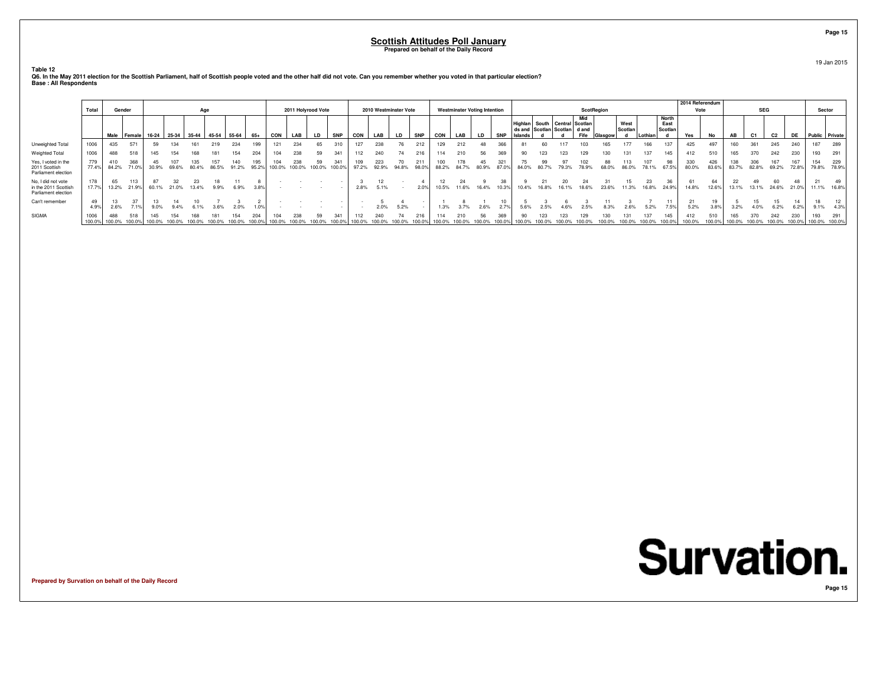**Table 12**

|                                                                   | Total          | Gender        |               |                                       |       | Age          |       |              |              |               | 2011 Holyrood Vote |              |               |              |              | 2010 Westminster Vote |              |              |              | <b>Westminster Voting Intention</b> |             |       |             |                                                                 |             | <b>ScotRegion</b> |                 |                                 | 2014 Referendum<br>Vote |              |              | <b>SEG</b>   |                |              | Sector               |              |
|-------------------------------------------------------------------|----------------|---------------|---------------|---------------------------------------|-------|--------------|-------|--------------|--------------|---------------|--------------------|--------------|---------------|--------------|--------------|-----------------------|--------------|--------------|--------------|-------------------------------------|-------------|-------|-------------|-----------------------------------------------------------------|-------------|-------------------|-----------------|---------------------------------|-------------------------|--------------|--------------|--------------|----------------|--------------|----------------------|--------------|
|                                                                   |                |               | Male Female   | 16-24   25-34   35-44   45-54   55-64 |       |              |       |              | 65+          | CON           | LAB                | LD.          | <b>SNP</b>    | <b>CON</b>   | LAB          | <b>LD</b>             | <b>SNP</b>   | CON          | LAB          | <b>LD</b>                           | <b>SNP</b>  |       |             | Highlan South Central Scotlan<br>ds and Scotlan Scotlan   d and | Mid<br>Fife | Glasgow           | West<br>Scotlan | <b>North</b><br>East<br>Scotlan | Yes                     | No           | AB           | C1           | C <sub>2</sub> | DE           | Public Private       |              |
| Unweighted Total                                                  | 1006           | 435           | 571           | 59                                    | 134   | 161          | 219   | 234          |              | 121           | 234                | 65           | 310           | 127          | 238          | 76                    | 212          | 129          | 212          | 48                                  | 366         |       | 60          |                                                                 |             |                   |                 |                                 | 425                     | 497          | 160          | 361          | 245            | 240          | 187                  | 289          |
| Weighted Total                                                    | 1006           | 488           | 518           | 145                                   | 154   | 168          | 181   | 154          | 204          | 104           | 238                | 59           | 341           | 112          | 240          | 74                    | 216          | 114          | 210          | 56                                  | 369         | 90    | 123         | 123                                                             |             |                   |                 |                                 | 412                     | 510          | 165          | 370          | 242            | 230          | 193                  | 291          |
| Yes, I voted in the<br>2011 Scottish<br>Parliament election       | 779<br>77.4%   | 410<br>84.2%  | 368<br>71.0%  | 30.9%                                 | 69.6% | 135<br>80.4% | 86.5% | 140<br>91.2% | 195<br>95.2% | 104<br>100.0% | 238<br>100.0%      | 59<br>100.0% | 341<br>100.0% | 109<br>97.2% | 223<br>92.9% | 94.8%                 | 211<br>98.0% | 100<br>88.2% | 178<br>84.7% | 45<br>80.9%                         | 321         |       | 99<br>80.7% | 79.3%                                                           | 78.9%       | 68.0%             | 86.0%           |                                 | 330<br>80.0%            | 426<br>83.6% | 138<br>83.7% | 306<br>82.8% | 69.2%          | 167<br>72.8% | 154<br>79.8%         | 229<br>78.9% |
| No, I did not vote<br>in the 2011 Scottish<br>Parliament election | 178<br>17.7%   | 65<br>13.2%   | 113<br>21.9%  | 60.1%                                 | 21.0% | 13.4%        | 9.9%  | 6.9%         | 3.8%         |               |                    |              |               | 2.8%         | 5.1%         |                       | 2.0%         | 10.5%        | 11.6%        | 16.4%                               | 38<br>10.3% | 10.4% | 16.8%       | 16.1%                                                           | 18.6%       | 23.6%             | 11.3%           | 24.9%                           | 61<br>14.8%             | 12.6%        | 22<br>13.1%  | 49<br>13.1%  | 60<br>24.6%    | 48<br>21.0%  | 21<br>11.1%          | 49<br>16.8%  |
| Can't remember                                                    | 4.9%           | 2.6%          |               | 9.0%                                  |       |              |       | 2.0%         | 1.0%         |               |                    |              |               |              | 2.0%         | 5.2%                  |              | 1.3%         |              | 2.6%                                |             |       |             |                                                                 |             |                   |                 | 7.5%                            | 21<br>5.2%              | 3.8%         | 3.2%         | 4.0%         | 6.2%           | 6.2%         | 9.1%                 | 12.<br>4.3%  |
| <b>SIGMA</b>                                                      | 1006<br>100.0% | 488<br>100.0% | 518<br>100.0% | 145                                   |       | 168          |       |              | 204          | 104           | 238                | 59           | 341           |              | 240          |                       |              |              | 210          | 56                                  | 369         |       |             |                                                                 |             |                   |                 |                                 | 412<br>100.0%           | 510          | 165          |              |                | 230          | 193<br>100.0% 100.0% | 291          |

**Q6. In the May 2011 election for the Scottish Parliament, half of Scottish people voted and the other half did not vote. Can you remember whether you voted in that particular election? Base : All Respondents**

**Prepared by Survation on behalf of the Daily Record**

**Survation.** 

**Page 15**

#### **Page 15**

19 Jan 2015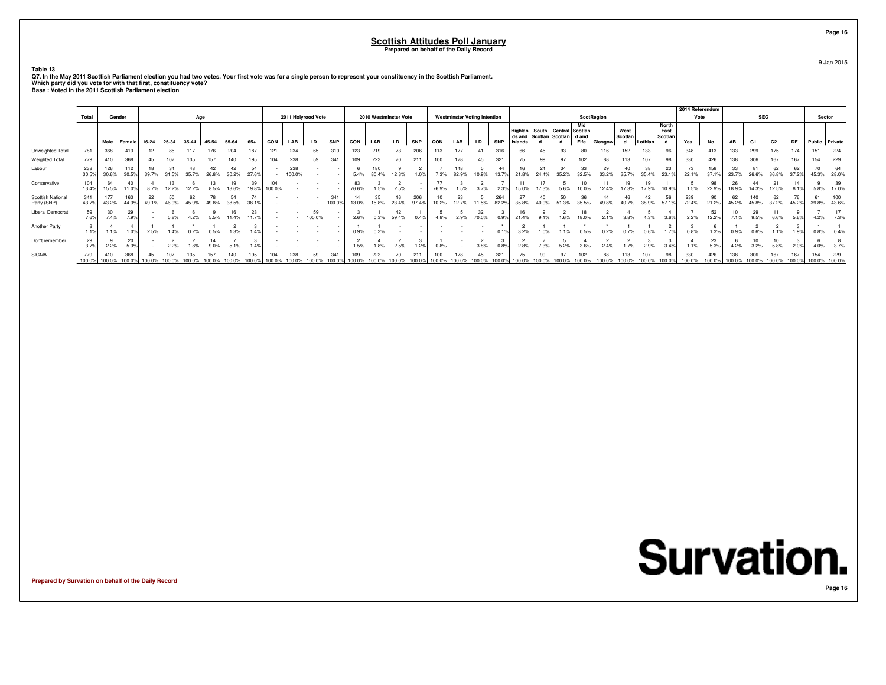**Table 13**

| Q7. In the May 2011 Scottish Parliament election you had two votes. Your first vote was for a single person to represent your constituency in the Scottish Parliament. |
|------------------------------------------------------------------------------------------------------------------------------------------------------------------------|
| Which party did you vote for with that first, constituency vote?                                                                                                       |
| Base: Voted in the 2011 Scottish Parliament election                                                                                                                   |

|                                  | Total        | Gender        |              |             |       | Age     |       |       |             |               | 2011 Holyrood Vote |              |               |            |       | 2010 Westminster Vote |            |            | <b>Westminster Voting Intention</b> |    |              |                          |                                                           |    | <b>ScotRegion</b> |         |                 |             |                                 | 2014 Referendum<br>Vote |              |             | <b>SEG</b>     |                |             | Sector               |              |
|----------------------------------|--------------|---------------|--------------|-------------|-------|---------|-------|-------|-------------|---------------|--------------------|--------------|---------------|------------|-------|-----------------------|------------|------------|-------------------------------------|----|--------------|--------------------------|-----------------------------------------------------------|----|-------------------|---------|-----------------|-------------|---------------------------------|-------------------------|--------------|-------------|----------------|----------------|-------------|----------------------|--------------|
|                                  |              |               | Male Female  | $16-24$     | 25-34 | $35-44$ | 45-54 | 55-64 | $65+$       | <b>CON</b>    | LAB                | LD           | <b>SNP</b>    | <b>CON</b> | LAB   | LD                    | <b>SNP</b> | <b>CON</b> | LAB                                 | LD | <b>SNP</b>   | ds and<br><b>Islands</b> | Highlan   South   Central Scotlan<br>Scotlan Scotlan dand |    | Mid<br>Fife       | Glasgow | West<br>Scotlan | Lothian     | <b>North</b><br>East<br>Scotlan | Yes                     | No           | AB          | C <sub>1</sub> | C <sub>2</sub> | <b>DE</b>   | Public Private       |              |
| Unweighted Total                 | 781          | 368           | 413          | 12          |       | 117     |       | 204   | 187         | 121           | 234                | 65           | 310           | 123        | 219   |                       | 206        | 113        |                                     |    | 316          | 66                       |                                                           | 93 |                   |         | 152             | 133         | 96                              | 348                     | 413          | 133         | 299            | 175            | 174         | 151                  | 224          |
| Weighted Total                   | 779          | 410           | 368          |             |       |         |       |       | 95          | 104           | 238                | 59           | 341           | 109        | 223   |                       | 211        | 100        |                                     |    | 321          |                          |                                                           |    |                   |         |                 |             |                                 | 330                     | 426          |             |                |                | 167         | 154                  | 229          |
| Labour                           | 238<br>30.5% | 126<br>30.6%  | 112<br>30.5% | 39.7%       |       |         |       |       | 54<br>27.6% |               | 238<br>100.0%      |              |               |            | 80.4% |                       |            |            |                                     |    |              |                          |                                                           |    |                   |         |                 | 38<br>35.4% | 23.1%                           | 73<br>22.1%             | 158<br>37.1% |             |                | 62             | 62<br>37.2% | 45.3%                | 28.0%        |
| Conservative                     | 104<br>13.4% | 64<br>15.5%   | 40<br>11.0%  |             |       |         |       |       |             | 104<br>100.0% |                    |              |               | 76.6%      |       |                       |            |            |                                     |    |              |                          |                                                           |    |                   |         |                 |             | 10.9%                           | 1.5%                    | 98<br>22.9%  |             |                |                |             | 5.8%                 | 17.0%        |
| Scottish National<br>Party (SNP) | 341<br>43.7% | 177<br>43.2%  | 163<br>44.3% | 22<br>49.1% |       |         |       |       | 38          |               |                    |              | 341<br>100.0% | 13.0%      | 15.8% | 23.4%                 | 206        |            |                                     | 5% | 264<br>82.2% | 27                       |                                                           |    |                   |         |                 | 38.9%       | 57.1%                           | 239<br>72.4%            | 90<br>21.2%  | 62<br>45.2% | 45.8%          | 62<br>37.2%    | 45.2%       | 39.8%                | 100<br>43.6% |
| <b>Liberal Democrat</b>          | 59<br>7.6%   | 30<br>7.4%    | 29<br>7.9%   |             |       |         |       |       | 23          |               |                    | 59<br>100.0% |               | 2.6%       |       | 59.4%                 |            |            |                                     |    |              |                          |                                                           |    |                   |         |                 |             |                                 | 2.2%                    | 52<br>12.2%  |             | 29             |                |             | 4.2%                 | 17<br>7.3%   |
| Another Party                    | 1.1%         | 1.1%          | 1.0%         | 2.5%        |       |         |       |       |             |               |                    |              |               | 0.9%       |       |                       |            |            |                                     |    |              |                          |                                                           |    |                   |         |                 |             |                                 |                         |              |             |                |                |             |                      | 0.49         |
| Don't remember                   | 29<br>3.7%   | 2.2%          | 20<br>5.3%   |             |       |         |       |       |             |               |                    |              |               |            |       |                       |            |            |                                     |    |              |                          |                                                           |    |                   |         |                 |             |                                 | 1.1%                    | 23<br>5.3%   |             |                | 5.8%           |             | 4.0%                 |              |
| SIGMA                            | 779          | 410<br>100.0% | 100.09       | 100.0       |       |         |       |       |             |               |                    |              |               |            |       |                       |            |            |                                     |    |              |                          |                                                           |    |                   |         |                 |             |                                 | 330                     | 426          |             |                |                |             | 154<br>100.0% 100.0% | 229          |

**Prepared by Survation on behalf of the Daily Record**

**Page 16**19 Jan 2015

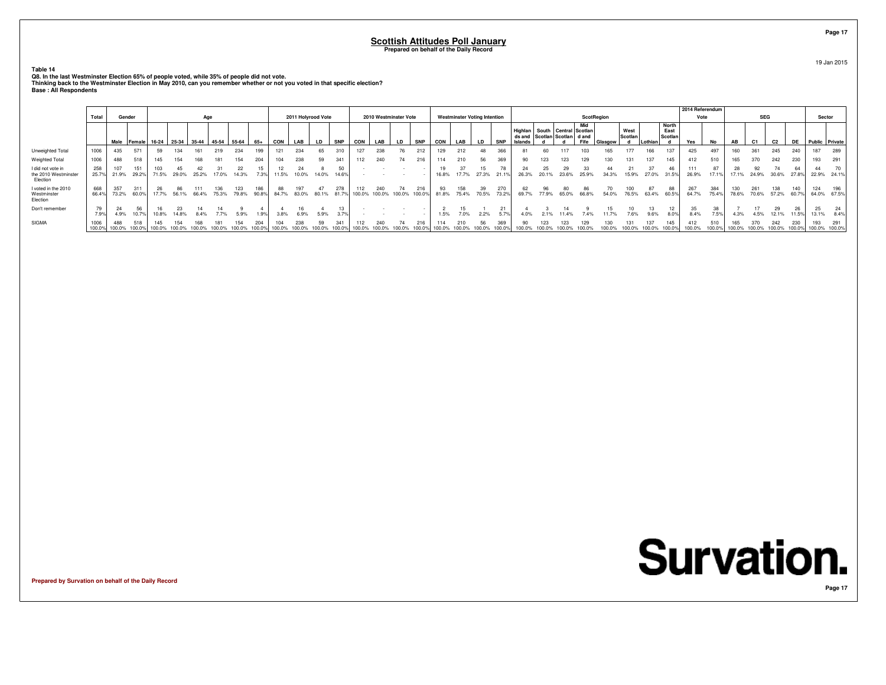**Table 14**

Q8. In the last Westminster Election 65% of people voted, while 35% of people did not vote.<br>Thinking back to the Westminster Election in May 2010, can you remember whether or not you voted in that specific election?<br>Base :

|                                                       |                |                      | Gender<br>Age |                                       |        |       |       |              |              |       |                    |       |              |               |               |                       |            |       |                                     |             |              |                                                                                    |             |             |                   |       |                 |         |                                 | 2014 Referendum |              |              |                |                |              |                             |             |
|-------------------------------------------------------|----------------|----------------------|---------------|---------------------------------------|--------|-------|-------|--------------|--------------|-------|--------------------|-------|--------------|---------------|---------------|-----------------------|------------|-------|-------------------------------------|-------------|--------------|------------------------------------------------------------------------------------|-------------|-------------|-------------------|-------|-----------------|---------|---------------------------------|-----------------|--------------|--------------|----------------|----------------|--------------|-----------------------------|-------------|
|                                                       | Total          |                      |               |                                       |        |       |       |              |              |       | 2011 Holyrood Vote |       |              |               |               | 2010 Westminster Vote |            |       | <b>Westminster Voting Intention</b> |             |              |                                                                                    |             |             | <b>ScotRegion</b> |       |                 |         |                                 | Vote            |              |              | <b>SEG</b>     |                |              | Sector                      |             |
|                                                       |                | Male Female          |               | 16-24   25-34   35-44   45-54   55-64 |        |       |       |              | 65+          | CON   | LAB                | LD    | <b>SNP</b>   | CON           | LAB           | LD                    | <b>SNP</b> | CON   | LAB                                 | <b>LD</b>   | <b>SNP</b>   | Highlan   South   Central   Scotlan  <br>ds and Scotlan Scotlan   d and<br>Islands |             |             | Mid<br>Fife       |       | West<br>Scotlan | Lothian | <b>North</b><br>East<br>Scotlar | Yes             | No           | AB           | C <sub>1</sub> | C <sub>2</sub> | <b>DE</b>    | Public Private              |             |
| Unweighted Total                                      | 1006           | 435                  | 571           |                                       |        |       |       | 234          | 199          |       | 234                |       | 310          | 127           | 238           | 76                    |            | 129   | 212                                 | 48          |              | 81                                                                                 | 60          |             |                   |       |                 | 166     | 137                             | 425             |              |              | 361            | 245            | 240          | 187                         | 289         |
| <b>Weighted Total</b>                                 | 1006           | 488                  | 518           | 145                                   |        |       |       | 154          | 204          | 104   | 238                |       | 341          | 112           | 240           | 74                    | 216        | 114   | 210                                 | 56          | 369          | 90                                                                                 | 123         |             |                   |       |                 | 137     | 145                             | 412             | 510          |              | 370            | 242            | 230          | 193                         | 291         |
| I did not vote in<br>the 2010 Westminster<br>Election | 258<br>25.7%   | 107<br>21.9%         | 151<br>29.2%  | 71.5%                                 | 29.0%  | 25.2% | 17.0% | 22<br>14.3%  | 15<br>7.3%   | 11.5% | 10.0%              | 14.0% | 50<br>14.6%  |               |               |                       |            | 16.8% | 17.7%                               | 15<br>27.3% | 21.1%        | 24<br>26.3%                                                                        | 25<br>20.1% | 29<br>23.6% | 25.9%             | 34.3% | 15.9%           | 27.0%   | 46<br>31.5%                     | 111<br>26.9%    | 17.19        | 17.1%        | 24.9%          | 30.6%          | 64<br>27.8%  |                             | 22.9% 24.1% |
| I voted in the 2010<br>Westminster<br>Election        | 668<br>66.4%   | 357<br>73.2%         | 60.0%         |                                       | 56.1%  | 66.4% | 75.3% | 123<br>79.8% | 186<br>90.8% | 84.7% | 83.0%              | 80.1% | 278<br>81.7% | 112<br>100.0% | 240           | 100.0% 100.0%         | 100.0%     | 81.8% | 158<br>75.4%                        | 39<br>70.5% | 270<br>73.2% | 62<br>69.7%                                                                        | 96<br>77.9% | 65.0%       | 66.8%             | 54.0% | 100<br>76.5%    | 63.4%   | 60.5%                           | 267<br>64.7%    | 384<br>75.4% | 130<br>78.6% | 261<br>70.6%   | 138<br>57.2%   | 140<br>60.7% | 124                         | 64.0% 67.5% |
| Don't remember                                        | 79<br>7.9%     | 24<br>4.9%           | 56            | 10.8%                                 | 14.8%  |       |       | 5.9%         | 1.9%         | 3.8%  | 6.9%               | 5.9%  |              |               |               |                       |            | 1.5%  | 7.0%                                | 2.2%        | 5.7%         | 4.0%                                                                               |             |             | 7.4%              |       | 7.6%            | 9.6%    |                                 | 8.4%            | 7.5%         | 4.3%         | 4.5%           | 29<br>12.1%    | 11.5%        | 25<br>13.1%                 | 8.4%        |
| SIGMA                                                 | 1006<br>100.0% | 488<br>100.0% 100.0% |               | 100.0%                                | 100.0% |       |       |              | 100.0        |       |                    |       | 341          | 112<br>100.0% | 240<br>100.0% |                       |            |       | 210<br>100.0%                       | 56          | 369          | 90                                                                                 | 123         |             |                   |       |                 | 137     | 145<br>100.0%                   | 100.0%          |              |              | 100.0%         | 242            | 230          | 193<br>100.0% 100.0% 100.0% |             |

**Prepared by Survation on behalf of the Daily Record**

**Page 17**

19 Jan 2015

**Survation. Page 17**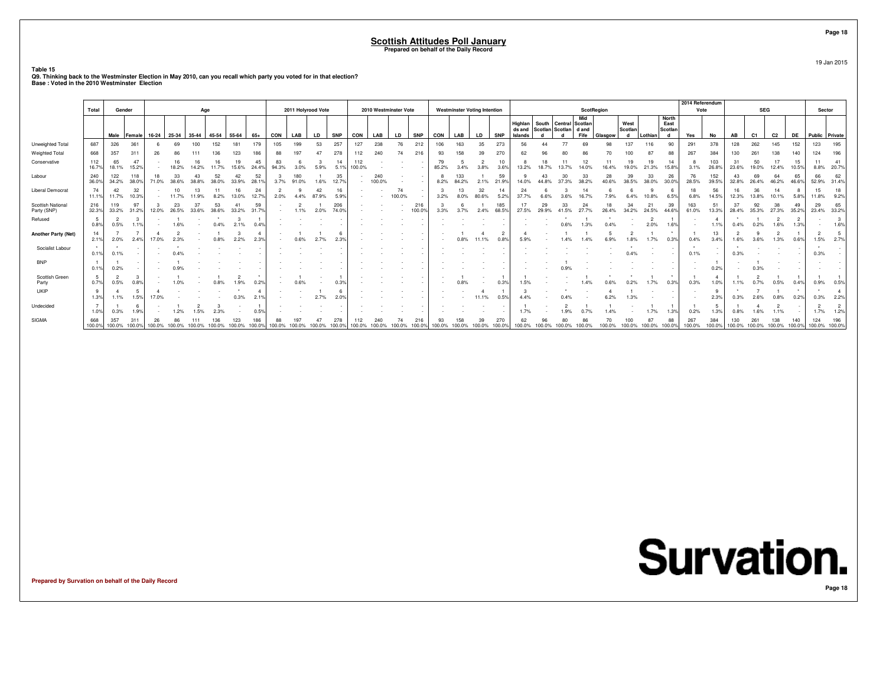**Table 15**

**Q9. Thinking back to the Westminster Election in May 2010, can you recall which party you voted for in that election? Base : Voted in the 2010 Westminster Election**

|                                  |                        |              |               |        |                   |       |             |             |               |        |                    |             |               |               |               |                       |               |             |                                     |             |              |                              |             |                                                         |             |             |                      |                        |                                      | 2014 Referendum |               |             |                |             |               |                      |                         |
|----------------------------------|------------------------|--------------|---------------|--------|-------------------|-------|-------------|-------------|---------------|--------|--------------------|-------------|---------------|---------------|---------------|-----------------------|---------------|-------------|-------------------------------------|-------------|--------------|------------------------------|-------------|---------------------------------------------------------|-------------|-------------|----------------------|------------------------|--------------------------------------|-----------------|---------------|-------------|----------------|-------------|---------------|----------------------|-------------------------|
|                                  | Total                  | Gender       |               |        |                   |       | Age         |             |               |        | 2011 Holyrood Vote |             |               |               |               | 2010 Westminster Vote |               |             | <b>Westminster Voting Intention</b> |             |              |                              |             |                                                         | ScotRegion  |             |                      |                        |                                      | Vote            |               |             | <b>SEG</b>     |             |               | Sector               |                         |
|                                  |                        |              | Male Female   |        | 16-24 25-34 35-44 |       | 45-54       | 55-64       | 65+           | CON    | LAB                | <b>LD</b>   | <b>SNP</b>    | CON           | LAB           | <b>LD</b>             | <b>SNP</b>    | CON         | LAB                                 | <b>LD</b>   | <b>SNP</b>   | Highlan<br>ds and<br>Islands |             | South   Central   Scotlan<br>Scotlan Scotlan d and<br>h | Mid<br>Fife | Glasgow     | West<br>Scotlan<br>d | Lothian                | <b>North</b><br>East<br>Scotlan<br>d | Yes             | No            | AB          | C <sub>1</sub> | C2          | <b>DE</b>     | Public Private       |                         |
| Unweighted Total                 | 687                    | 326          | 361           |        | 69                | 100   | 152         | 181         | 179           | 105    | 199                | 53          | 257           | 127           | 238           | 76                    | 212           | 106         | 163                                 | 35          | 273          | 56                           | 44          | 77                                                      | 69          | 98          | 137                  | 116                    | 90                                   | 291             | 378           | 128         | 262            | 145         | 152           | 123                  | 195                     |
| Weighted Total                   | 668                    | 357          | 311           |        |                   |       |             |             | 186           |        |                    |             | 278           | 112           | 240           |                       | 216           |             |                                     |             |              |                              |             |                                                         |             |             |                      |                        |                                      | 267             | 384           |             | 261            |             | 140           | 124                  | 196                     |
| Conservative                     | 112<br>16.7%           | 65<br>18.1%  | 47<br>15.2%   |        | 18.2%             |       |             | 15.6%       | 45<br>24.4%   | 94.3%  | 3.0%               | 5.9%        | 14<br>5.1%    | 112<br>100.0% |               |                       | $\sim$        | 79<br>85.2% |                                     | 3.8%        | 3.6%         | 13.2%                        |             |                                                         |             | 16.4%       | 19<br>19.0%          | 19<br>21.3%            | 15.8%                                | 3.1%            | 103<br>26.8%  | 23.6%       | 50<br>19.0%    | 12.4%       | 15<br>10.5%   | 11<br>8.8%           | 41<br>20.7%             |
| Labour                           | 240<br>36.0%           | 122<br>34.2% | 118<br>38.0%  |        | 33<br>38.6%       | 38.8% | 52<br>38.0% | 42<br>33.9% | 52<br>28.1%   | 3.7%   | 180<br>91.0%       | 1.6%        | 35<br>12.7%   |               | 240<br>100.0% |                       | $\sim$        | 8.2%        | 133<br>84.2%                        | 2.1%        | 59<br>21.9%  | 14.0%                        | 44.8%       | 30<br>37.3%                                             | 33<br>38.2% | 28<br>40.6% | 39<br>38.5%          | 33<br>38.0%            | 26<br>30.0%                          | 76<br>28.5%     | 152<br>39.5%  | 32.8%       | 69<br>26.4%    | 46.2%       | 65<br>46.6%   | 66<br>52.9%          | 62<br>31.4%             |
| <b>Liberal Democrat</b>          | 74<br>11.1%            | 42<br>11.7%  | 32<br>10.3%   |        | 11.7%             | 11.9% | 8.2%        | 13.0%       | 24<br>12.7%   | 2.0%   | 4.4%               | 42<br>87.9% | 16<br>5.9%    |               |               | 74<br>100.0%          | $\sim$        | 3.2%        | 8.0%                                | 32<br>80.6% | 5.2%         | 24<br>37.7%                  |             | 3.6%                                                    |             | 7.9%        | 6.4%                 | 10.8%                  | 6.5%                                 | 18<br>6.8%      | 56<br>14.5%   | 12.3%       | 36<br>13.8%    | 14<br>10.1% | 5.8%          | 15<br>11.8%          | 18<br>9.2%              |
| Scottish National<br>Party (SNP) | 216<br>32.3%           | 119<br>33.2% | 97<br>31.2%   | 12.0%  | 26.5%             | 33.6% | 38.6%       | 33.2%       | 59<br>31.7%   |        | 1.1%               |             | 206<br>74.0%  |               |               |                       | 216<br>100.0% | 3.3%        |                                     | 2.4%        | 185<br>68.5% | 27.5%                        | 29<br>29.9% | 33<br>41.5%                                             | 27.7%       | 26.4%       | 34<br>34.2%          | 21<br>24.5%            | 39<br>44.6%                          | 163<br>61.0%    | 51<br>13.3%   | 37<br>28.4% |                | 27.3%       | 49<br>35.2%   | 29<br>23.4%          | 65<br>33.2%             |
| Refused                          | - 5<br>0.8%            | 0.5%         | 1.1%          |        | 1.6%              |       | 0.4%        | 3<br>2.1%   | $0.4^{\circ}$ |        |                    |             |               |               |               |                       |               |             |                                     |             |              |                              |             |                                                         |             |             |                      | $\overline{2}$<br>2.0% | 1.6%                                 |                 | 1.1%          | 0.4%        | 0.2%           | 1.6%        | 1.3%          |                      | $\mathbf{3}$<br>1.6%    |
| Another Party (Net)              | 14<br>2.1%             | 2.0%         | 2.4%          | 17.0%  |                   |       |             | 2.2%        | 2.3%          |        |                    |             | $2.3^{\circ}$ |               |               |                       |               |             |                                     |             | 0.8%         | 5.9%                         |             |                                                         |             |             |                      | 1.7%                   | 0.3%                                 | 0.4%            | 13<br>3.4%    | 1.6%        | 3.6%           | 1.3%        | 0.6%          | 1.5%                 | $5\phantom{.0}$<br>2.7% |
| Socialist Labour                 | $\rightarrow$<br>0.1%  | 0.1%         |               |        |                   |       |             |             |               |        |                    |             |               |               |               |                       |               |             |                                     |             |              |                              |             |                                                         |             |             |                      |                        |                                      | 0.1%            |               |             |                |             |               | 0.3%                 |                         |
| <b>BNP</b>                       | 0.1%                   | 0.2%         |               |        |                   |       |             |             |               |        |                    |             |               |               |               |                       |               |             |                                     |             |              |                              |             |                                                         |             |             |                      |                        |                                      |                 | 0.2%          |             |                |             |               |                      |                         |
| Scottish Green<br>Party          | -5<br>0.7%             | 0.5%         | 0.8%          |        |                   |       |             | 1.9%        | $0.2^{\circ}$ |        |                    |             |               |               |               |                       |               |             |                                     |             | 0.3%         | 1.5%                         |             |                                                         |             |             |                      | 1.7%                   | 0.3%                                 | 0.3%            | 1.0%          |             |                |             | 0.4%          | 0.9%                 | 0.5%                    |
| <b>UKIP</b>                      | - 9<br>1.3%            | 1.1%         | 1.5%          |        |                   |       |             | 0.3%        | 2.1%          |        |                    |             | 2.0%          |               |               |                       |               |             |                                     | 11.1%       | 0.5%         |                              |             |                                                         |             |             |                      |                        |                                      |                 | 9<br>2.3%     |             |                |             | 0.2%          | 0.3%                 | $\overline{4}$<br>2.2%  |
| Undecided                        | $\overline{7}$<br>1.0% | 0.3%         | 6<br>1.9%     |        | 1.2%              |       |             |             | 0.5%          |        |                    |             |               |               |               |                       |               |             |                                     |             |              | 1.7%                         |             | 1.9%                                                    |             |             |                      | 1.7%                   | 1.3%                                 | 0.2%            | 5<br>1.3%     | 0.8%        |                |             |               | 1.7%                 | $\overline{2}$<br>1.2%  |
| <b>SIGMA</b>                     | 668<br>100.0%          |              | 100.0% 100.0% | 100.0% | 100.0%            |       | 100.0%      |             | 100.0%        | 100.0% | 100.0%             |             | 100.0%        | 100.0%        | 100.0%        | 100.0%                | 100.0%        | 100.0%      | 100.0%                              | 100.0%      |              | 100.0%                       |             | 100.0%                                                  |             |             | 100.0%               | 100.0%                 | 88<br>100.0%                         | 267<br>100.0%   | 384<br>100.0% | 100.0%      | 100.0%         | 100.0%      | 140<br>100.0% | 124<br>100.0% 100.0% | 196                     |

**Prepared by Survation on behalf of the Daily Record**



19 Jan 2015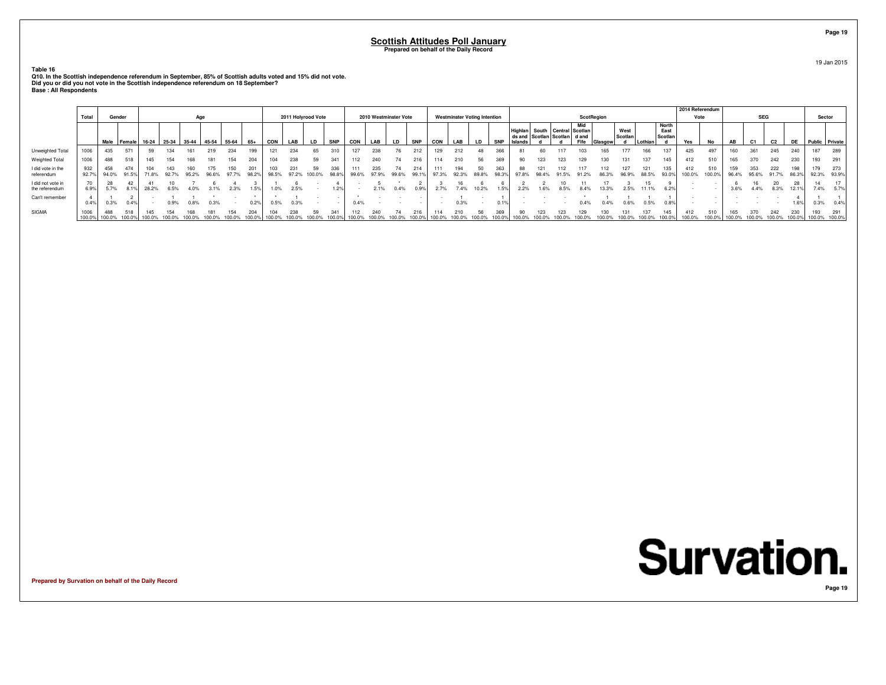**Table 16**

Q10. In the Scottish independence referendum in September, 85% of Scottish adults voted and 15% did not vote.<br>Did you or did you not vote in the Scottish independence referendum on 18 September?<br>Base : All Respondents

|                                     |                |               |                                               |        |        |       |       |        |              |        |                    |              |               |               |                       |        |              |               |                                     |             |            |                                         |    |                                              |         |                 |              |                          | 2014 Referendum |               |               |              |                |        |                |              |
|-------------------------------------|----------------|---------------|-----------------------------------------------|--------|--------|-------|-------|--------|--------------|--------|--------------------|--------------|---------------|---------------|-----------------------|--------|--------------|---------------|-------------------------------------|-------------|------------|-----------------------------------------|----|----------------------------------------------|---------|-----------------|--------------|--------------------------|-----------------|---------------|---------------|--------------|----------------|--------|----------------|--------------|
|                                     | Total          | Gender        |                                               |        |        | Age   |       |        |              |        | 2011 Holyrood Vote |              |               |               | 2010 Westminster Vote |        |              |               | <b>Westminster Voting Intention</b> |             |            |                                         |    | <b>ScotRegion</b>                            |         |                 |              |                          | Vote            |               |               | <b>SEG</b>   |                |        | Sector         |              |
|                                     |                |               | Male   Female   16-24   25-34   35-44   45-54 |        |        |       |       | 55-64  | 65+          | CON    | LAB                | LD           | <b>SNP</b>    | CON           | LAB                   | LD     | <b>SNP</b>   | CON           | LAB                                 | <b>LD</b>   | <b>SNP</b> | ds and Scotlan Scotlan d and<br>Islands |    | Mid<br>Highlan South Central Scotlan<br>Fife | Glasgow | West<br>Scotlan | Lothian      | North<br>East<br>Scotlan | Yes             | No            | AB            | C1           | C <sub>2</sub> | DE     | Public Private |              |
| Unweighted Total                    | 1006           | 435           | 571                                           | 59     |        |       |       | 234    | 199          |        | 234                | 65           |               |               | 238                   | 76     | 212          | 129           | 212                                 | 48          | 366        |                                         |    |                                              |         |                 | 166          |                          | 425             | 497           | 160           | 361          | 245            | 240    | 187            | 289          |
| <b>Weighted Total</b>               | 1006           | 488           | 518                                           |        | 154    |       |       |        | 204          |        | 238                | 59           | 341           | 112           | 240                   |        | 216          | 114           | 210                                 | 56          | 369        |                                         | 23 |                                              |         |                 | 137          | 145                      | 412             | 510           | 165           | 370          | 242            | 230    | 193            | 291          |
| I did vote in the<br>referendum     | 932<br>92.7%   | 458<br>94.0%  | 474<br>91.5%                                  | 71.8%  | 92.7%  | 95.2% | 96.6% | 97.7%  | 201<br>98.2% | 98.5%  | 231<br>97.2%       | 59<br>100.0% | 336<br>98.8%  | 99.6%         | 97.9%                 | 99.6%  | 214<br>99.1% | 111<br>97.3%  | 194<br>92.3%                        | 50<br>89.8% | 363        |                                         |    |                                              |         | 96.9%           | 121<br>88.5% | 93.0%                    | 412<br>100.0%   | 510<br>100.0% | 159<br>96.4%  | 353<br>95.6% | 222<br>91.7%   |        | 179<br>92.3%   | 273<br>93.9% |
| I did not vote in<br>the referendum |                | 28<br>5.7%    | 8.1%                                          | 28.2%  |        |       |       | 2.3%   | .5%          | 1.0%   | 2.5%               |              | 1.2%          |               | 2.1%                  | 0.4%   | 0.9%         |               | 7.4%                                | 10.2%       | 1.5%       |                                         |    |                                              |         | 2.5%            | 11.1%        | 6.2%                     |                 |               | 3.6%          | 4.4%         | 8.3%           | 12.1%  | 7.4%           |              |
| Can't remember                      | 0.4%           | 0.3%          | 0.4%                                          |        | 0.9%   | 0.8%  | 0.3%  |        | 0.2%         | 0.5%   | 0.3%               |              |               | 0.4%          |                       |        |              |               | 0.3%                                |             | 0.1%       |                                         |    |                                              | 0.4%    | 0.6%            | 0.5%         | 0.8%                     |                 |               |               |              |                | 1.6%   | 0.3%           | 0.4%         |
| SIGMA                               | 1006<br>100.0% | 488<br>100.0% | 518<br>100.0%                                 | 100.0% | 100.0% |       |       | 100.0% | 204          | 100.0% | 238<br>100.0%      | 59           | 341<br>100.0% | 112<br>100.0% | 100.0%                | 100.0% |              | 114<br>100.09 | 210                                 | 56          | 369        |                                         |    |                                              |         |                 | 137<br>100.0 | 145<br>100.09            | 412<br>100.0%   | 510           | 165<br>100.0% | 100.0%       | 242<br>100.0%  | 100.0% | 100.0% 100.0%  | 291          |

**Prepared by Survation on behalf of the Daily Record**

**Survation.** 

**Page 19**

19 Jan 2015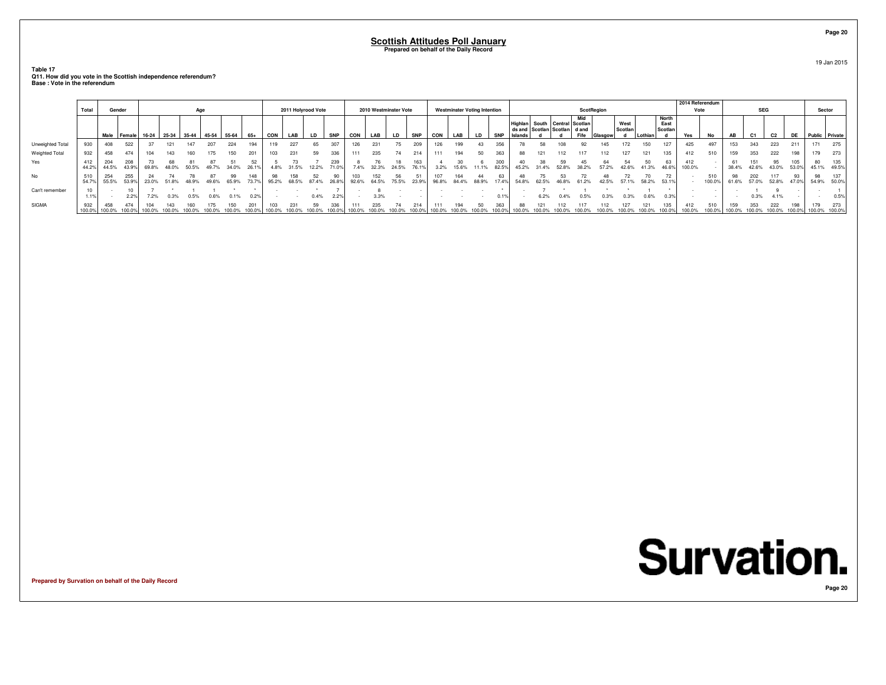**Table 17 Q11. How did you vote in the Scottish independence referendum?Base : Vote in the referendum**

|                  | Total         | Gender       |              |               |       | Age   |       |       |              |       | 2011 Holyrood Vote |             |            |       |       | 2010 Westminster Vote |              |       | <b>Westminster Voting Intention</b> |           |              |                           |       |                                                             |             | ScotRegion |                 |         |                          | 2014 Referendum<br>Vote |               |             | <b>SEG</b>     |                |             | Sector                |      |
|------------------|---------------|--------------|--------------|---------------|-------|-------|-------|-------|--------------|-------|--------------------|-------------|------------|-------|-------|-----------------------|--------------|-------|-------------------------------------|-----------|--------------|---------------------------|-------|-------------------------------------------------------------|-------------|------------|-----------------|---------|--------------------------|-------------------------|---------------|-------------|----------------|----------------|-------------|-----------------------|------|
|                  |               |              | Male Female  | $16-24$ 25-34 |       | 35-44 | 45-54 | 55-64 | $65+$        | CON   | LAB                | LD          | <b>SNP</b> | CON   | LAB   | LD                    | <b>SNP</b>   | CON   | LAB                                 | <b>LD</b> | <b>SNP</b>   | Highlan<br><b>Islands</b> |       | South   Central   Scotlan<br>ds and Scotlan Scotlan   d and | Mid<br>Fife | Glasgow    | West<br>Scotlan | Lothian | North<br>East<br>Scotlan | Yes                     | No            | AB          | C <sub>1</sub> | C <sub>2</sub> | DE          | <b>Public</b> Private |      |
| Unweighted Total | 930           | 408          | 522          |               |       |       | 207   | 224   | 194          | 119   | 227                | 65          | 307        | 126   | 231   |                       | 209          | 126   | 199                                 | 43        | 356          | 78                        | 58    |                                                             | 92          | 145        |                 | 150     | 127                      | 425                     | 497           | 153         | 343            | 223            | 211         | 171                   | 275  |
| Weighted Total   | 932           | 458          | 474          | 104           | 143   | 160   | 175   | 150   | 201          | 103   | 231                | 59          | 336        |       | 235   | 74                    | 214          | 111   | 194                                 | 50        | 363          | 88                        | 121   | 112                                                         | 117         | 112        | 127             | 121     | 135                      | 412                     | 510           | 159         | 353            | 222            | 198         | 179                   | 273  |
| Yes              | 412<br>44.2%  | 204<br>44.5% | 208<br>43.9% | 69.8%         |       | 50.5% |       |       | 52           |       |                    |             | 239        |       | 32.3% | 24.5%                 | 163<br>76.1% |       | 15.6%                               |           | 300<br>82.5% |                           | 38    |                                                             | 38.2%       | 57 2%      | 42.6%           | 50      |                          | 412<br>100.0%           |               | 61<br>38.4% | 151<br>42.6%   | 95<br>43.0%    | 53.0%       | ou<br>45.1% 49.5%     | 135  |
| No               | 510<br>54.7%  | 254<br>55.5% | 255<br>53.9% | 23.0%         | 51.8% | 48.9% | 49.6% | 65.9% | 148<br>73.7% | 95.2% | 68.5%              | 52<br>87.4% | 26.8%      | 92.6% | 64.5% | 75.5%                 | 23.9%        | 96.8% | 84.4%                               | 88.9%     |              | 54.8%                     | 62.5% |                                                             | 61.2%       | 42.5%      | 57.1%           | 58.2%   | 72<br>53.1%              |                         | 510<br>100.0% | 98<br>61.6% | 202<br>57.0%   | 52.8%          | 93<br>47.0% | 54.9% 50.0%           | 137  |
| Can't remember   |               |              | 2.2%         | 7.2%          | 0.3%  | 0.5%  | 0.6%  | 0.1%  |              |       |                    | 0.4%        | 2.2%       |       | 3.3%  |                       |              |       |                                     |           | 0.1%         |                           | 6.2%  | 0.4%                                                        | 0.5%        | 0.3%       | 0.3%            | 0.6%    |                          |                         |               |             | 0.3%           | 4.1%           |             |                       | 0.5% |
| SIGMA            | 932<br>100.0% | 458          | 474          |               |       |       |       |       | 201          |       |                    | 59          |            |       |       |                       | 214          |       |                                     | 50        | 363          | 88                        |       |                                                             |             |            |                 |         | 135                      | 412<br>100.0%           | 510           | 159         | 353            | 222            | 100.0%      | 179<br>100.0% 100.0%  | 273  |

**Prepared by Survation on behalf of the Daily Record**



**Page 20**

19 Jan 2015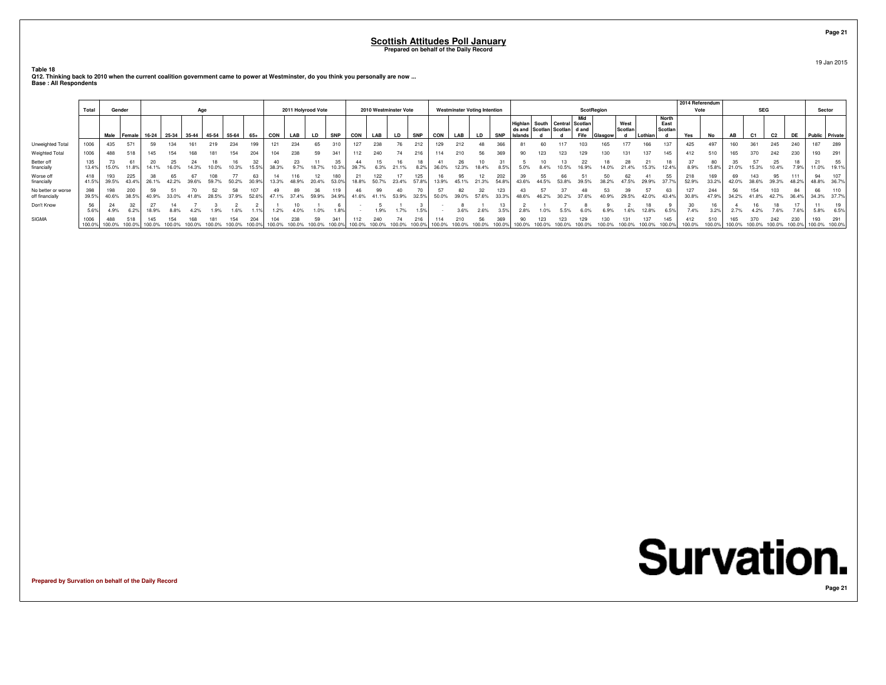**Table 18**

**Q12. Thinking back to 2010 when the current coalition government came to power at Westminster, do you think you personally are now ... Base : All Respondents**

|                                       | Total        | Gender        |              |             |               | Age |                   |       |              |               | 2011 Holyrood Vote |             |              |            |              | 2010 Westminster Vote |              |               |             | <b>Westminster Voting Intention</b> |              |        |     |                                                                     | <b>ScotRegion</b> |         |                 |         |                          | 2014 Referendum<br>Vote |              |       | <b>SEG</b> |             |     | Sector         |                    |
|---------------------------------------|--------------|---------------|--------------|-------------|---------------|-----|-------------------|-------|--------------|---------------|--------------------|-------------|--------------|------------|--------------|-----------------------|--------------|---------------|-------------|-------------------------------------|--------------|--------|-----|---------------------------------------------------------------------|-------------------|---------|-----------------|---------|--------------------------|-------------------------|--------------|-------|------------|-------------|-----|----------------|--------------------|
|                                       |              |               | Male Female  |             | $16-24$ 25-34 |     | 35-44 45-54 55-64 |       | $65+$        | CON           | LAB                | LD          | <b>SNP</b>   | <b>CON</b> | LAB          | LD.                   | <b>SNP</b>   | <b>CON</b>    | LAB         | <b>LD</b>                           | <b>SNP</b>   | slands |     | Highlan   South   Central   Scotlan<br>ds and Scotlan Scotlan d and | Mid<br>Fife       | Glasgow | West<br>Scotlan | Lothian | North<br>East<br>Scotlan | Yes                     | No           | AB    | C1         | C2          | DE  | Public Private |                    |
| Unweighted Total                      | 1006         | 435           | 571          | 59          | 134           |     | 219               | 234   | 199          | 121           | 234                | 65          |              |            | 238          | 76                    | 212          | 129           | 212         | 48                                  |              |        |     |                                                                     |                   |         |                 | 166     | 137                      | 425                     | 497          | 160   |            | 245         | 240 | 187            | 289                |
| Weighted Total                        | 1006         | 488           | 518          | 145         | 154           | 831 | 181               | 154   | 204          | 104           | 238                | 59          | 341          | 112        | 240          | 74                    | 216          | 114           | 210         | 56                                  | 369          | 90     | 123 |                                                                     |                   |         | 131             | 137     | 145                      | 412                     | 510          |       |            |             | 230 | 193            | 291                |
| Better off<br>financially             | 135<br>13.4% | 15.0%         | 11.8%        | 20<br>14.1% | 25            |     |                   |       | 32<br>15.5%  | 38.3%         | 23<br>9.7%         | 18.7%       | 35           | 39.7%      | 6.3%         | 21.1%                 | 8.2%         | 36.0%         | 26<br>12.3% | 18.4%                               |              |        |     |                                                                     |                   |         |                 | 15.3%   | 12.4%                    | 8.9%                    | 80<br>15.8%  | 21.0% | 15.3%      | 25<br>10.4% |     | $1.0\%$        | 55<br>19.1%        |
| Worse off<br>financially              | 418<br>41.5% | 193<br>39.5%  | 225<br>43.4% | 26.1%       |               |     | 59.7%             | 50.2% | 63<br>30.9%  |               | 116<br>48.9%       | 20.4%       | 180<br>53.0% | 18.8%      | 122<br>50.7% | 23.4%                 | 125<br>57.8% | 13.9%         | 45.1%       | .3%                                 | 202<br>54.8° |        | 55  |                                                                     |                   |         |                 | 29.9%   | 37.7%                    | 218<br>52.9%            | 169<br>33.29 | 42.0% | 38.6%      | 95<br>39.3% |     |                | 48.8% 36.7%        |
| No better or worse<br>off financially | 398<br>39.5% | 40.6%         | 200<br>38.5% | 40.9%       | 33.0%         |     |                   | 37.9% | 107<br>52.6% | 47.1%         | 89<br>37.4%        | 36<br>59.9% | 34.9%        | 41.6%      | 41.1%        | 53.9%                 | 32.5%        | 50.0%         |             |                                     |              |        |     |                                                                     |                   |         | 29.5%           | 42.0%   | 43.4%                    | 127<br>30.8%            | 244<br>47.9% | 34.2% |            | 42.7%       |     | 66             | 110<br>34.3% 37.7% |
| Don't Know                            | 56<br>5.6%   | 4.9%          | 6.2%         | 18.9%       |               |     |                   | 1.6%  |              | 1.2%          |                    | 1.0%        | 1.8%         |            | 1.9%         | 1.7%                  | 1.5%         |               | 3.6%        | 2.6%                                | 3.5%         |        |     |                                                                     |                   |         |                 |         | 6.5%                     | 7.4%                    | 3.2%         |       |            | 7.6%        |     | 5.8%           | 6.5%               |
| <b>SIGMA</b>                          | 1006         | 488<br>100.0% | 518          | 145         |               |     |                   |       | 204          | 104<br>100.0% | 238                | 59          | 341          | 100.0%     |              |                       |              | 114<br>100.09 |             |                                     |              |        |     |                                                                     |                   |         |                 | 137     | 145                      | 412<br>100.0%           | 510          |       |            |             | 230 | 100.0% 100.0%  | 291                |

**Prepared by Survation on behalf of the Daily Record**

**Page 21**19 Jan 2015

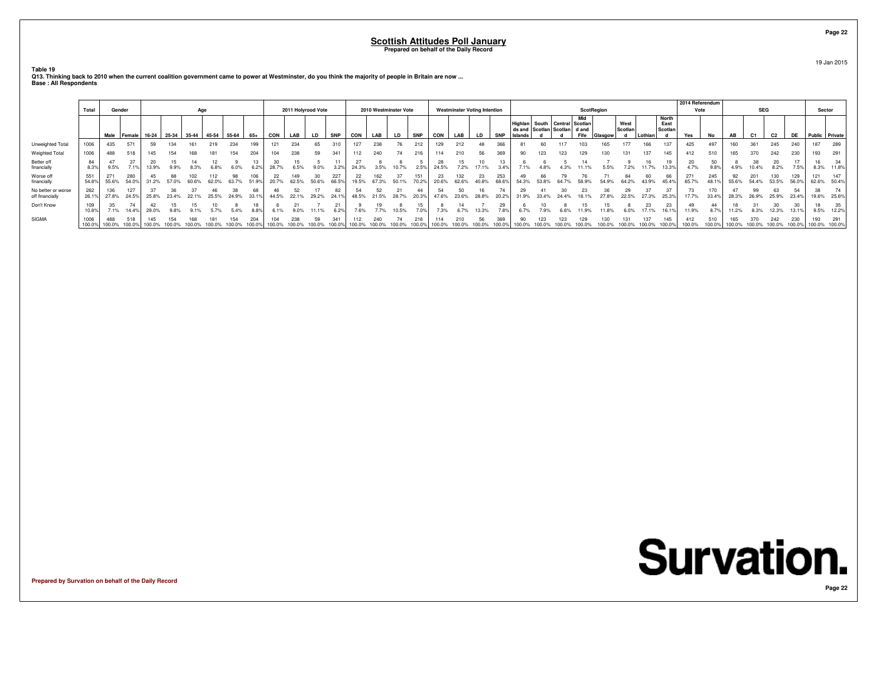**Table 19**

**Q13. Thinking back to 2010 when the current coalition government came to power at Westminster, do you think the majority of people in Britain are now ... Base : All Respondents**

|                                       |                |               |               |                                       |       |     |       |       |       |            |                    |         |            |       |       |                       |            |       |              |                                     |            |      |       |                                                                     |                   |         |                 |         |                                 | 2014 Referendum |            |        |                |                |        |                      |              |
|---------------------------------------|----------------|---------------|---------------|---------------------------------------|-------|-----|-------|-------|-------|------------|--------------------|---------|------------|-------|-------|-----------------------|------------|-------|--------------|-------------------------------------|------------|------|-------|---------------------------------------------------------------------|-------------------|---------|-----------------|---------|---------------------------------|-----------------|------------|--------|----------------|----------------|--------|----------------------|--------------|
|                                       | Total          | Gender        |               |                                       |       | Age |       |       |       |            | 2011 Holyrood Vote |         |            |       |       | 2010 Westminster Vote |            |       |              | <b>Westminster Voting Intention</b> |            |      |       |                                                                     | <b>ScotRegion</b> |         |                 |         |                                 | Vote            |            |        | <b>SEG</b>     |                |        | Sector               |              |
|                                       |                |               | Male   Female | 16-24   25-34   35-44   45-54   55-64 |       |     |       |       | $65+$ | <b>CON</b> | LAB                | LD      | <b>SNP</b> | CON   | LAB   | LD.                   | <b>SNP</b> | CON   | LAB          | <b>LD</b>                           | <b>SNP</b> |      |       | Highlan   South   Central   Scotlan<br>ds and Scotlan Scotlan d and | Mid<br>Fife       | ilasgow | West<br>Scotlan | Lothian | <b>North</b><br>East<br>Scotlan | Yes             | No         | AB     | C <sub>1</sub> | C <sub>2</sub> | DE     | Public Private       |              |
| Unweighted Total                      | 1006           | 435           | 571           | 59                                    |       |     |       | 234   | 199   |            | 234                |         |            |       | 238   |                       |            | 129   | 212          |                                     | 366        | 81   | 60    |                                                                     |                   |         |                 |         |                                 | 425             | 497        | 160    | 361            | 245            | 240    | 187                  | 289          |
| Weighted Total                        | 1006           | 488           | 518           | 145                                   |       |     |       |       | 204   |            | 238                | 59      |            | 112   | 240   |                       |            | 114   | 210          | 56                                  | 369        | 90   | 123   |                                                                     |                   |         |                 |         |                                 | 412             | 510        | 165    |                |                | 230    | 193                  | 291          |
| Better off<br>financially             | 84<br>8.3%     | 9.5%          | 7.1%          | 13.9%                                 |       |     | 6.8%  | 6.0%  | 6.2%  | 28.7%      | 6.5%               | $9.0\%$ | 3.2%       | 24.3% | 3.5%  | 10.7%                 | 2.5%       | 24.5% | 7.2%         | 17.1%                               | 3.4%       | 7.1% |       |                                                                     |                   | 5.5%    | 7.2%            |         | 13.3%                           | 20<br>4.7%      | 50<br>9.8% | 4.9%   | 10.4%          | 8.2%           | 7.5%   | 8.3%                 | 11.8%        |
| Worse off<br>financially              | 551<br>54.8%   | 271<br>55.6%  | 280<br>54.0%  | 31.2%                                 | 57.0% |     | 62.0% | 63.7% | 51.9% | 20.7%      | 62.5%              | 50.6%   | 66.5%      | 19.5% | 67.3% | 50.1%                 | 70.2%      | 20.6% | 132<br>62.6% | 23                                  | 253        | 49   |       |                                                                     |                   |         |                 |         |                                 | 271<br>65.7%    | 245        | 55.6%  | 54.4%          | 53.5%          | 56.0%  | 121<br>62.6%         | 147<br>50.4% |
| No better or worse<br>off financially | 262<br>26.1%   | 27.8%         | 127<br>24.5%  | 25.8%                                 | 23.4% |     | 25.5% | 24.9% | 33.1% | 44.5%      |                    | 29.2%   | 24.1%      | 48.5% | 21.5% | 28.7%                 | 20.3%      | 47.6% | 23.6%        | 28.8%                               |            | 29   | 33.4% |                                                                     |                   |         | 22.5%           |         | 25.3%                           | 17.7%           | 33.4%      | 28.3%  | 26.9%          | 25.9%          | 23.4%  | 19.6%                | 25.6%        |
| Don't Know                            | 10.8%          | 7.1%          | 14.49         | 29.0%                                 |       |     |       | 5.4%  | 8.8%  |            |                    |         | 6.2%       | 7.6%  |       | 10.5%                 |            | 7.3%  |              |                                     |            |      |       |                                                                     |                   |         |                 |         |                                 | 11.9%           |            | 11.2%  | 8.3%           | 12.3%          | 13.1%  | 9.5%                 | 35<br>12.2%  |
| SIGMA                                 | 1006<br>100.0% | 488<br>100.0% | 518<br>100.09 | 145                                   |       |     |       |       | 204   |            | 238                |         |            |       |       |                       |            |       |              |                                     | 369        |      |       |                                                                     |                   |         |                 |         |                                 | 412<br>100.0%   | 510        | 100.0% |                |                | 100.0% | 193<br>100.0% 100.0% | 291          |

**Prepared by Survation on behalf of the Daily Record**

19 Jan 2015

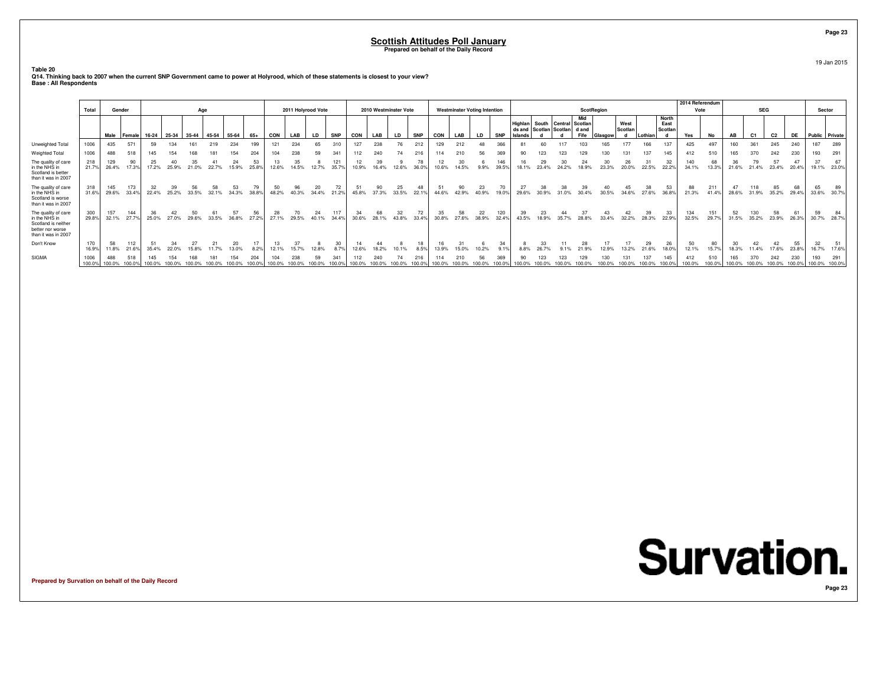**Table 20**

**Q14. Thinking back to 2007 when the current SNP Government came to power at Holyrood, which of these statements is closest to your view? Base : All Respondents**

|                                                                                                        |                |               |               |             |               |             |             |             |             |               |                    |             |              |              |             |                       |             |               |                                     |             |              |                    |                                         |       |                                |         |                 |             |                                 | 2014 Referendum |               |           |                |                |             |                      |             |
|--------------------------------------------------------------------------------------------------------|----------------|---------------|---------------|-------------|---------------|-------------|-------------|-------------|-------------|---------------|--------------------|-------------|--------------|--------------|-------------|-----------------------|-------------|---------------|-------------------------------------|-------------|--------------|--------------------|-----------------------------------------|-------|--------------------------------|---------|-----------------|-------------|---------------------------------|-----------------|---------------|-----------|----------------|----------------|-------------|----------------------|-------------|
|                                                                                                        | Total          | Gender        |               |             |               | Age         |             |             |             |               | 2011 Holyrood Vote |             |              |              |             | 2010 Westminster Vote |             |               | <b>Westminster Voting Intention</b> |             |              |                    |                                         |       | ScotRegion                     |         |                 |             |                                 | Vote            |               |           | <b>SEG</b>     |                |             | Sector               |             |
|                                                                                                        |                |               | Male Female   |             | $16-24$ 25-34 | $35-44$     | 45-54 55-64 |             | $65+$       | <b>CON</b>    | LAB                | LD.         | <b>SNP</b>   | <b>CON</b>   | LAB         | LD.                   | <b>SNP</b>  | CON           | LAB                                 | <b>LD</b>   | <b>SNP</b>   | Highlan<br>Islands | South Central<br>ds and Scotlan Scotlan |       | Mid<br>Scotlan<br>dand<br>Fife | Glasgow | West<br>Scotlan | Lothian     | <b>North</b><br>East<br>Scotlan | Yes             | <b>No</b>     | <b>AB</b> | C <sub>1</sub> | C <sub>2</sub> | DE          | Public Private       |             |
| Unweighted Total                                                                                       | 1006           | 435           | 571           | 59          | 134           |             |             | 234         | 199         | 121           | 234                | 65          |              | 127          | 238         |                       |             | 129           | 212                                 |             | 366          |                    |                                         |       |                                |         |                 | 166         | 137                             | 425             | 497           |           |                |                | 240         | 187                  | 289         |
| Weighted Total                                                                                         | 1006           | 488           | 518           | 145         | 154           | 168         |             | 154         | 204         | 104           | 238                | 59          | 341          | 112          |             |                       | 216         | 114           | 210                                 |             | 369          | 90                 | 123                                     |       |                                |         | 131             | 137         | 145                             | 412             | 510           |           |                |                | 230         | 193                  | 291         |
| The quality of care<br>in the NHS in<br>Scotland is better<br>than it was in 2007                      | 218<br>21.7%   | 129<br>26.4%  | 90<br>17.3%   | 25<br>17.2% | 25.9%         | 35<br>21.0% | 22.7%       | 24<br>15.9% | 53<br>25.89 | 12.6%         |                    | 12.7%       | 121<br>35.7% | 10.9%        |             | 12.6%                 | 78<br>36.09 | 10.6%         |                                     | 9.9%        | 146<br>39.5% | 18 1%              | 29<br>23.4%                             | 24.2% | 18.9%                          |         | 26<br>20.0%     | 22.5%       | 32<br>22.29                     | 140<br>34.1%    | 68<br>13.3%   | 21.6%     |                | 23.4%          | 20.4%       | 37<br>19.1%          | 23.0%       |
| The quality of care<br>in the NHS in<br>Scotland is worse<br>than it was in 2007                       | 318<br>31.6%   | 145<br>29.6%  | 173<br>33.4%  | 32<br>22.4% | 39<br>25.2%   | 56<br>33.5% | 58<br>32.1% | 53<br>34.3% | 79<br>38.8% | 50<br>48.2%   | 96<br>40.3%        | 20<br>34.4% | 72<br>21.2%  | 51<br>45.8%  | 90<br>37.3% | 25<br>33.5%           | 48<br>22.19 | 51<br>44.6%   | 42.9%                               | 23<br>40.9% | 70<br>19.0%  | 27<br>29.6%        | 38                                      |       | 30.4%                          | 30.5%   | 34.6%           | 38<br>27.6% | 53<br>36.8%                     | 88<br>21.3%     | 211<br>41.4%  | 28.6%     | 31.9%          | 85<br>35.2%    | 68<br>29.4% | 65                   | 33.6% 30.7% |
| The quality of care<br>in the NHS in<br>Scotland is neither<br>better nor worse<br>than it was in 2007 | 300<br>29.8%   | 157<br>32.1%  | 144<br>27.7%  | 36<br>25.0% | 27.0%         | 50<br>29.6% | 33.5%       | 57<br>36.8% | 56<br>27.2% | 28<br>27.1%   | 29.5%              | 24<br>40.1% | 117<br>34.4% | 30.6%        | 28.1%       | 32<br>43.8%           | 72<br>33.4% | 35<br>30.8%   | 27.6%                               | 22<br>38.9% | 120<br>32.4% | 39<br>43.5%        | 23<br>18.9%                             | 35.7% | 28.8%                          | 33.4%   | 32.2%           | 39<br>28.3% | 33<br>22.9%                     | 134<br>32.5%    | 151<br>29.7%  | 31.5%     | 35.2%          | 58<br>23.9%    | 26.3%       | 59<br>30.7%          | 28.7%       |
| Don't Know                                                                                             | 170<br>16.9%   | 58<br>11.8%   | 112<br>21.6%  | 51<br>35.4% |               |             |             | 13.0%       | 8.2%        | 12.1%         |                    |             | 30           | 14           |             | 10.1%                 | 18<br>8.5%  |               |                                     |             |              |                    |                                         |       |                                |         |                 | 21.6%       | 26<br>18.0%                     | 50<br>12.1%     | 80<br>15.7%   |           | 4%             | 7.6%           | 55<br>23.8% | 32<br>16.7%          | 17.6%       |
| SIGMA                                                                                                  | 1006<br>100.0% | 488<br>100.0% | 518<br>100.0% | 145         |               |             |             |             | 204         | 104<br>100.0% |                    |             | 341          | 112<br>100.0 | 240         | 74                    | 216         | 114<br>100.09 | 210                                 | 56          |              |                    | 123                                     |       |                                |         |                 | 137         | 145                             | 412<br>100.0%   | 510<br>100.0% |           |                | 242<br>100.0%  | 230         | 193<br>100.0% 100.0% | 291         |

**Prepared by Survation on behalf of the Daily Record**

19 Jan 2015

**Page 23**

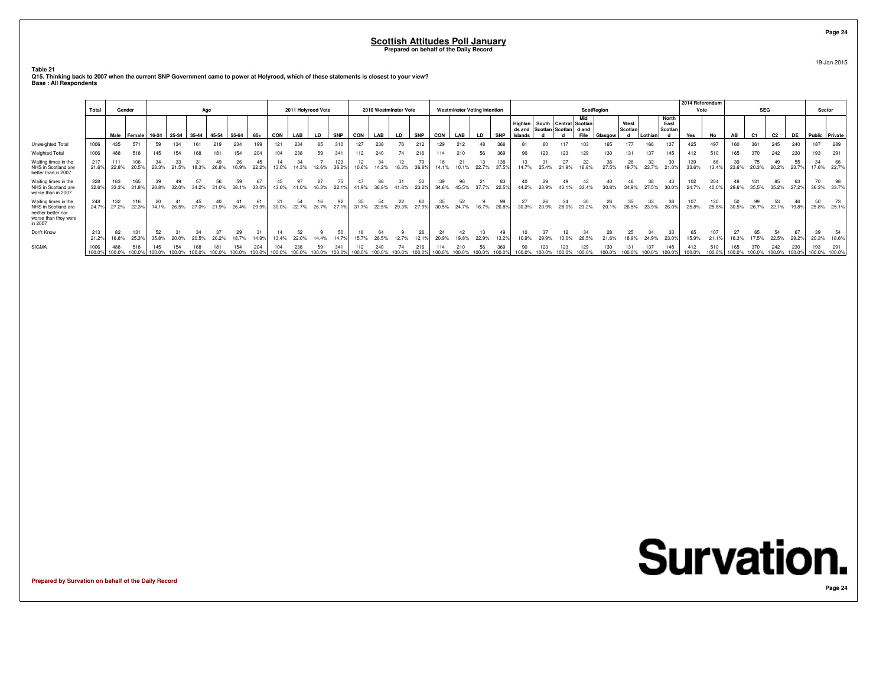**Table 21**

**Q15. Thinking back to 2007 when the current SNP Government came to power at Holyrood, which of these statements is closest to your view? Base : All Respondents**

|                                                                                                      | Total         | Gender        |              |        |             | Age   |         |             |             |            | 2011 Holyrood Vote |       |              |            |               | 2010 Westminster Vote |               |               |       | <b>Westminster Voting Intention</b> |              |                                                    |             |                           | <b>ScotRegion</b> |             |                 |         |                                 | 2014 Referendum<br>Vote |              |       | <b>SEG</b>     |                |               | Sector               |                   |
|------------------------------------------------------------------------------------------------------|---------------|---------------|--------------|--------|-------------|-------|---------|-------------|-------------|------------|--------------------|-------|--------------|------------|---------------|-----------------------|---------------|---------------|-------|-------------------------------------|--------------|----------------------------------------------------|-------------|---------------------------|-------------------|-------------|-----------------|---------|---------------------------------|-------------------------|--------------|-------|----------------|----------------|---------------|----------------------|-------------------|
|                                                                                                      |               |               | Male Female  | 16-24  | 25-34 35-44 |       | $45-54$ | 55-64       | 65+         | <b>CON</b> | LAB                | LD    | <b>SNP</b>   | <b>CON</b> | LAB           | LD                    | <b>SNP</b>    | CON           | LAB   | <b>LD</b>                           | <b>SNP</b>   | Highlan<br>ds and Scotlan Scotlan d and<br>Islands |             | South   Central   Scotlan | Mid<br>Fife       | Glasgow     | West<br>Scotlan | Lothian | <b>North</b><br>East<br>Scotlan | Yes                     | No           | AB    | C <sub>1</sub> | C <sub>2</sub> | DE            | Public Private       |                   |
| Unweighted Total                                                                                     | 1006          | 435           | 571          | 59     | 134         |       |         | 234         | 199         | 121        | 234                | 65    | 310          | 127        | 238           | 76                    | 212           | 129           |       |                                     | 366          | 81                                                 |             |                           |                   | 165         | 177             |         | 137                             | 425                     | 497          |       | 361            | 245            | 240           | 187                  | 289               |
| Weighted Total                                                                                       | 1006          | 488           | 518          | 145    | 154         |       |         | 154         | 204         | 104        | 238                | 59    | 341          |            | 240           | 74                    | 216           | 114           |       | 56                                  | 369          | 90                                                 |             |                           |                   |             |                 | 137     | 145                             | 412                     | 510          |       |                | 242            | 230           | 193                  | 291               |
| Waiting times in the<br>NHS in Scotland are<br>better than in 2007                                   | 217<br>21.6%  | 111<br>22.8%  | 106<br>20.5% | 23.3%  | 21.5%       | 18.3% | 26.8%   | 16.9%       | 22.29       | 13.0%      | 14.3%              | 12.6% | 123<br>36.2% | 10.6%      | 14.2%         | 12<br>16.3%           | 36.8%         | 14.1%         |       | 22.7%                               | 138<br>37.5% | 14.7%                                              | 25.4%       | 21.9%                     | 16.8%             | 27.5%       | 19.7%           | 23.7%   | 21.0%                           | 139<br>33.6%            | 68<br>13.4%  | 23.6% | 20.3%          | 20.2%          | 55<br>23.7%   | 34                   | 66<br>17.6% 22.7% |
| Waiting times in the<br>NHS in Scotland are<br>worse than in 2007                                    | 328<br>32.6%  | 163<br>33.3%  | 165<br>31.8% | 26.8%  | 32.0%       | 34.2% | 31.0%   | 59<br>38.1% | 67<br>33.0% | 43.6%      | 41.0%              | 46.3% | 22.1%        | 41.9%      | 88<br>36.8%   | 41.8%                 | 50<br>23.2%   | 34.6%         | 45.5% | 37.7%                               | 83<br>22.5%  | 44.2%                                              | 23.9%       | 40.1%                     | 33.4%             | 30.8%       | 34.9%           | 27.5%   | 30.0%                           | 24.7%                   | 204<br>40.0% | 29.6% | 35.5%          | 85<br>35.2%    | 63<br>27.2%   |                      | 36.3% 33.7%       |
| Waiting times in the<br>NHS in Scotland are<br>neither better nor<br>worse than they were<br>in 2007 | 248<br>24.7%  | 132<br>27.2%  | 116<br>22.3% | 14.1%  | 26.5%       | 27.0% | 21.9%   | 26.4%       | 29.9%       | 30.0%      | 54<br>22.7%        | 26.7  | 27.1%        | 31.7%      | 22.5%         | 22<br>29.3%           | 60<br>27.9%   | 30.5%         | 24.7% |                                     | 99<br>26.8%  | 27<br>30.3%                                        | 26<br>20.9% | 28.0%                     | 23.2%             | 26<br>20.1% | 35<br>26.5%     | 23.9%   | 26.0%                           | 107<br>25.8%            | 130<br>25.69 | 30.5% | 99<br>26.7%    | 22.1%          | 46<br>19.8%   | 50                   | 25.8% 25.1%       |
| Don't Know                                                                                           | 213<br>21.2%  | 82<br>16.8%   | 131<br>25.3% | 35.8%  | 20.0%       |       |         |             | 31<br>14.9% | 13.4%      | 22.0%              |       |              | 15.7%      | 26.5%         | 12.7%                 | 26<br>12.19   | 20.9%         |       | 22.9%                               | 13.29        | 10.9%                                              |             |                           |                   |             |                 | 24.9%   | 33<br>23.0%                     | 65<br>15.9%             | 107<br>21.1% | 16.3% | 65<br>17.5%    | 54<br>22.5%    | 67<br>29.2%   | 39                   | 20.3% 18.6%       |
| SIGMA                                                                                                | 1006<br>100.0 | 488<br>100.0% | 100.0%       | 100.0% |             |       |         |             | 100.0%      | 100.0%     | 238                | 59    |              |            | 240<br>100.0% | 100.0%                | 216<br>100.0% | 114<br>100.0% |       | 56                                  | 369          | 90<br>100.0%                                       |             |                           |                   |             |                 |         |                                 | 100.0%                  | 510          |       | 100.0%         | 242<br>100.0%  | 230<br>100.0% | 193<br>100.0% 100.0% | 291               |

**Prepared by Survation on behalf of the Daily Record**

19 Jan 2015

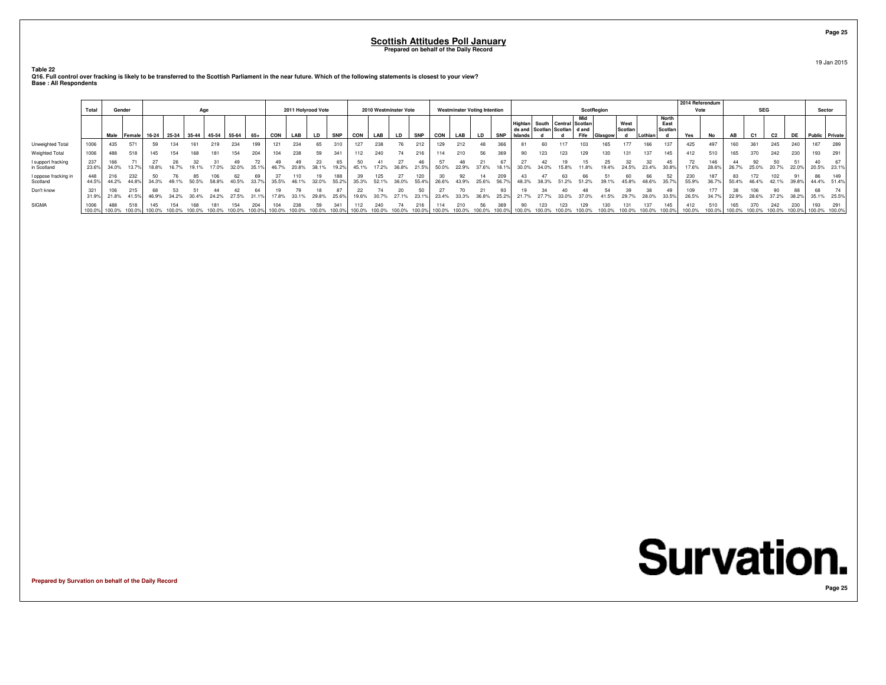**Table 22**

Q16. Full control over fracking is likely to be transferred to the Scottish Parliament in the near future. Which of the following statements is closest to your view?<br>Base : All Respondents

|                                   | Total          | Gender               |                |       |                               | Age    |        |               |        |        | 2011 Holyrood Vote |           |               |               |                      | 2010 Westminster Vote |               |            | <b>Westminster Voting Intention</b> |              |               |           |     |                                | <b>ScotRegion</b>                                    |         |                 |               |                          | 2014 Referendum<br>Vote |              |                      | <b>SEG</b>    |                |                | Sector               |                    |
|-----------------------------------|----------------|----------------------|----------------|-------|-------------------------------|--------|--------|---------------|--------|--------|--------------------|-----------|---------------|---------------|----------------------|-----------------------|---------------|------------|-------------------------------------|--------------|---------------|-----------|-----|--------------------------------|------------------------------------------------------|---------|-----------------|---------------|--------------------------|-------------------------|--------------|----------------------|---------------|----------------|----------------|----------------------|--------------------|
|                                   |                |                      |                |       | Male Female 16-24 25-34 35-44 |        |        | 45-54 55-64   | 65+    | CON    | LAB                | <b>LD</b> | <b>SNP</b>    | CON           | LAB                  | LD                    | <b>SNP</b>    | <b>CON</b> | LAB                                 | LD           | <b>SNP</b>    | Islands I |     | ds and Scotlan Scotlan   d and | Mid<br>Highlan   South   Central   Scotlan  <br>Fife | Glasnow | West<br>Scotlan | Lothiar       | North<br>East<br>Scotlar | Yes                     | No           | AB                   | C1            | C <sub>2</sub> | <b>DE</b>      | Public Private       |                    |
| Unweighted Total                  | 1006           | 435                  | 571            |       | 134                           |        |        | 234           |        |        | 234                |           |               | 127           | 238                  | 76                    | 212           |            | 212                                 | 48           |               |           |     |                                |                                                      |         |                 | 166           |                          | 425                     | 497          | 160                  | 361           | 245            | 240            |                      | 289                |
| Weighted Total                    | 1006           | 488                  | <b>E10</b>     | 145   | 154                           |        |        | 154           | 204    |        | 238                | 59        | 341           | 112           | 240                  | 74                    | 216           | 114        | 210                                 | 56           | 369           | 90        |     | 23                             |                                                      |         |                 | 137           | 145                      | 412                     | 510          | 165                  | 370           | 242            | 230            |                      |                    |
| I support fracking<br>in Scotland | 237<br>23.6%   | 166<br>34.0%         | $13.7^{\circ}$ | 18.8% | 16.7%                         |        | 17.0%  | 32.0%         | 35.1%  |        | 20.8%              | 38.1%     | 65<br>19.2%   | 45.1%         | 17.2%                | 36.8%                 | 21.5%         | 50.0%      | 22.9%                               | 37.6%        | 18.1%         | 30.0%     |     | 15.8%                          | 11.8%                                                | 19.4%   | 24.5%           | 23.4%         | 45<br>30.8%              | 17.6%                   | 146<br>28.6% | 26.7%                | 25.0%         | 20.7%          | 22.0%          | 20.5%                | 23.1%              |
| I oppose fracking in<br>Scotland  | 448<br>44.5%   | 216<br>44.2%         | 232            | 34.3% |                               |        |        |               |        |        |                    |           | 188<br>55.29  | 35.3%         | 125<br>52.1%         | 36.0%                 | 55.4%         |            | 43.9%                               | 25.6%        | 209           |           |     |                                |                                                      |         |                 |               |                          | 230<br>55.9%            | 36.7%        | 50.4%                |               | 42.1%          | $39.8^{\circ}$ | 86                   | 149<br>44.4% 51.4% |
| Don't know                        | 321<br>31.9%   | 106<br>21.8%         | 41.5%          | 46.9% | 34.2%                         | 30.4%  | 24.2%  | 27.5%         |        | '7.8%  | 33.1%              | 29.8%     | 25.6%         | 19.6%         | 30.7%                | 27.1%                 | 23.1%         | 23.4%      | 33.3%                               | 36.8%        | 25.2%         |           |     |                                |                                                      |         | 29.7%           |               | 33.5%                    | 109<br>26.5%            | 34.7%        | 22.9%                | 28.6%         | 37.2%          | 88<br>38.2%    | 68                   | 35.1% 25.5%        |
| SIGMA                             | 1006<br>100.0% | 488<br>100.0% 100.0% | 518            | 145   | 154<br>100.0% 100.0%          | 100.0% | 100.0% | 154<br>100.0% | 100.0% | 100.0% | 238                | 100.0%    | 341<br>100.0% | 112<br>100.0% | 240<br>100.0% 100.0% | 74                    | 216<br>100.0% | 100.0%     | 210<br>100.0%                       | 56<br>100.0% | 369<br>100.0% | 100.0%    | 123 | 23<br>100.0% 100.0%            | 100.0%                                               |         | 100.0%          | 137<br>100.0% | 145<br>100.0%            | 412<br>100.0%           | 510          | 165<br>100.0% 100.0% | 370<br>100.0% | 242<br>100.0%  | 230<br>100.0%  | 193<br>100.0% 100.0% | 291                |

**Prepared by Survation on behalf of the Daily Record**



**Page 25**

19 Jan 2015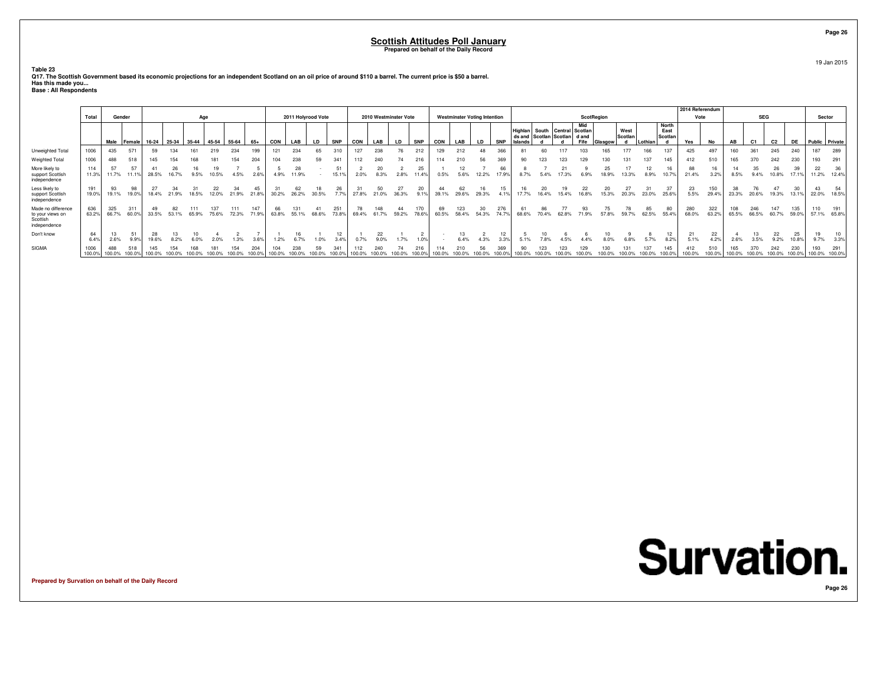**Table 23**

| Q17. The Scottish Government based its economic projections for an independent Scotland on an oil price of around \$110 a barrel. The current price is \$50 a barrel. |  |
|-----------------------------------------------------------------------------------------------------------------------------------------------------------------------|--|
| Has this made you                                                                                                                                                     |  |
| <b>Base: All Respondents</b>                                                                                                                                          |  |

|                                                                    |                |               |               |       |       |       |       |       |       |       |                    |       |              |       |            |                       |             |       |                                     |             |            |                   |                                                    |       |                      |         |                 |         |                          | 2014 Referendum |               |              |              |       |       |                      |                    |
|--------------------------------------------------------------------|----------------|---------------|---------------|-------|-------|-------|-------|-------|-------|-------|--------------------|-------|--------------|-------|------------|-----------------------|-------------|-------|-------------------------------------|-------------|------------|-------------------|----------------------------------------------------|-------|----------------------|---------|-----------------|---------|--------------------------|-----------------|---------------|--------------|--------------|-------|-------|----------------------|--------------------|
|                                                                    | Total          | Gender        |               |       |       | Age   |       |       |       |       | 2011 Holyrood Vote |       |              |       |            | 2010 Westminster Vote |             |       | <b>Westminster Voting Intention</b> |             |            |                   |                                                    |       | ScotRegion           |         |                 |         |                          | Vote            |               |              | <b>SEG</b>   |       |       | Sector               |                    |
|                                                                    |                | Male          | <b>Female</b> | 16-24 | 25-34 | 35-44 | 45-54 | 55-64 | 65+   | CON   | LAB                | LD.   | <b>SNP</b>   | CON   | LAB        | LD                    | <b>SNP</b>  | CON   | LAB                                 | LD.         | <b>SNP</b> | ds and<br>Islands | Highlan South Central Scotlan<br>Scotlan   Scotlan |       | Mid<br>d and<br>Fife | Glasgow | West<br>Scotlan | Lothian | North<br>East<br>Scotlan | Yes             | No            | AB           | C1           | C2    | DE    | Public Private       |                    |
| Unweighted Total                                                   | 1006           | 435           | 571           | 59    |       |       |       | 234   |       | 121   | 234                | 65    |              | 127   | 238        | 76                    | 212         | 129   | 212                                 |             | 361        |                   |                                                    |       |                      |         | 177             | 166     | 137                      | 425             | 497           |              |              | 245   | 240   | 187                  | 289                |
| Weighted Total                                                     | 1006           | 488           | 518           | 145   |       |       |       | 154   | 204   |       | 238                |       | 341          |       |            |                       |             | 114   |                                     |             |            | 90                |                                                    |       |                      |         |                 | 137     | 145                      | 412             | 510           |              |              | 242   | 230   | 193                  | 291                |
| More likely to<br>support Scottish<br>independence                 | 114<br>11.3%   | 57<br>11.7%   |               | 28.5% |       | 9.5%  | 10.5% | 4.5%  | 2.6%  | 4.9%  | 28<br>11.9%        |       | 51<br>15.1%  | 2.0%  | 8.3%       | 2.8%                  | 25<br>11.4% | 0.5%  | 5.6%                                | 12.2%       | 17 9%      | 8.7%              | 5.4%                                               | 17.3% | 6.9%                 | 18.9%   | 13.3%           | 8.9%    | 16<br>10.7%              | 88<br>21.4%     | 16<br>3.2%    | 8.5%         | 9.4%         | 10.8% | 17.1% | 22                   | 36<br>11.2% 12.4%  |
| Less likely to<br>support Scottish<br>independence                 | 19.0%          | 93<br>19.1%   | 19.0%         | 18.4% | 21.9% | 18.5% | 12.0% | 21.9% | 21.8% | 30.2% | 26.2%              | 30.5% | 7.7%         | 27.8% | 21.0%      | 36.3%                 | 9.1%        | 39.1% | 29.6%                               | 29.3%       |            |                   | 16.4%                                              | 15.4% | 16.8%                | 15.3%   | 20.3%           | 23.0%   | 25.6%                    | 23<br>5.5%      | 150<br>29.4%  | 23.3%        | 20.6%        | 19.3% | 13.1% | 22.0%                | 18.5%              |
| Made no difference<br>to your views on<br>Scottish<br>independence | 636<br>63.2%   | 325<br>66.7%  | 311<br>60.0   | 33.5% |       | 65.9% | 75.6% | 72.3% | 71.9% |       | 55.1%              | 68.6% | 251<br>73.8% | 69.4% | 61.7%      | 59.2%                 | 78.6%       | 60.5% | 123                                 | 30<br>54.3% | 276        |                   | 86                                                 | 62.8% | 71.9%                | 57.8%   | 59.7%           | 62.5%   | 80<br>55.4%              | 280<br>68.0%    | 322<br>63.2%  | 108<br>65.5% | 246<br>66.5% | 60.7% | 59.0% | 110                  | 191<br>57.1% 65.8% |
| Don't know                                                         | 6.4%           | 2.6%          |               | 19.6% |       |       |       |       | 3.6%  |       |                    |       | 3.4%         |       | 22<br>9.0% | 7%                    |             |       | 6.4%                                | 4.3%        | 3.3%       | 5.1%              |                                                    |       |                      |         |                 |         | 12<br>8.2%               | 5.1%            | 22<br>4.2%    | 2.6%         | 3.5%         | 9.2%  | 10.8% | 9.7%                 | 3.3%               |
| SIGMA                                                              | 1006<br>100.09 | 488<br>100.0% |               |       |       |       |       |       |       |       |                    |       |              |       |            |                       |             |       |                                     |             |            |                   |                                                    |       |                      |         |                 |         | 145                      | 412<br>100.0%   | 510<br>100.0% |              |              |       |       | 193<br>100.0% 100.0% | 291                |

**Prepared by Survation on behalf of the Daily Record**

19 Jan 2015

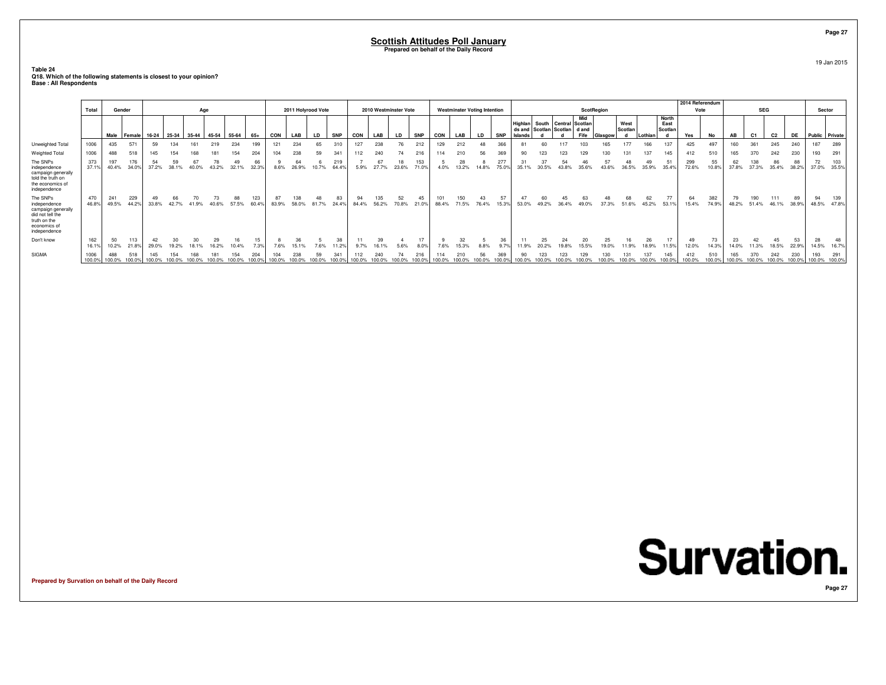#### **Table 24Q18. Which of the following statements is closest to your opinion? Base : All Respondents**

|                                                                                                                    | Total          |               | Gender       |             |       | Age   |             |             |              |             | 2011 Holyrood Vote |          |              |             |                    | 2010 Westminster Vote |                     |               | <b>Westminster Voting Intention</b> |             |             |                                       |             |                                        | <b>ScotRegion</b>      |             |                 |         |                                 | 2014 Referendum<br>Vote |              |               | <b>SEG</b>     |               |               | Sector               |              |
|--------------------------------------------------------------------------------------------------------------------|----------------|---------------|--------------|-------------|-------|-------|-------------|-------------|--------------|-------------|--------------------|----------|--------------|-------------|--------------------|-----------------------|---------------------|---------------|-------------------------------------|-------------|-------------|---------------------------------------|-------------|----------------------------------------|------------------------|-------------|-----------------|---------|---------------------------------|-------------------------|--------------|---------------|----------------|---------------|---------------|----------------------|--------------|
|                                                                                                                    |                | Male          | Female       | 16-24       | 25-34 | 35-44 | 45-54       | 55-64       | $65+$        | CON         | LAB                | LD       | <b>SNP</b>   | CON         | LAB                | LD                    | <b>SNP</b>          | CON           | LAB                                 | LD          | SNP         | <b>Highlan</b><br>ds and<br>. Islands |             | South Central<br>Scotlan Scotlan d and | Mid<br>Scotlan<br>Fife | Glasgow     | West<br>Scotlan | Lothiar | <b>North</b><br>East<br>Scotlan | Yes                     | No           | AB            | C <sub>1</sub> | C2            | <b>DE</b>     | Public Private       |              |
| <b>Unweighted Total</b><br><b>Weighted Total</b>                                                                   | 1006<br>1006   | 435<br>488    | 571<br>518   | 59<br>145   |       |       | 219         | 234<br>154  | 199<br>204   | 121<br>104  | 234<br>238         | 65<br>59 | 310<br>341   | 127         | 238                | 76<br>74              | 212                 | 129<br>114    | 212<br>210                          | 48<br>56    | 366<br>369  | 90                                    | 60<br>123   | 117<br>123                             | 103<br>129             | 165         | 177             |         | 137                             | 425                     | 497<br>510   | 160<br>165    | 361<br>370     | 245<br>242    | 240<br>230    | 187<br>193           | 289<br>291   |
| The SNPs<br>independence<br>campaign generally<br>told the truth on<br>the economics of<br>independence            | 373<br>37.1%   | 197<br>40.4%  | 176<br>34.0% | 54<br>37.2% | 38.1% |       |             | 49<br>32.1% | 66<br>32.3%  | 8.6%        | 64<br>26.9%        |          | 219<br>64.49 | 112<br>5.9% | 240<br>67<br>27.7% | 18<br>23.6%           | 216<br>153<br>71.0% | 4.0%          | 28<br>13.2%                         |             | 277<br>75.0 | 31<br>35.1%                           | 37<br>30.5% | 54                                     | 46<br>35.6%            | 43.6%       | 36.5%           | 35.9%   | 145<br>$5^{\circ}$              | 412<br>299<br>72.6%     | 55<br>10.8%  | 62<br>37.8%   | 138<br>37.3%   | 86<br>35.4%   | 88<br>38.2%   | 72<br>37.0%          | 103<br>35.5% |
| The SNPs<br>independence<br>campaign generally<br>did not tell the<br>truth on the<br>economics of<br>independence | 470<br>46.8%   | 241<br>49.5%  | 229<br>44.2% | 49<br>33.8% | 42.7% | 41.9% | 73<br>40.6% | 88<br>57.5% | 123<br>60.4% | 87<br>83.9% | 138<br>58.0%       | 81.7%    | 83<br>24.4%  | 94<br>84.4% | 135<br>56.2%       | 52<br>70.8%           | 45<br>21.0%         | 101<br>88.4%  | 150<br>71.5%                        | 43<br>76.4% | 57<br>15.3% | 47<br>53.0%                           | 60<br>49.2% | 45<br>36.4%                            | 63<br>49.0%            | 48<br>37.3% | 51.6%           | 45.2%   | 77<br>53.19                     | 64<br>15.4%             | 382<br>74.9% | 48.2%         | 190<br>51.4%   | 111<br>46.1%  | 89<br>38.9%   | 94<br>48.5%          | 139<br>47.8% |
| Don't know                                                                                                         | 162<br>16.1%   | 50<br>10.2%   | 113<br>21.8% | 29.0%       |       |       |             |             | 15<br>7.3%   | 7.6%        | 15.1%              |          | 38<br>11.2%  |             | 39                 | 5.6%                  | 17<br>8.0%          | 7.6%          | 32<br>15.3%                         | 8.8%        | 36<br>9.7%  |                                       | 25          | 24                                     | 20<br>15.5%            | 25          |                 | 18.9%   | 11.5%                           | 49<br>12.0%             | 73<br>14.3%  | 23<br>14.0%   | 42<br>.3%      | 45<br>18.5%   | 53<br>22.99   | 28<br>14.5%          | 48<br>16.7%  |
| SIGMA                                                                                                              | 1006<br>100.0% | 488<br>100.0% | 518          | 100.0%      |       |       |             |             |              |             | 238                | 59       | 341          | 112         | 240                | 74                    | 216                 | 114<br>100.0% | 210                                 | 56          | 369         | 90<br>100.0%                          | 123         | 123<br>100.0%                          | 129                    |             |                 |         | 145                             | 412<br>100.0%           |              | 165<br>100.0% | 370            | 242<br>100.0% | 230<br>100.0% | 193<br>100.0% 100.0% | 291          |

**Prepared by Survation on behalf of the Daily Record**

19 Jan 2015

**Page 27**

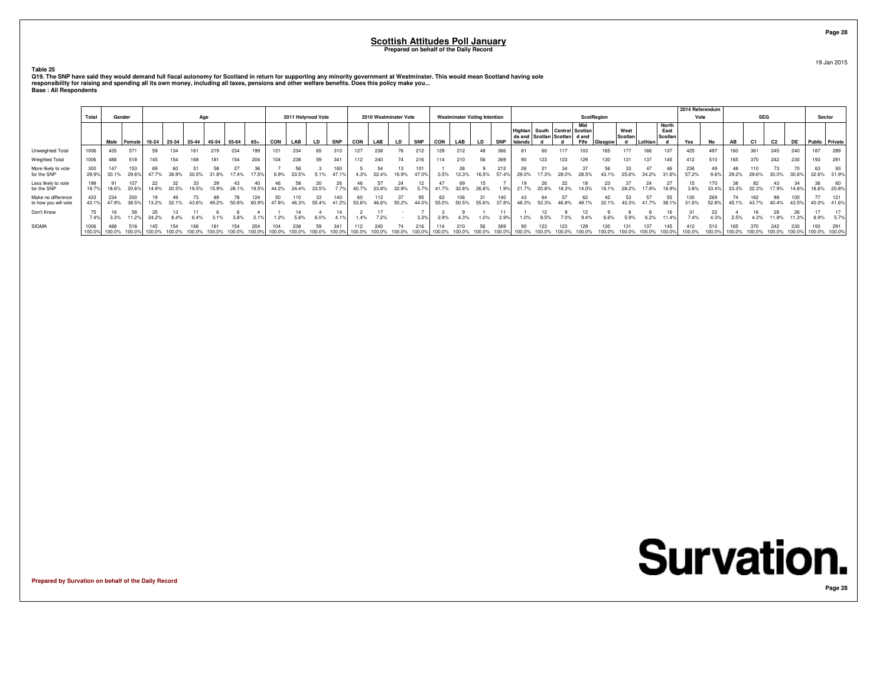**Table 25**

| Q19. The SNP have said they would demand full fiscal autonomy for Scotland in return for supporting any minority government at Westminster. This would mean Scotland having sole |
|----------------------------------------------------------------------------------------------------------------------------------------------------------------------------------|
| responsibility for raising and spending all its own money, including all taxes, pensions and other welfare benefits. Does this policy make you                                   |
| <b>Base: All Respondents</b>                                                                                                                                                     |

|                                            |        |              |                      |        |       |       |       |                                                       |        |        |                    |           |               |             |       |                       |              |            |                                     |           |              |                    |               |                                                         |             |           |                 |     |                          | 2014 Referendum |              |       |                |       |       |             |                      |
|--------------------------------------------|--------|--------------|----------------------|--------|-------|-------|-------|-------------------------------------------------------|--------|--------|--------------------|-----------|---------------|-------------|-------|-----------------------|--------------|------------|-------------------------------------|-----------|--------------|--------------------|---------------|---------------------------------------------------------|-------------|-----------|-----------------|-----|--------------------------|-----------------|--------------|-------|----------------|-------|-------|-------------|----------------------|
|                                            | Total  |              | Gender               |        |       | Age   |       |                                                       |        |        | 2011 Holyrood Vote |           |               |             |       | 2010 Westminster Vote |              |            | <b>Westminster Voting Intention</b> |           |              |                    |               |                                                         | ScotRegion  |           |                 |     |                          | Vote            |              |       | <b>SEG</b>     |       |       | Sector      |                      |
|                                            |        |              |                      |        |       |       |       | Male   Female   16-24   25-34   35-44   45-54   55-64 | 65+    | CON    | LAB                | <b>LD</b> | <b>SNP</b>    | CON         | LAB   | <b>LD</b>             | <b>SNP</b>   | <b>CON</b> | LAB                                 | <b>LD</b> | <b>SNP</b>   | Highlan<br>Islands |               | South Central Scotlan<br>ds and Scotlan Scotlan   d and | Mid<br>Fife | -lasgow ' | West<br>Scotlan |     | North<br>East<br>Scotlan | Yes             | Nο           | AB    | C <sub>1</sub> | C2    | DE    |             | Public Private       |
| Unweighted Total                           |        | 435          | 571                  | 59     |       |       | 219   | 234                                                   |        |        | 234                | 65        | 310           | 127         | 238   |                       | 212          | 29         | 212                                 |           | 366          |                    |               |                                                         |             |           |                 | 166 | 137                      | 425             | 497          | 160   | 361            | 245   | 240   | 187         | 289                  |
| Weighted Total                             |        | 488          | 518                  |        |       |       |       | 154                                                   |        |        | 238                | 59        | 341           | 112         | 240   |                       | 216          | 114        | 210                                 |           |              | 90                 |               |                                                         |             |           |                 |     | 145                      | 412             | 510          |       | 370            | 242   | 230   | 193         | 291                  |
| More likely to vote<br>for the SNP         | 29.9%  | 147<br>30.1% | 153<br>29.6%         |        |       | 30.5% |       | 17.4%                                                 | 7 5%   | 6.9%   | 23.5%              |           | 160<br>47.1%  | 4.3%        | 22.4% | 16.9%                 | 101<br>47.0% | 0.5%       | 12.3%                               | 16.5%     | 212<br>57.4% |                    |               |                                                         |             | 43.1%     |                 |     |                          | 236<br>57.2%    | 49           | 29.2% |                |       |       | 63<br>32.6% | 93<br>31.9%          |
| Less likely to vote<br>for the SNP         | 19.7%  | 18.6%        | 20.6%                | 14.9%  | 20.5% | 19.5% |       |                                                       | 19.5%  | 44.2%  | 24.4%              | 33.5%     |               | 40.7%       | 23.8% | 32.9%                 |              |            | 32.8%                               | 26.8%     |              |                    |               |                                                         |             |           |                 |     |                          |                 |              | 23.3% | 22.3%          |       |       | 36<br>18.6% | 60<br>20.8%          |
| Make no difference<br>to how you will vote | 43.1%  | 234<br>47.9% | 200<br>38.5%         | 13.2%  |       | 43.6% | 49.2% | 50.8%                                                 | 60.9%  | 47.8%  | 46.3%              | 55.4%     | 41.2%         | 60<br>53.6% | 46.6% | 50.2%                 | 44.0%        | 55.0%      | 50.5%                               | 55.6%     | 37.8%        | 48.3%              | 52.3%         |                                                         |             | 32.1%     | 40.3%           |     | 38.1%                    | 31.6%           | 269<br>52.8% | 45.1% | 43.7%          | 40.4% | 43.5% | 77<br>40.0% | 121<br>41.6%         |
| Don't Know                                 | 7.4%   | 3.3%         |                      | 24.2%  | 8.4%  |       |       | 3.8%                                                  |        | 1.2%   | 5.8%               |           |               |             | 7.2%  |                       | 3.3%         | 2.9%       | 4.3%                                | 1.0%      | 290          |                    |               |                                                         |             |           |                 |     |                          | 7.4%            | 22           | 2.5%  |                | 28    |       | 8.9%        | 5.7%                 |
| <b>SIGMA</b>                               | 100.0% | 488          | 518<br>100.0% 100.0% | 100.0% |       |       |       |                                                       | 100.0% | 100.0% |                    | 59        | 341<br>100.0% |             |       | 100.0% 100.0% 100.0%  | 100.0%       |            | 100.0% 100.0% 100.0%                |           | 100.0%       |                    | 100.0% 100.0% |                                                         | 100.0%      | 100.0%    | 100.0%          |     | 145<br>100.0%            | 412<br>100.0%   | 510          |       | 100.0% 100.0%  |       | 230   | 193         | 291<br>100.0% 100.0% |

**Prepared by Survation on behalf of the Daily Record**



19 Jan 2015